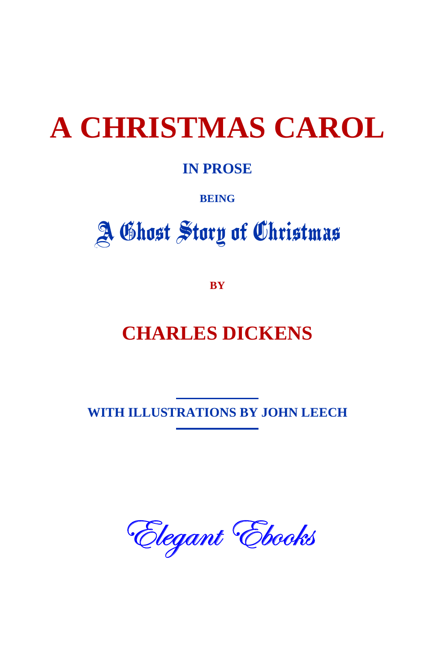# **A CHRISTMAS CAROL**

#### **IN PROSE**

#### **BEING**

## A Chost Story of Christmas

**BY**

### **CHARLES DICKENS**

**WITH ILLUSTRATIONS BY JOHN LEECH**

Elegant Ebooks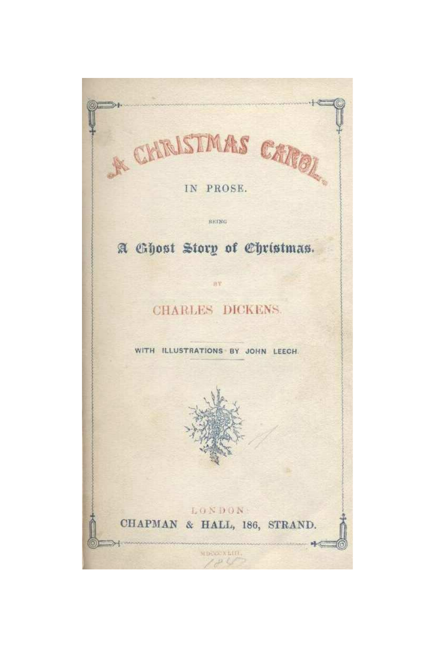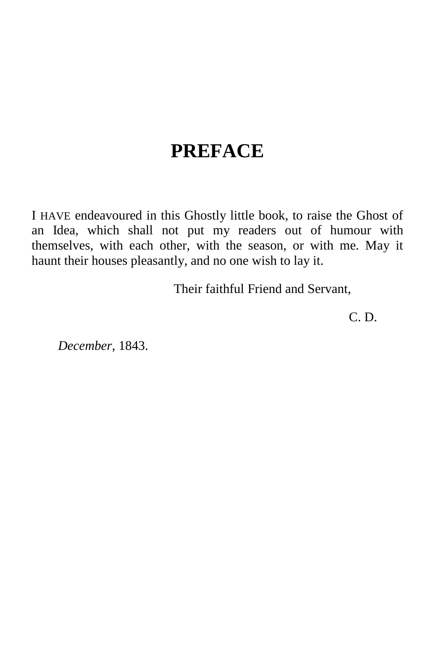### **PREFACE**

I HAVE endeavoured in this Ghostly little book, to raise the Ghost of an Idea, which shall not put my readers out of humour with themselves, with each other, with the season, or with me. May it haunt their houses pleasantly, and no one wish to lay it.

Their faithful Friend and Servant,

C. D.

*December*, 1843.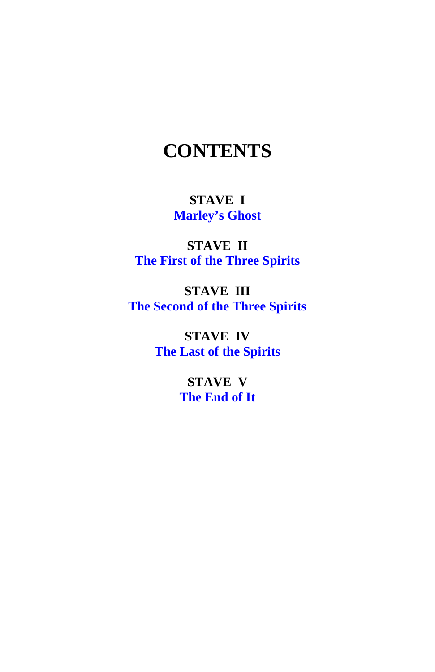### **CONTENTS**

#### **STAVE I [Marley's Ghost](#page-6-0)**

**STAVE II [The First of the Three Spirits](#page-26-0)**

**STAVE III [The Second of the Three Spirits](#page-44-0)**

> **STAVE IV [The Last of the Spirits](#page-68-0)**

> > **STAVE V [The End of](#page-84-0) It**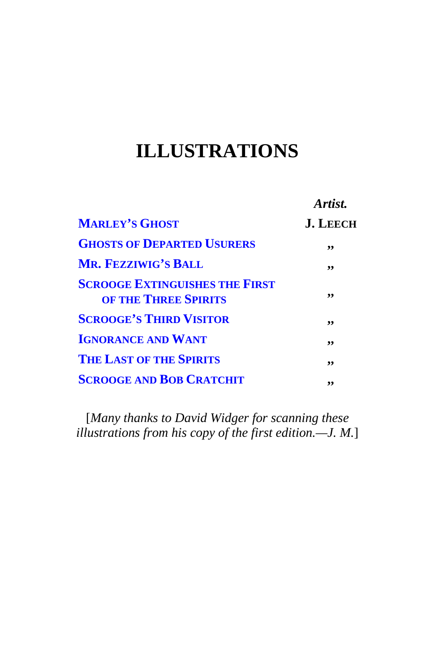### **ILLUSTRATIONS**

|                                                                      | Artist.         |
|----------------------------------------------------------------------|-----------------|
| <b>MARLEY'S GHOST</b>                                                | <b>J. LEECH</b> |
| <b>GHOSTS OF DEPARTED USURERS</b>                                    | ,,              |
| <b>MR. FEZZIWIG'S BALL</b>                                           | ,,              |
| <b>SCROOGE EXTINGUISHES THE FIRST</b><br><b>OF THE THREE SPIRITS</b> | ,,              |
| <b>SCROOGE'S THIRD VISITOR</b>                                       | ,,              |
| <b>IGNORANCE AND WANT</b>                                            | ,,              |
| <b>THE LAST OF THE SPIRITS</b>                                       | ,,              |
| <b>SCROOGE AND BOB CRATCHIT</b>                                      | "               |

[*Many thanks to David Widger for scanning these illustrations from his copy of the first edition.—J. M.*]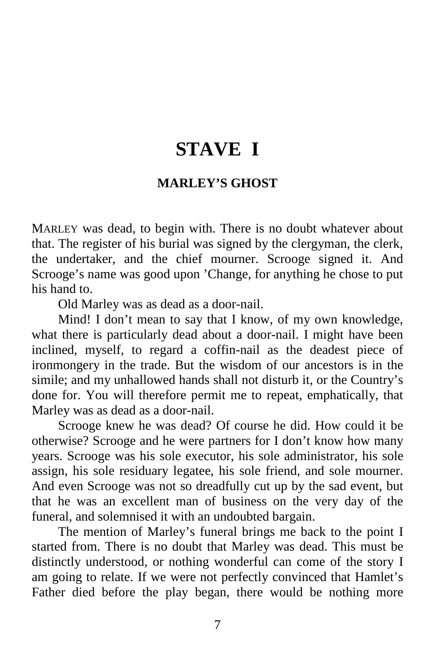### <span id="page-6-0"></span>**STAVE I**

#### **MARLEY'S GHOST**

MARLEY was dead, to begin with. There is no doubt whatever about that. The register of his burial was signed by the clergyman, the clerk, the undertaker, and the chief mourner. Scrooge signed it. And Scrooge's name was good upon 'Change, for anything he chose to put his hand to.

Old Marley was as dead as a door-nail.

Mind! I don't mean to say that I know, of my own knowledge, what there is particularly dead about a door-nail. I might have been inclined, myself, to regard a coffin-nail as the deadest piece of ironmongery in the trade. But the wisdom of our ancestors is in the simile; and my unhallowed hands shall not disturb it, or the Country's done for. You will therefore permit me to repeat, emphatically, that Marley was as dead as a door-nail.

Scrooge knew he was dead? Of course he did. How could it be otherwise? Scrooge and he were partners for I don't know how many years. Scrooge was his sole executor, his sole administrator, his sole assign, his sole residuary legatee, his sole friend, and sole mourner. And even Scrooge was not so dreadfully cut up by the sad event, but that he was an excellent man of business on the very day of the funeral, and solemnised it with an undoubted bargain.

The mention of Marley's funeral brings me back to the point I started from. There is no doubt that Marley was dead. This must be distinctly understood, or nothing wonderful can come of the story I am going to relate. If we were not perfectly convinced that Hamlet's Father died before the play began, there would be nothing more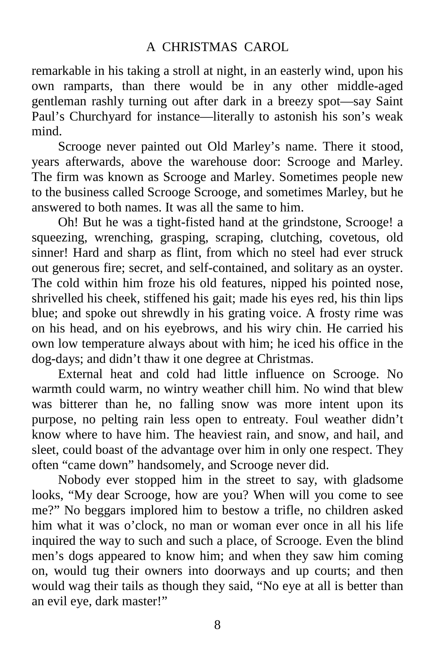remarkable in his taking a stroll at night, in an easterly wind, upon his own ramparts, than there would be in any other middle-aged gentleman rashly turning out after dark in a breezy spot—say Saint Paul's Churchyard for instance—literally to astonish his son's weak mind.

Scrooge never painted out Old Marley's name. There it stood, years afterwards, above the warehouse door: Scrooge and Marley. The firm was known as Scrooge and Marley. Sometimes people new to the business called Scrooge Scrooge, and sometimes Marley, but he answered to both names. It was all the same to him.

Oh! But he was a tight-fisted hand at the grindstone, Scrooge! a squeezing, wrenching, grasping, scraping, clutching, covetous, old sinner! Hard and sharp as flint, from which no steel had ever struck out generous fire; secret, and self-contained, and solitary as an oyster. The cold within him froze his old features, nipped his pointed nose, shrivelled his cheek, stiffened his gait; made his eyes red, his thin lips blue; and spoke out shrewdly in his grating voice. A frosty rime was on his head, and on his eyebrows, and his wiry chin. He carried his own low temperature always about with him; he iced his office in the dog-days; and didn't thaw it one degree at Christmas.

External heat and cold had little influence on Scrooge. No warmth could warm, no wintry weather chill him. No wind that blew was bitterer than he, no falling snow was more intent upon its purpose, no pelting rain less open to entreaty. Foul weather didn't know where to have him. The heaviest rain, and snow, and hail, and sleet, could boast of the advantage over him in only one respect. They often "came down" handsomely, and Scrooge never did.

Nobody ever stopped him in the street to say, with gladsome looks, "My dear Scrooge, how are you? When will you come to see me?" No beggars implored him to bestow a trifle, no children asked him what it was o'clock, no man or woman ever once in all his life inquired the way to such and such a place, of Scrooge. Even the blind men's dogs appeared to know him; and when they saw him coming on, would tug their owners into doorways and up courts; and then would wag their tails as though they said, "No eye at all is better than an evil eye, dark master!"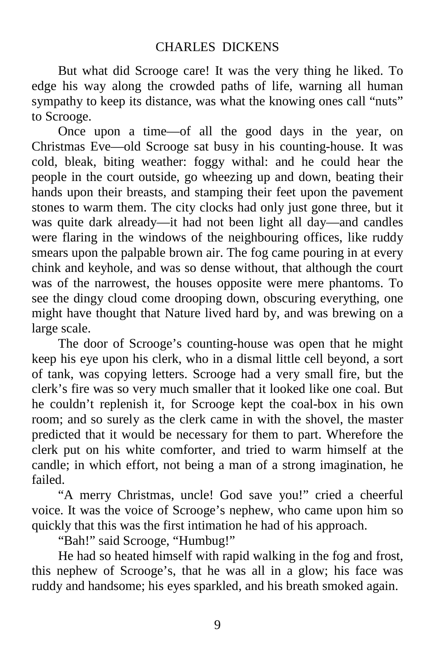But what did Scrooge care! It was the very thing he liked. To edge his way along the crowded paths of life, warning all human sympathy to keep its distance, was what the knowing ones call "nuts" to Scrooge.

Once upon a time—of all the good days in the year, on Christmas Eve—old Scrooge sat busy in his counting-house. It was cold, bleak, biting weather: foggy withal: and he could hear the people in the court outside, go wheezing up and down, beating their hands upon their breasts, and stamping their feet upon the pavement stones to warm them. The city clocks had only just gone three, but it was quite dark already—it had not been light all day—and candles were flaring in the windows of the neighbouring offices, like ruddy smears upon the palpable brown air. The fog came pouring in at every chink and keyhole, and was so dense without, that although the court was of the narrowest, the houses opposite were mere phantoms. To see the dingy cloud come drooping down, obscuring everything, one might have thought that Nature lived hard by, and was brewing on a large scale.

The door of Scrooge's counting-house was open that he might keep his eye upon his clerk, who in a dismal little cell beyond, a sort of tank, was copying letters. Scrooge had a very small fire, but the clerk's fire was so very much smaller that it looked like one coal. But he couldn't replenish it, for Scrooge kept the coal-box in his own room; and so surely as the clerk came in with the shovel, the master predicted that it would be necessary for them to part. Wherefore the clerk put on his white comforter, and tried to warm himself at the candle; in which effort, not being a man of a strong imagination, he failed.

"A merry Christmas, uncle! God save you!" cried a cheerful voice. It was the voice of Scrooge's nephew, who came upon him so quickly that this was the first intimation he had of his approach.

"Bah!" said Scrooge, "Humbug!"

He had so heated himself with rapid walking in the fog and frost, this nephew of Scrooge's, that he was all in a glow; his face was ruddy and handsome; his eyes sparkled, and his breath smoked again.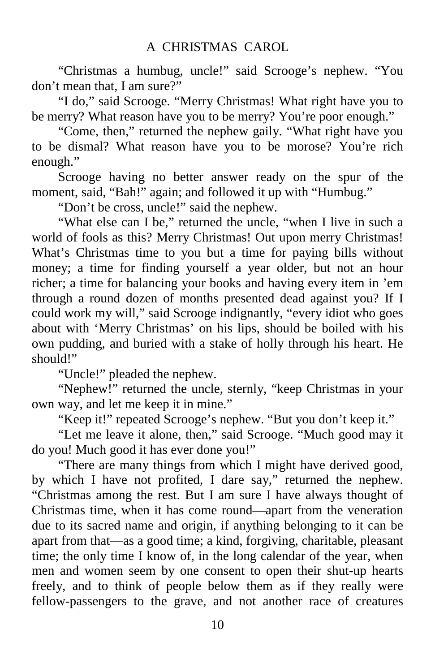"Christmas a humbug, uncle!" said Scrooge's nephew. "You don't mean that, I am sure?"

"I do," said Scrooge. "Merry Christmas! What right have you to be merry? What reason have you to be merry? You're poor enough."

"Come, then," returned the nephew gaily. "What right have you to be dismal? What reason have you to be morose? You're rich enough."

Scrooge having no better answer ready on the spur of the moment, said, "Bah!" again; and followed it up with "Humbug."

"Don't be cross, uncle!" said the nephew.

"What else can I be," returned the uncle, "when I live in such a world of fools as this? Merry Christmas! Out upon merry Christmas! What's Christmas time to you but a time for paying bills without money; a time for finding yourself a year older, but not an hour richer; a time for balancing your books and having every item in 'em through a round dozen of months presented dead against you? If I could work my will," said Scrooge indignantly, "every idiot who goes about with 'Merry Christmas' on his lips, should be boiled with his own pudding, and buried with a stake of holly through his heart. He should!"

"Uncle!" pleaded the nephew.

"Nephew!" returned the uncle, sternly, "keep Christmas in your own way, and let me keep it in mine."

"Keep it!" repeated Scrooge's nephew. "But you don't keep it."

"Let me leave it alone, then," said Scrooge. "Much good may it do you! Much good it has ever done you!"

"There are many things from which I might have derived good, by which I have not profited, I dare say," returned the nephew. "Christmas among the rest. But I am sure I have always thought of Christmas time, when it has come round—apart from the veneration due to its sacred name and origin, if anything belonging to it can be apart from that—as a good time; a kind, forgiving, charitable, pleasant time; the only time I know of, in the long calendar of the year, when men and women seem by one consent to open their shut-up hearts freely, and to think of people below them as if they really were fellow-passengers to the grave, and not another race of creatures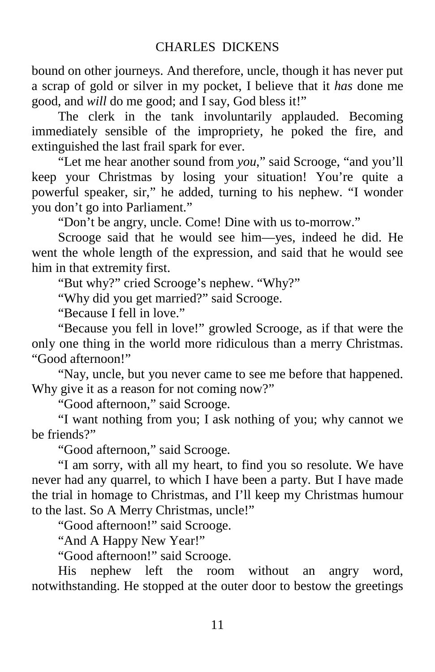bound on other journeys. And therefore, uncle, though it has never put a scrap of gold or silver in my pocket, I believe that it *has* done me good, and *will* do me good; and I say, God bless it!"

The clerk in the tank involuntarily applauded. Becoming immediately sensible of the impropriety, he poked the fire, and extinguished the last frail spark for ever.

"Let me hear another sound from *you*," said Scrooge, "and you'll keep your Christmas by losing your situation! You're quite a powerful speaker, sir," he added, turning to his nephew. "I wonder you don't go into Parliament."

"Don't be angry, uncle. Come! Dine with us to-morrow."

Scrooge said that he would see him—yes, indeed he did. He went the whole length of the expression, and said that he would see him in that extremity first.

"But why?" cried Scrooge's nephew. "Why?"

"Why did you get married?" said Scrooge.

"Because I fell in love."

"Because you fell in love!" growled Scrooge, as if that were the only one thing in the world more ridiculous than a merry Christmas. "Good afternoon!"

"Nay, uncle, but you never came to see me before that happened. Why give it as a reason for not coming now?"

"Good afternoon," said Scrooge.

"I want nothing from you; I ask nothing of you; why cannot we be friends?"

"Good afternoon," said Scrooge.

"I am sorry, with all my heart, to find you so resolute. We have never had any quarrel, to which I have been a party. But I have made the trial in homage to Christmas, and I'll keep my Christmas humour to the last. So A Merry Christmas, uncle!"

"Good afternoon!" said Scrooge.

"And A Happy New Year!"

"Good afternoon!" said Scrooge.

His nephew left the room without an angry word, notwithstanding. He stopped at the outer door to bestow the greetings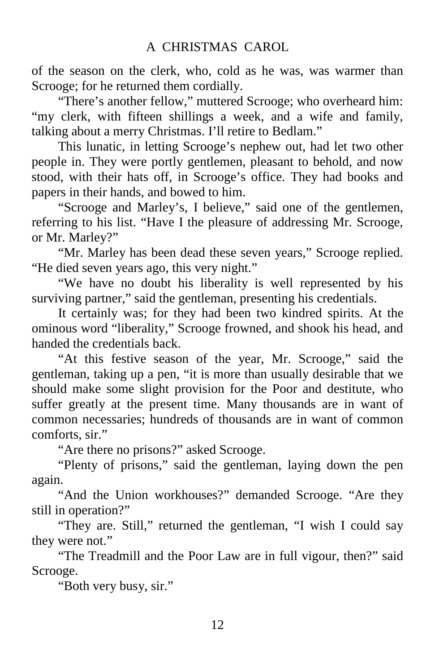of the season on the clerk, who, cold as he was, was warmer than Scrooge; for he returned them cordially.

"There's another fellow," muttered Scrooge; who overheard him: "my clerk, with fifteen shillings a week, and a wife and family, talking about a merry Christmas. I'll retire to Bedlam."

This lunatic, in letting Scrooge's nephew out, had let two other people in. They were portly gentlemen, pleasant to behold, and now stood, with their hats off, in Scrooge's office. They had books and papers in their hands, and bowed to him.

"Scrooge and Marley's, I believe," said one of the gentlemen, referring to his list. "Have I the pleasure of addressing Mr. Scrooge, or Mr. Marley?"

"Mr. Marley has been dead these seven years," Scrooge replied. "He died seven years ago, this very night."

"We have no doubt his liberality is well represented by his surviving partner," said the gentleman, presenting his credentials.

It certainly was; for they had been two kindred spirits. At the ominous word "liberality," Scrooge frowned, and shook his head, and handed the credentials back.

"At this festive season of the year, Mr. Scrooge," said the gentleman, taking up a pen, "it is more than usually desirable that we should make some slight provision for the Poor and destitute, who suffer greatly at the present time. Many thousands are in want of common necessaries; hundreds of thousands are in want of common comforts, sir."

"Are there no prisons?" asked Scrooge.

"Plenty of prisons," said the gentleman, laying down the pen again.

"And the Union workhouses?" demanded Scrooge. "Are they still in operation?"

"They are. Still," returned the gentleman, "I wish I could say they were not."

"The Treadmill and the Poor Law are in full vigour, then?" said Scrooge.

"Both very busy, sir."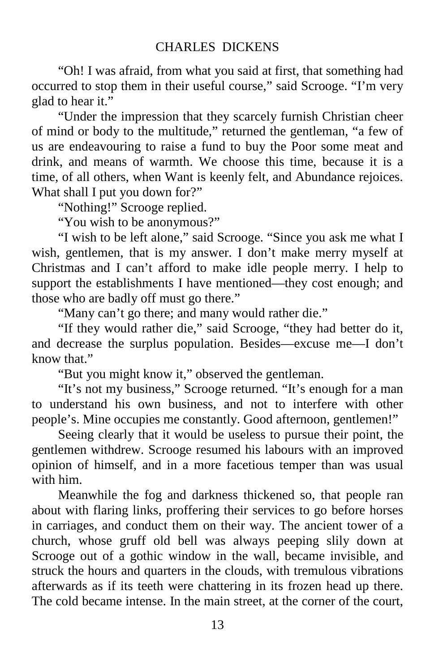#### CHARLES DICKENS

"Oh! I was afraid, from what you said at first, that something had occurred to stop them in their useful course," said Scrooge. "I'm very glad to hear it."

"Under the impression that they scarcely furnish Christian cheer of mind or body to the multitude," returned the gentleman, "a few of us are endeavouring to raise a fund to buy the Poor some meat and drink, and means of warmth. We choose this time, because it is a time, of all others, when Want is keenly felt, and Abundance rejoices. What shall I put you down for?"

"Nothing!" Scrooge replied.

"You wish to be anonymous?"

"I wish to be left alone," said Scrooge. "Since you ask me what I wish, gentlemen, that is my answer. I don't make merry myself at Christmas and I can't afford to make idle people merry. I help to support the establishments I have mentioned—they cost enough; and those who are badly off must go there."

"Many can't go there; and many would rather die."

"If they would rather die," said Scrooge, "they had better do it, and decrease the surplus population. Besides—excuse me—I don't know that"

"But you might know it," observed the gentleman.

"It's not my business," Scrooge returned. "It's enough for a man to understand his own business, and not to interfere with other people's. Mine occupies me constantly. Good afternoon, gentlemen!"

Seeing clearly that it would be useless to pursue their point, the gentlemen withdrew. Scrooge resumed his labours with an improved opinion of himself, and in a more facetious temper than was usual with him.

Meanwhile the fog and darkness thickened so, that people ran about with flaring links, proffering their services to go before horses in carriages, and conduct them on their way. The ancient tower of a church, whose gruff old bell was always peeping slily down at Scrooge out of a gothic window in the wall, became invisible, and struck the hours and quarters in the clouds, with tremulous vibrations afterwards as if its teeth were chattering in its frozen head up there. The cold became intense. In the main street, at the corner of the court,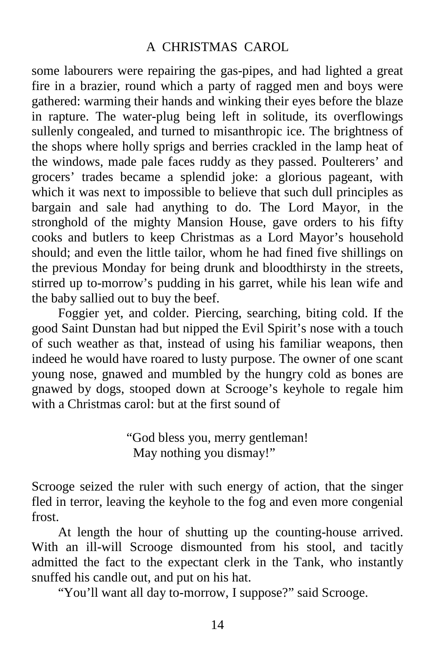#### A CHRISTMAS CAROL

some labourers were repairing the gas-pipes, and had lighted a great fire in a brazier, round which a party of ragged men and boys were gathered: warming their hands and winking their eyes before the blaze in rapture. The water-plug being left in solitude, its overflowings sullenly congealed, and turned to misanthropic ice. The brightness of the shops where holly sprigs and berries crackled in the lamp heat of the windows, made pale faces ruddy as they passed. Poulterers' and grocers' trades became a splendid joke: a glorious pageant, with which it was next to impossible to believe that such dull principles as bargain and sale had anything to do. The Lord Mayor, in the stronghold of the mighty Mansion House, gave orders to his fifty cooks and butlers to keep Christmas as a Lord Mayor's household should; and even the little tailor, whom he had fined five shillings on the previous Monday for being drunk and bloodthirsty in the streets, stirred up to-morrow's pudding in his garret, while his lean wife and the baby sallied out to buy the beef.

Foggier yet, and colder. Piercing, searching, biting cold. If the good Saint Dunstan had but nipped the Evil Spirit's nose with a touch of such weather as that, instead of using his familiar weapons, then indeed he would have roared to lusty purpose. The owner of one scant young nose, gnawed and mumbled by the hungry cold as bones are gnawed by dogs, stooped down at Scrooge's keyhole to regale him with a Christmas carol: but at the first sound of

> "God bless you, merry gentleman! May nothing you dismay!"

Scrooge seized the ruler with such energy of action, that the singer fled in terror, leaving the keyhole to the fog and even more congenial frost.

At length the hour of shutting up the counting-house arrived. With an ill-will Scrooge dismounted from his stool, and tacitly admitted the fact to the expectant clerk in the Tank, who instantly snuffed his candle out, and put on his hat.

"You'll want all day to-morrow, I suppose?" said Scrooge.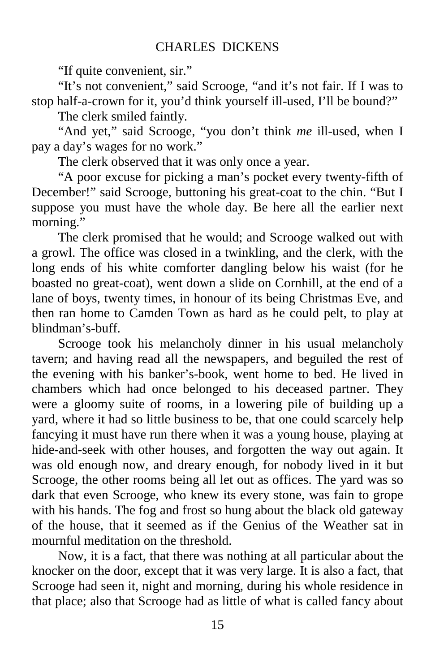"If quite convenient, sir."

"It's not convenient," said Scrooge, "and it's not fair. If I was to stop half-a-crown for it, you'd think yourself ill-used, I'll be bound?"

The clerk smiled faintly.

"And yet," said Scrooge, "you don't think *me* ill-used, when I pay a day's wages for no work."

The clerk observed that it was only once a year.

"A poor excuse for picking a man's pocket every twenty-fifth of December!" said Scrooge, buttoning his great-coat to the chin. "But I suppose you must have the whole day. Be here all the earlier next morning."

The clerk promised that he would; and Scrooge walked out with a growl. The office was closed in a twinkling, and the clerk, with the long ends of his white comforter dangling below his waist (for he boasted no great-coat), went down a slide on Cornhill, at the end of a lane of boys, twenty times, in honour of its being Christmas Eve, and then ran home to Camden Town as hard as he could pelt, to play at blindman's-buff.

Scrooge took his melancholy dinner in his usual melancholy tavern; and having read all the newspapers, and beguiled the rest of the evening with his banker's-book, went home to bed. He lived in chambers which had once belonged to his deceased partner. They were a gloomy suite of rooms, in a lowering pile of building up a yard, where it had so little business to be, that one could scarcely help fancying it must have run there when it was a young house, playing at hide-and-seek with other houses, and forgotten the way out again. It was old enough now, and dreary enough, for nobody lived in it but Scrooge, the other rooms being all let out as offices. The yard was so dark that even Scrooge, who knew its every stone, was fain to grope with his hands. The fog and frost so hung about the black old gateway of the house, that it seemed as if the Genius of the Weather sat in mournful meditation on the threshold.

Now, it is a fact, that there was nothing at all particular about the knocker on the door, except that it was very large. It is also a fact, that Scrooge had seen it, night and morning, during his whole residence in that place; also that Scrooge had as little of what is called fancy about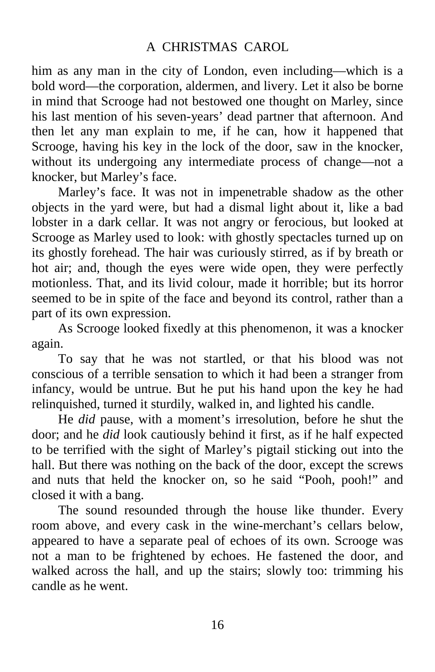him as any man in the city of London, even including—which is a bold word—the corporation, aldermen, and livery. Let it also be borne in mind that Scrooge had not bestowed one thought on Marley, since his last mention of his seven-years' dead partner that afternoon. And then let any man explain to me, if he can, how it happened that Scrooge, having his key in the lock of the door, saw in the knocker, without its undergoing any intermediate process of change—not a knocker, but Marley's face.

Marley's face. It was not in impenetrable shadow as the other objects in the yard were, but had a dismal light about it, like a bad lobster in a dark cellar. It was not angry or ferocious, but looked at Scrooge as Marley used to look: with ghostly spectacles turned up on its ghostly forehead. The hair was curiously stirred, as if by breath or hot air; and, though the eyes were wide open, they were perfectly motionless. That, and its livid colour, made it horrible; but its horror seemed to be in spite of the face and beyond its control, rather than a part of its own expression.

As Scrooge looked fixedly at this phenomenon, it was a knocker again.

To say that he was not startled, or that his blood was not conscious of a terrible sensation to which it had been a stranger from infancy, would be untrue. But he put his hand upon the key he had relinquished, turned it sturdily, walked in, and lighted his candle.

He *did* pause, with a moment's irresolution, before he shut the door; and he *did* look cautiously behind it first, as if he half expected to be terrified with the sight of Marley's pigtail sticking out into the hall. But there was nothing on the back of the door, except the screws and nuts that held the knocker on, so he said "Pooh, pooh!" and closed it with a bang.

The sound resounded through the house like thunder. Every room above, and every cask in the wine-merchant's cellars below, appeared to have a separate peal of echoes of its own. Scrooge was not a man to be frightened by echoes. He fastened the door, and walked across the hall, and up the stairs; slowly too: trimming his candle as he went.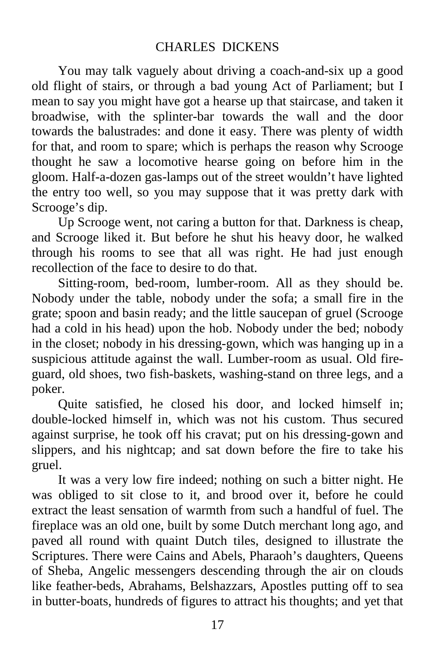You may talk vaguely about driving a coach-and-six up a good old flight of stairs, or through a bad young Act of Parliament; but I mean to say you might have got a hearse up that staircase, and taken it broadwise, with the splinter-bar towards the wall and the door towards the balustrades: and done it easy. There was plenty of width for that, and room to spare; which is perhaps the reason why Scrooge thought he saw a locomotive hearse going on before him in the gloom. Half-a-dozen gas-lamps out of the street wouldn't have lighted the entry too well, so you may suppose that it was pretty dark with Scrooge's dip.

Up Scrooge went, not caring a button for that. Darkness is cheap, and Scrooge liked it. But before he shut his heavy door, he walked through his rooms to see that all was right. He had just enough recollection of the face to desire to do that.

Sitting-room, bed-room, lumber-room. All as they should be. Nobody under the table, nobody under the sofa; a small fire in the grate; spoon and basin ready; and the little saucepan of gruel (Scrooge had a cold in his head) upon the hob. Nobody under the bed; nobody in the closet; nobody in his dressing-gown, which was hanging up in a suspicious attitude against the wall. Lumber-room as usual. Old fireguard, old shoes, two fish-baskets, washing-stand on three legs, and a poker.

Quite satisfied, he closed his door, and locked himself in; double-locked himself in, which was not his custom. Thus secured against surprise, he took off his cravat; put on his dressing-gown and slippers, and his nightcap; and sat down before the fire to take his gruel.

It was a very low fire indeed; nothing on such a bitter night. He was obliged to sit close to it, and brood over it, before he could extract the least sensation of warmth from such a handful of fuel. The fireplace was an old one, built by some Dutch merchant long ago, and paved all round with quaint Dutch tiles, designed to illustrate the Scriptures. There were Cains and Abels, Pharaoh's daughters, Queens of Sheba, Angelic messengers descending through the air on clouds like feather-beds, Abrahams, Belshazzars, Apostles putting off to sea in butter-boats, hundreds of figures to attract his thoughts; and yet that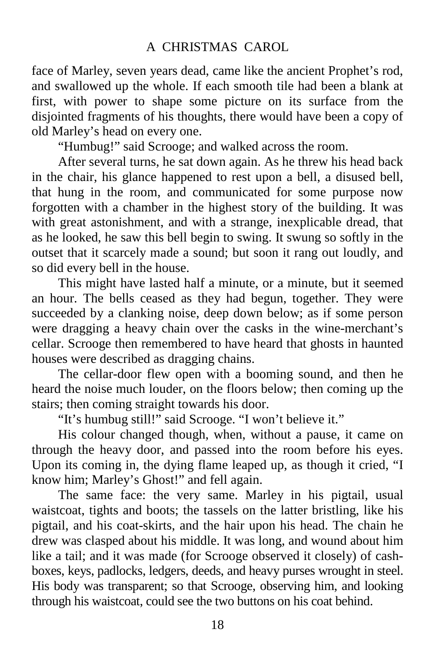face of Marley, seven years dead, came like the ancient Prophet's rod, and swallowed up the whole. If each smooth tile had been a blank at first, with power to shape some picture on its surface from the disjointed fragments of his thoughts, there would have been a copy of old Marley's head on every one.

"Humbug!" said Scrooge; and walked across the room.

After several turns, he sat down again. As he threw his head back in the chair, his glance happened to rest upon a bell, a disused bell, that hung in the room, and communicated for some purpose now forgotten with a chamber in the highest story of the building. It was with great astonishment, and with a strange, inexplicable dread, that as he looked, he saw this bell begin to swing. It swung so softly in the outset that it scarcely made a sound; but soon it rang out loudly, and so did every bell in the house.

This might have lasted half a minute, or a minute, but it seemed an hour. The bells ceased as they had begun, together. They were succeeded by a clanking noise, deep down below; as if some person were dragging a heavy chain over the casks in the wine-merchant's cellar. Scrooge then remembered to have heard that ghosts in haunted houses were described as dragging chains.

The cellar-door flew open with a booming sound, and then he heard the noise much louder, on the floors below; then coming up the stairs; then coming straight towards his door.

"It's humbug still!" said Scrooge. "I won't believe it."

His colour changed though, when, without a pause, it came on through the heavy door, and passed into the room before his eyes. Upon its coming in, the dying flame leaped up, as though it cried, "I know him; Marley's Ghost!" and fell again.

The same face: the very same. Marley in his pigtail, usual waistcoat, tights and boots; the tassels on the latter bristling, like his pigtail, and his coat-skirts, and the hair upon his head. The chain he drew was clasped about his middle. It was long, and wound about him like a tail; and it was made (for Scrooge observed it closely) of cashboxes, keys, padlocks, ledgers, deeds, and heavy purses wrought in steel. His body was transparent; so that Scrooge, observing him, and looking through his waistcoat, could see the two buttons on his coat behind.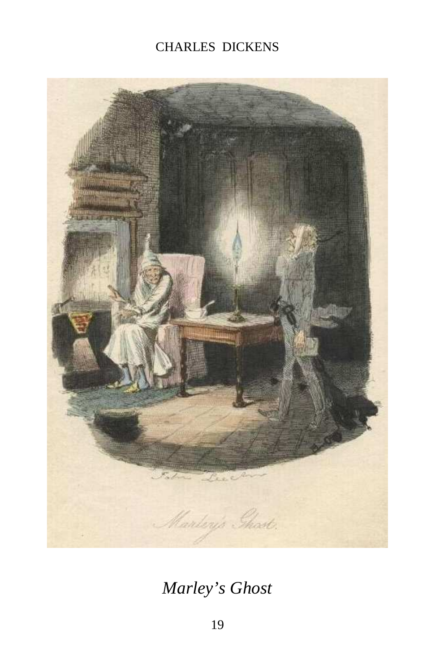#### CHARLES DICKENS

<span id="page-18-0"></span>

*Marley's Ghost*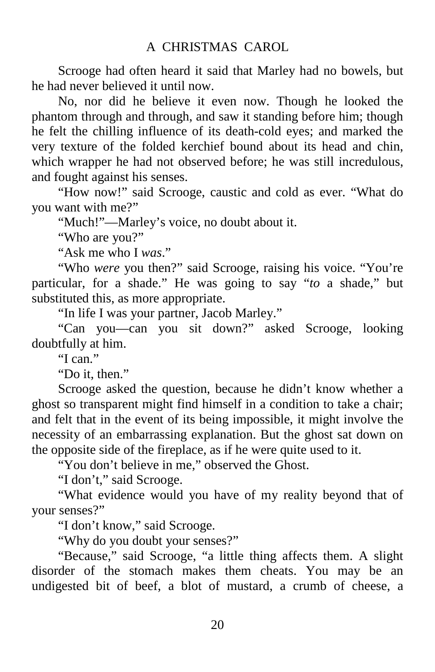Scrooge had often heard it said that Marley had no bowels, but he had never believed it until now.

No, nor did he believe it even now. Though he looked the phantom through and through, and saw it standing before him; though he felt the chilling influence of its death-cold eyes; and marked the very texture of the folded kerchief bound about its head and chin, which wrapper he had not observed before; he was still incredulous, and fought against his senses.

"How now!" said Scrooge, caustic and cold as ever. "What do you want with me?"

"Much!"—Marley's voice, no doubt about it.

"Who are you?"

"Ask me who I *was*."

"Who *were* you then?" said Scrooge, raising his voice. "You're particular, for a shade." He was going to say "*to* a shade," but substituted this, as more appropriate.

"In life I was your partner, Jacob Marley."

"Can you—can you sit down?" asked Scrooge, looking doubtfully at him.

"I can"

"Do it, then."

Scrooge asked the question, because he didn't know whether a ghost so transparent might find himself in a condition to take a chair; and felt that in the event of its being impossible, it might involve the necessity of an embarrassing explanation. But the ghost sat down on the opposite side of the fireplace, as if he were quite used to it.

"You don't believe in me," observed the Ghost.

"I don't," said Scrooge.

"What evidence would you have of my reality beyond that of your senses?"

"I don't know," said Scrooge.

"Why do you doubt your senses?"

"Because," said Scrooge, "a little thing affects them. A slight disorder of the stomach makes them cheats. You may be an undigested bit of beef, a blot of mustard, a crumb of cheese, a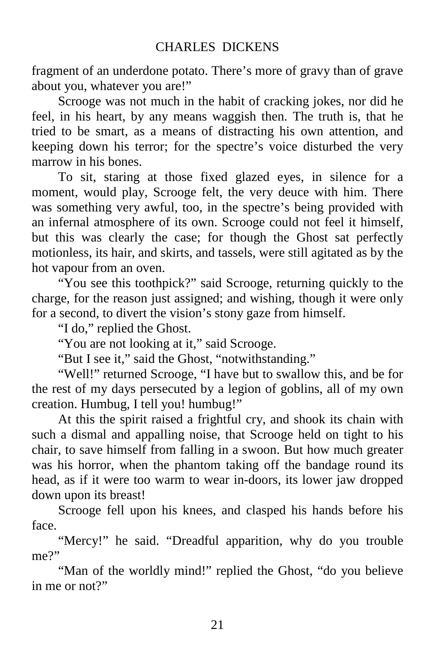fragment of an underdone potato. There's more of gravy than of grave about you, whatever you are!"

Scrooge was not much in the habit of cracking jokes, nor did he feel, in his heart, by any means waggish then. The truth is, that he tried to be smart, as a means of distracting his own attention, and keeping down his terror; for the spectre's voice disturbed the very marrow in his bones.

To sit, staring at those fixed glazed eyes, in silence for a moment, would play, Scrooge felt, the very deuce with him. There was something very awful, too, in the spectre's being provided with an infernal atmosphere of its own. Scrooge could not feel it himself, but this was clearly the case; for though the Ghost sat perfectly motionless, its hair, and skirts, and tassels, were still agitated as by the hot vapour from an oven.

"You see this toothpick?" said Scrooge, returning quickly to the charge, for the reason just assigned; and wishing, though it were only for a second, to divert the vision's stony gaze from himself.

"I do," replied the Ghost.

"You are not looking at it," said Scrooge.

"But I see it," said the Ghost, "notwithstanding."

"Well!" returned Scrooge, "I have but to swallow this, and be for the rest of my days persecuted by a legion of goblins, all of my own creation. Humbug, I tell you! humbug!"

At this the spirit raised a frightful cry, and shook its chain with such a dismal and appalling noise, that Scrooge held on tight to his chair, to save himself from falling in a swoon. But how much greater was his horror, when the phantom taking off the bandage round its head, as if it were too warm to wear in-doors, its lower jaw dropped down upon its breast!

Scrooge fell upon his knees, and clasped his hands before his face.

"Mercy!" he said. "Dreadful apparition, why do you trouble me?"

"Man of the worldly mind!" replied the Ghost, "do you believe in me or not?"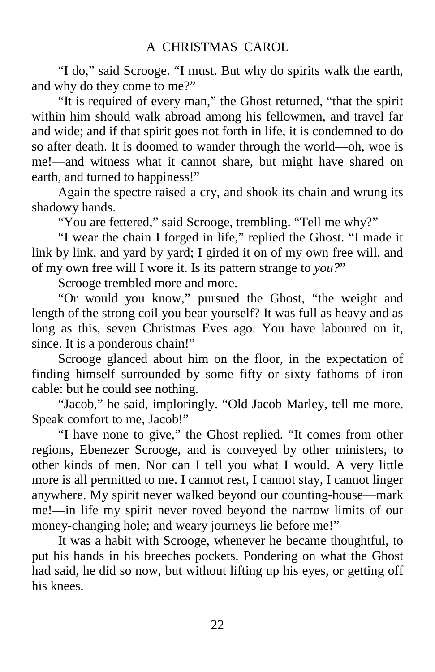#### A CHRISTMAS CAROL

"I do," said Scrooge. "I must. But why do spirits walk the earth, and why do they come to me?"

"It is required of every man," the Ghost returned, "that the spirit within him should walk abroad among his fellowmen, and travel far and wide; and if that spirit goes not forth in life, it is condemned to do so after death. It is doomed to wander through the world—oh, woe is me!—and witness what it cannot share, but might have shared on earth, and turned to happiness!"

Again the spectre raised a cry, and shook its chain and wrung its shadowy hands.

"You are fettered," said Scrooge, trembling. "Tell me why?"

"I wear the chain I forged in life," replied the Ghost. "I made it link by link, and yard by yard; I girded it on of my own free will, and of my own free will I wore it. Is its pattern strange to *you?*"

Scrooge trembled more and more.

"Or would you know," pursued the Ghost, "the weight and length of the strong coil you bear yourself? It was full as heavy and as long as this, seven Christmas Eves ago. You have laboured on it, since. It is a ponderous chain!"

Scrooge glanced about him on the floor, in the expectation of finding himself surrounded by some fifty or sixty fathoms of iron cable: but he could see nothing.

"Jacob," he said, imploringly. "Old Jacob Marley, tell me more. Speak comfort to me, Jacob!"

"I have none to give," the Ghost replied. "It comes from other regions, Ebenezer Scrooge, and is conveyed by other ministers, to other kinds of men. Nor can I tell you what I would. A very little more is all permitted to me. I cannot rest, I cannot stay, I cannot linger anywhere. My spirit never walked beyond our counting-house—mark me!—in life my spirit never roved beyond the narrow limits of our money-changing hole; and weary journeys lie before me!"

It was a habit with Scrooge, whenever he became thoughtful, to put his hands in his breeches pockets. Pondering on what the Ghost had said, he did so now, but without lifting up his eyes, or getting off his knees.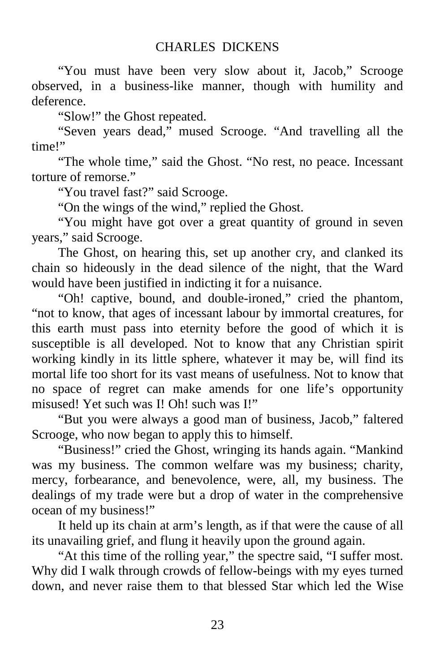#### CHARLES DICKENS

"You must have been very slow about it, Jacob," Scrooge observed, in a business-like manner, though with humility and deference.

"Slow!" the Ghost repeated.

"Seven years dead," mused Scrooge. "And travelling all the time!"

"The whole time," said the Ghost. "No rest, no peace. Incessant torture of remorse."

"You travel fast?" said Scrooge.

"On the wings of the wind," replied the Ghost.

"You might have got over a great quantity of ground in seven years," said Scrooge.

The Ghost, on hearing this, set up another cry, and clanked its chain so hideously in the dead silence of the night, that the Ward would have been justified in indicting it for a nuisance.

"Oh! captive, bound, and double-ironed," cried the phantom, "not to know, that ages of incessant labour by immortal creatures, for this earth must pass into eternity before the good of which it is susceptible is all developed. Not to know that any Christian spirit working kindly in its little sphere, whatever it may be, will find its mortal life too short for its vast means of usefulness. Not to know that no space of regret can make amends for one life's opportunity misused! Yet such was I! Oh! such was I!"

"But you were always a good man of business, Jacob," faltered Scrooge, who now began to apply this to himself.

"Business!" cried the Ghost, wringing its hands again. "Mankind was my business. The common welfare was my business; charity, mercy, forbearance, and benevolence, were, all, my business. The dealings of my trade were but a drop of water in the comprehensive ocean of my business!"

It held up its chain at arm's length, as if that were the cause of all its unavailing grief, and flung it heavily upon the ground again.

"At this time of the rolling year," the spectre said, "I suffer most. Why did I walk through crowds of fellow-beings with my eyes turned down, and never raise them to that blessed Star which led the Wise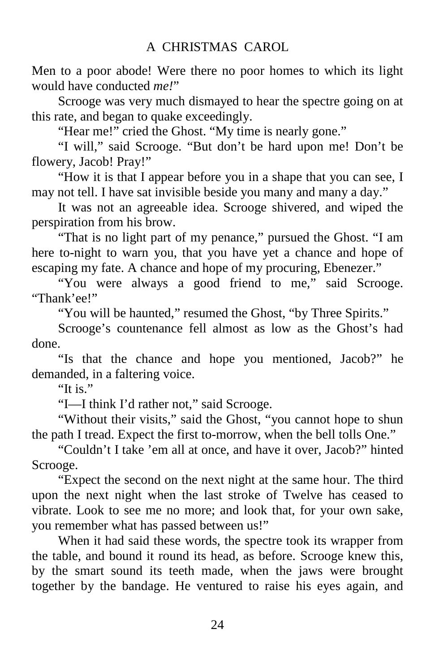Men to a poor abode! Were there no poor homes to which its light would have conducted *me!*"

Scrooge was very much dismayed to hear the spectre going on at this rate, and began to quake exceedingly.

"Hear me!" cried the Ghost. "My time is nearly gone."

"I will," said Scrooge. "But don't be hard upon me! Don't be flowery, Jacob! Pray!"

"How it is that I appear before you in a shape that you can see, I may not tell. I have sat invisible beside you many and many a day."

It was not an agreeable idea. Scrooge shivered, and wiped the perspiration from his brow.

"That is no light part of my penance," pursued the Ghost. "I am here to-night to warn you, that you have yet a chance and hope of escaping my fate. A chance and hope of my procuring, Ebenezer."

"You were always a good friend to me," said Scrooge. "Thank'ee!"

"You will be haunted," resumed the Ghost, "by Three Spirits."

Scrooge's countenance fell almost as low as the Ghost's had done.

"Is that the chance and hope you mentioned, Jacob?" he demanded, in a faltering voice.

"It is."

"I—I think I'd rather not," said Scrooge.

"Without their visits," said the Ghost, "you cannot hope to shun the path I tread. Expect the first to-morrow, when the bell tolls One."

"Couldn't I take 'em all at once, and have it over, Jacob?" hinted Scrooge.

"Expect the second on the next night at the same hour. The third upon the next night when the last stroke of Twelve has ceased to vibrate. Look to see me no more; and look that, for your own sake, you remember what has passed between us!"

When it had said these words, the spectre took its wrapper from the table, and bound it round its head, as before. Scrooge knew this, by the smart sound its teeth made, when the jaws were brought together by the bandage. He ventured to raise his eyes again, and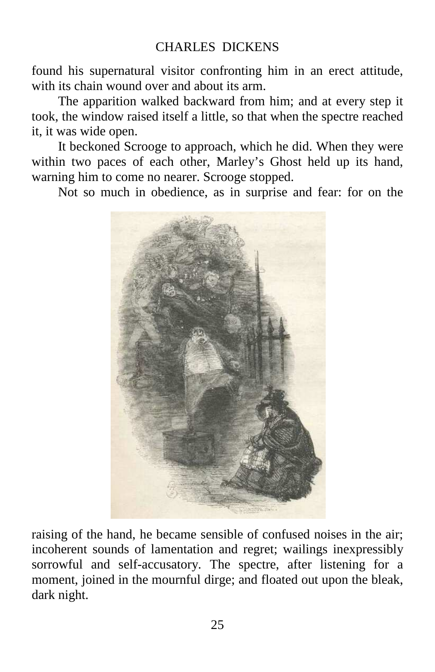#### CHARLES DICKENS

<span id="page-24-0"></span>found his supernatural visitor confronting him in an erect attitude, with its chain wound over and about its arm.

The apparition walked backward from him; and at every step it took, the window raised itself a little, so that when the spectre reached it, it was wide open.

It beckoned Scrooge to approach, which he did. When they were within two paces of each other, Marley's Ghost held up its hand, warning him to come no nearer. Scrooge stopped.

Not so much in obedience, as in surprise and fear: for on the



raising of the hand, he became sensible of confused noises in the air; incoherent sounds of lamentation and regret; wailings inexpressibly sorrowful and self-accusatory. The spectre, after listening for a moment, joined in the mournful dirge; and floated out upon the bleak, dark night.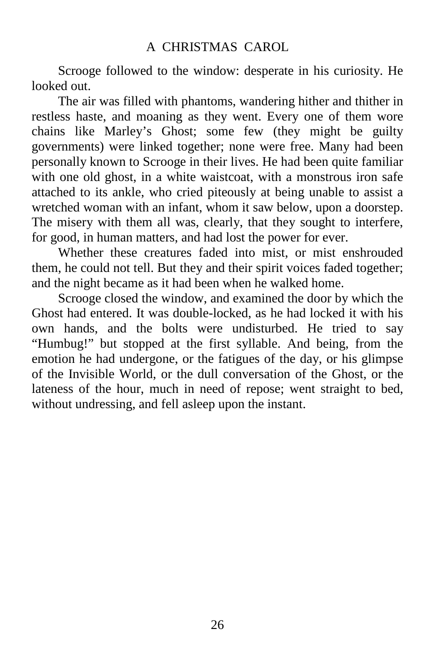#### A CHRISTMAS CAROL

Scrooge followed to the window: desperate in his curiosity. He looked out.

The air was filled with phantoms, wandering hither and thither in restless haste, and moaning as they went. Every one of them wore chains like Marley's Ghost; some few (they might be guilty governments) were linked together; none were free. Many had been personally known to Scrooge in their lives. He had been quite familiar with one old ghost, in a white waistcoat, with a monstrous iron safe attached to its ankle, who cried piteously at being unable to assist a wretched woman with an infant, whom it saw below, upon a doorstep. The misery with them all was, clearly, that they sought to interfere, for good, in human matters, and had lost the power for ever.

Whether these creatures faded into mist, or mist enshrouded them, he could not tell. But they and their spirit voices faded together; and the night became as it had been when he walked home.

Scrooge closed the window, and examined the door by which the Ghost had entered. It was double-locked, as he had locked it with his own hands, and the bolts were undisturbed. He tried to say "Humbug!" but stopped at the first syllable. And being, from the emotion he had undergone, or the fatigues of the day, or his glimpse of the Invisible World, or the dull conversation of the Ghost, or the lateness of the hour, much in need of repose; went straight to bed, without undressing, and fell asleep upon the instant.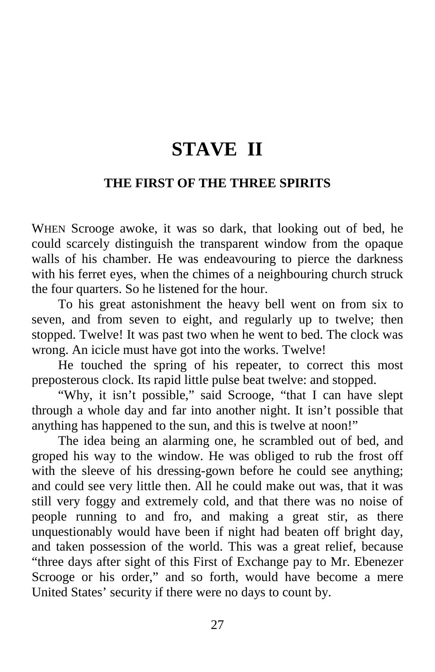### **STAVE II**

#### <span id="page-26-0"></span>**THE FIRST OF THE THREE SPIRITS**

WHEN Scrooge awoke, it was so dark, that looking out of bed, he could scarcely distinguish the transparent window from the opaque walls of his chamber. He was endeavouring to pierce the darkness with his ferret eyes, when the chimes of a neighbouring church struck the four quarters. So he listened for the hour.

To his great astonishment the heavy bell went on from six to seven, and from seven to eight, and regularly up to twelve; then stopped. Twelve! It was past two when he went to bed. The clock was wrong. An icicle must have got into the works. Twelve!

He touched the spring of his repeater, to correct this most preposterous clock. Its rapid little pulse beat twelve: and stopped.

"Why, it isn't possible," said Scrooge, "that I can have slept through a whole day and far into another night. It isn't possible that anything has happened to the sun, and this is twelve at noon!"

The idea being an alarming one, he scrambled out of bed, and groped his way to the window. He was obliged to rub the frost off with the sleeve of his dressing-gown before he could see anything; and could see very little then. All he could make out was, that it was still very foggy and extremely cold, and that there was no noise of people running to and fro, and making a great stir, as there unquestionably would have been if night had beaten off bright day, and taken possession of the world. This was a great relief, because "three days after sight of this First of Exchange pay to Mr. Ebenezer Scrooge or his order," and so forth, would have become a mere United States' security if there were no days to count by.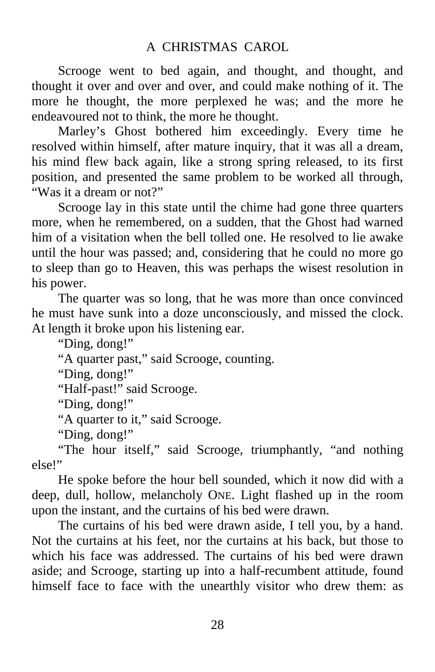Scrooge went to bed again, and thought, and thought, and thought it over and over and over, and could make nothing of it. The more he thought, the more perplexed he was; and the more he endeavoured not to think, the more he thought.

Marley's Ghost bothered him exceedingly. Every time he resolved within himself, after mature inquiry, that it was all a dream, his mind flew back again, like a strong spring released, to its first position, and presented the same problem to be worked all through, "Was it a dream or not?"

Scrooge lay in this state until the chime had gone three quarters more, when he remembered, on a sudden, that the Ghost had warned him of a visitation when the bell tolled one. He resolved to lie awake until the hour was passed; and, considering that he could no more go to sleep than go to Heaven, this was perhaps the wisest resolution in his power.

The quarter was so long, that he was more than once convinced he must have sunk into a doze unconsciously, and missed the clock. At length it broke upon his listening ear.

"Ding, dong!"

"A quarter past," said Scrooge, counting.

"Ding, dong!"

"Half-past!" said Scrooge.

"Ding, dong!"

"A quarter to it," said Scrooge.

"Ding, dong!"

"The hour itself," said Scrooge, triumphantly, "and nothing else!"

He spoke before the hour bell sounded, which it now did with a deep, dull, hollow, melancholy ONE. Light flashed up in the room upon the instant, and the curtains of his bed were drawn.

The curtains of his bed were drawn aside, I tell you, by a hand. Not the curtains at his feet, nor the curtains at his back, but those to which his face was addressed. The curtains of his bed were drawn aside; and Scrooge, starting up into a half-recumbent attitude, found himself face to face with the unearthly visitor who drew them: as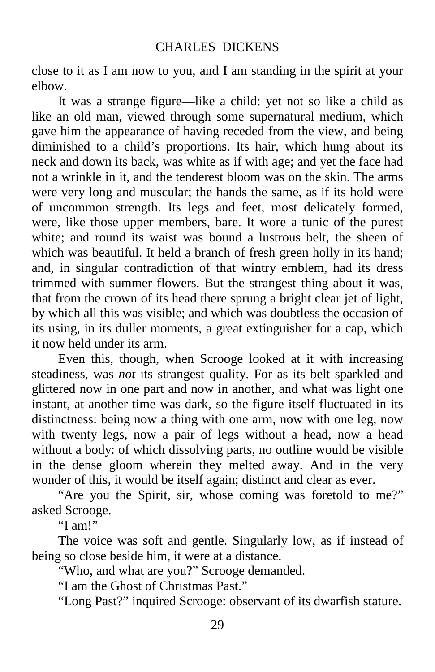#### CHARLES DICKENS

close to it as I am now to you, and I am standing in the spirit at your elbow.

It was a strange figure—like a child: yet not so like a child as like an old man, viewed through some supernatural medium, which gave him the appearance of having receded from the view, and being diminished to a child's proportions. Its hair, which hung about its neck and down its back, was white as if with age; and yet the face had not a wrinkle in it, and the tenderest bloom was on the skin. The arms were very long and muscular; the hands the same, as if its hold were of uncommon strength. Its legs and feet, most delicately formed, were, like those upper members, bare. It wore a tunic of the purest white; and round its waist was bound a lustrous belt, the sheen of which was beautiful. It held a branch of fresh green holly in its hand; and, in singular contradiction of that wintry emblem, had its dress trimmed with summer flowers. But the strangest thing about it was, that from the crown of its head there sprung a bright clear jet of light, by which all this was visible; and which was doubtless the occasion of its using, in its duller moments, a great extinguisher for a cap, which it now held under its arm.

Even this, though, when Scrooge looked at it with increasing steadiness, was *not* its strangest quality. For as its belt sparkled and glittered now in one part and now in another, and what was light one instant, at another time was dark, so the figure itself fluctuated in its distinctness: being now a thing with one arm, now with one leg, now with twenty legs, now a pair of legs without a head, now a head without a body: of which dissolving parts, no outline would be visible in the dense gloom wherein they melted away. And in the very wonder of this, it would be itself again; distinct and clear as ever.

"Are you the Spirit, sir, whose coming was foretold to me?" asked Scrooge.

"I am!"

The voice was soft and gentle. Singularly low, as if instead of being so close beside him, it were at a distance.

"Who, and what are you?" Scrooge demanded.

"I am the Ghost of Christmas Past."

"Long Past?" inquired Scrooge: observant of its dwarfish stature.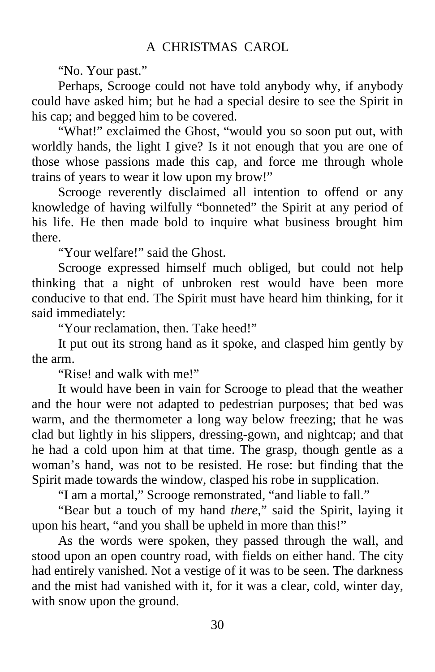"No. Your past."

Perhaps, Scrooge could not have told anybody why, if anybody could have asked him; but he had a special desire to see the Spirit in his cap; and begged him to be covered.

"What!" exclaimed the Ghost, "would you so soon put out, with worldly hands, the light I give? Is it not enough that you are one of those whose passions made this cap, and force me through whole trains of years to wear it low upon my brow!"

Scrooge reverently disclaimed all intention to offend or any knowledge of having wilfully "bonneted" the Spirit at any period of his life. He then made bold to inquire what business brought him there.

"Your welfare!" said the Ghost.

Scrooge expressed himself much obliged, but could not help thinking that a night of unbroken rest would have been more conducive to that end. The Spirit must have heard him thinking, for it said immediately:

"Your reclamation, then. Take heed!"

It put out its strong hand as it spoke, and clasped him gently by the arm.

"Rise! and walk with me!"

It would have been in vain for Scrooge to plead that the weather and the hour were not adapted to pedestrian purposes; that bed was warm, and the thermometer a long way below freezing; that he was clad but lightly in his slippers, dressing-gown, and nightcap; and that he had a cold upon him at that time. The grasp, though gentle as a woman's hand, was not to be resisted. He rose: but finding that the Spirit made towards the window, clasped his robe in supplication.

"I am a mortal," Scrooge remonstrated, "and liable to fall."

"Bear but a touch of my hand *there*," said the Spirit, laying it upon his heart, "and you shall be upheld in more than this!"

As the words were spoken, they passed through the wall, and stood upon an open country road, with fields on either hand. The city had entirely vanished. Not a vestige of it was to be seen. The darkness and the mist had vanished with it, for it was a clear, cold, winter day, with snow upon the ground.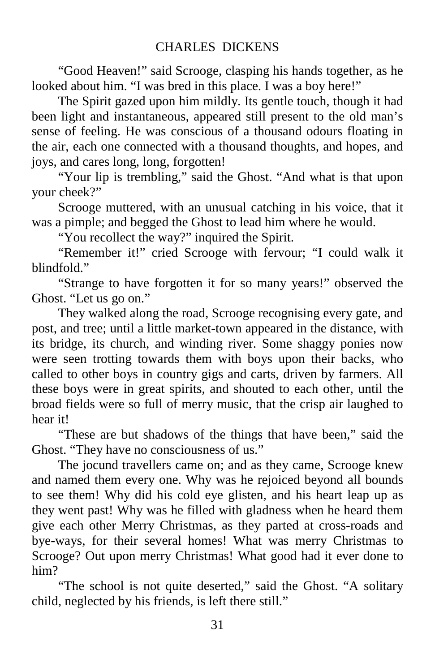"Good Heaven!" said Scrooge, clasping his hands together, as he looked about him. "I was bred in this place. I was a boy here!"

The Spirit gazed upon him mildly. Its gentle touch, though it had been light and instantaneous, appeared still present to the old man's sense of feeling. He was conscious of a thousand odours floating in the air, each one connected with a thousand thoughts, and hopes, and joys, and cares long, long, forgotten!

"Your lip is trembling," said the Ghost. "And what is that upon your cheek?"

Scrooge muttered, with an unusual catching in his voice, that it was a pimple; and begged the Ghost to lead him where he would.

"You recollect the way?" inquired the Spirit.

"Remember it!" cried Scrooge with fervour; "I could walk it blindfold."

"Strange to have forgotten it for so many years!" observed the Ghost. "Let us go on."

They walked along the road, Scrooge recognising every gate, and post, and tree; until a little market-town appeared in the distance, with its bridge, its church, and winding river. Some shaggy ponies now were seen trotting towards them with boys upon their backs, who called to other boys in country gigs and carts, driven by farmers. All these boys were in great spirits, and shouted to each other, until the broad fields were so full of merry music, that the crisp air laughed to hear it!

"These are but shadows of the things that have been," said the Ghost. "They have no consciousness of us."

The jocund travellers came on; and as they came, Scrooge knew and named them every one. Why was he rejoiced beyond all bounds to see them! Why did his cold eye glisten, and his heart leap up as they went past! Why was he filled with gladness when he heard them give each other Merry Christmas, as they parted at cross-roads and bye-ways, for their several homes! What was merry Christmas to Scrooge? Out upon merry Christmas! What good had it ever done to him?

"The school is not quite deserted," said the Ghost. "A solitary child, neglected by his friends, is left there still."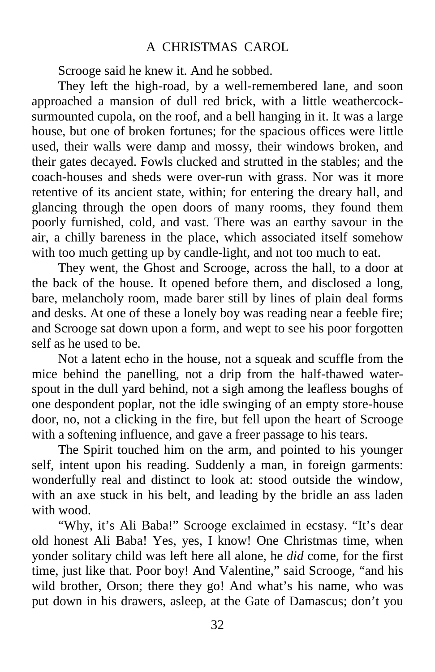#### A CHRISTMAS CAROL

Scrooge said he knew it. And he sobbed.

They left the high-road, by a well-remembered lane, and soon approached a mansion of dull red brick, with a little weathercocksurmounted cupola, on the roof, and a bell hanging in it. It was a large house, but one of broken fortunes; for the spacious offices were little used, their walls were damp and mossy, their windows broken, and their gates decayed. Fowls clucked and strutted in the stables; and the coach-houses and sheds were over-run with grass. Nor was it more retentive of its ancient state, within; for entering the dreary hall, and glancing through the open doors of many rooms, they found them poorly furnished, cold, and vast. There was an earthy savour in the air, a chilly bareness in the place, which associated itself somehow with too much getting up by candle-light, and not too much to eat.

They went, the Ghost and Scrooge, across the hall, to a door at the back of the house. It opened before them, and disclosed a long, bare, melancholy room, made barer still by lines of plain deal forms and desks. At one of these a lonely boy was reading near a feeble fire; and Scrooge sat down upon a form, and wept to see his poor forgotten self as he used to be.

Not a latent echo in the house, not a squeak and scuffle from the mice behind the panelling, not a drip from the half-thawed waterspout in the dull yard behind, not a sigh among the leafless boughs of one despondent poplar, not the idle swinging of an empty store-house door, no, not a clicking in the fire, but fell upon the heart of Scrooge with a softening influence, and gave a freer passage to his tears.

The Spirit touched him on the arm, and pointed to his younger self, intent upon his reading. Suddenly a man, in foreign garments: wonderfully real and distinct to look at: stood outside the window, with an axe stuck in his belt, and leading by the bridle an ass laden with wood.

"Why, it's Ali Baba!" Scrooge exclaimed in ecstasy. "It's dear old honest Ali Baba! Yes, yes, I know! One Christmas time, when yonder solitary child was left here all alone, he *did* come, for the first time, just like that. Poor boy! And Valentine," said Scrooge, "and his wild brother, Orson; there they go! And what's his name, who was put down in his drawers, asleep, at the Gate of Damascus; don't you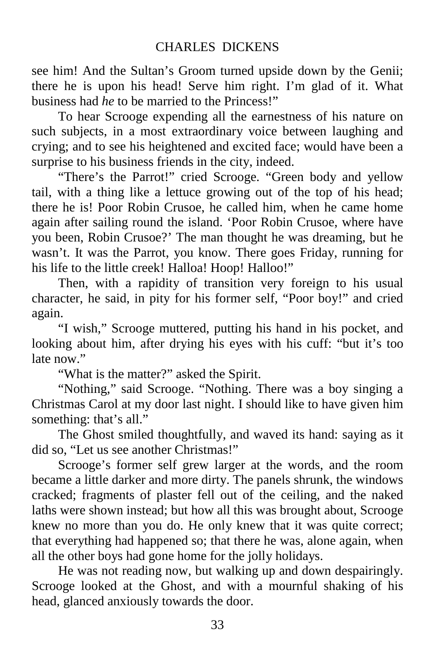see him! And the Sultan's Groom turned upside down by the Genii; there he is upon his head! Serve him right. I'm glad of it. What business had *he* to be married to the Princess!"

To hear Scrooge expending all the earnestness of his nature on such subjects, in a most extraordinary voice between laughing and crying; and to see his heightened and excited face; would have been a surprise to his business friends in the city, indeed.

"There's the Parrot!" cried Scrooge. "Green body and yellow tail, with a thing like a lettuce growing out of the top of his head; there he is! Poor Robin Crusoe, he called him, when he came home again after sailing round the island. 'Poor Robin Crusoe, where have you been, Robin Crusoe?' The man thought he was dreaming, but he wasn't. It was the Parrot, you know. There goes Friday, running for his life to the little creek! Halloa! Hoop! Halloo!"

Then, with a rapidity of transition very foreign to his usual character, he said, in pity for his former self, "Poor boy!" and cried again.

"I wish," Scrooge muttered, putting his hand in his pocket, and looking about him, after drying his eyes with his cuff: "but it's too late now."

"What is the matter?" asked the Spirit.

"Nothing," said Scrooge. "Nothing. There was a boy singing a Christmas Carol at my door last night. I should like to have given him something: that's all."

The Ghost smiled thoughtfully, and waved its hand: saying as it did so, "Let us see another Christmas!"

Scrooge's former self grew larger at the words, and the room became a little darker and more dirty. The panels shrunk, the windows cracked; fragments of plaster fell out of the ceiling, and the naked laths were shown instead; but how all this was brought about, Scrooge knew no more than you do. He only knew that it was quite correct; that everything had happened so; that there he was, alone again, when all the other boys had gone home for the jolly holidays.

He was not reading now, but walking up and down despairingly. Scrooge looked at the Ghost, and with a mournful shaking of his head, glanced anxiously towards the door.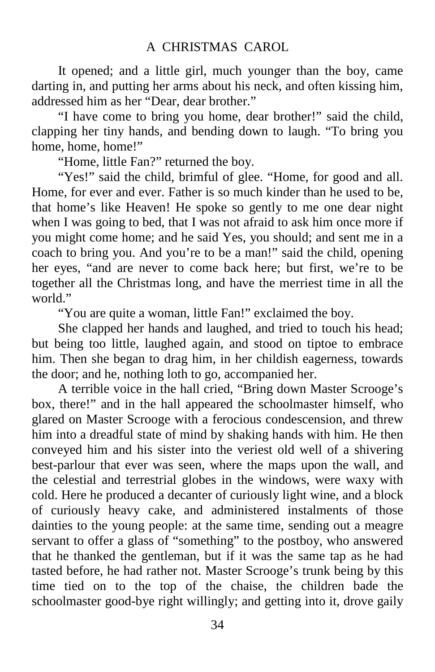It opened; and a little girl, much younger than the boy, came darting in, and putting her arms about his neck, and often kissing him, addressed him as her "Dear, dear brother."

"I have come to bring you home, dear brother!" said the child, clapping her tiny hands, and bending down to laugh. "To bring you home, home,"

"Home, little Fan?" returned the boy.

"Yes!" said the child, brimful of glee. "Home, for good and all. Home, for ever and ever. Father is so much kinder than he used to be, that home's like Heaven! He spoke so gently to me one dear night when I was going to bed, that I was not afraid to ask him once more if you might come home; and he said Yes, you should; and sent me in a coach to bring you. And you're to be a man!" said the child, opening her eyes, "and are never to come back here; but first, we're to be together all the Christmas long, and have the merriest time in all the world<sup>"</sup>

"You are quite a woman, little Fan!" exclaimed the boy.

She clapped her hands and laughed, and tried to touch his head; but being too little, laughed again, and stood on tiptoe to embrace him. Then she began to drag him, in her childish eagerness, towards the door; and he, nothing loth to go, accompanied her.

A terrible voice in the hall cried, "Bring down Master Scrooge's box, there!" and in the hall appeared the schoolmaster himself, who glared on Master Scrooge with a ferocious condescension, and threw him into a dreadful state of mind by shaking hands with him. He then conveyed him and his sister into the veriest old well of a shivering best-parlour that ever was seen, where the maps upon the wall, and the celestial and terrestrial globes in the windows, were waxy with cold. Here he produced a decanter of curiously light wine, and a block of curiously heavy cake, and administered instalments of those dainties to the young people: at the same time, sending out a meagre servant to offer a glass of "something" to the postboy, who answered that he thanked the gentleman, but if it was the same tap as he had tasted before, he had rather not. Master Scrooge's trunk being by this time tied on to the top of the chaise, the children bade the schoolmaster good-bye right willingly; and getting into it, drove gaily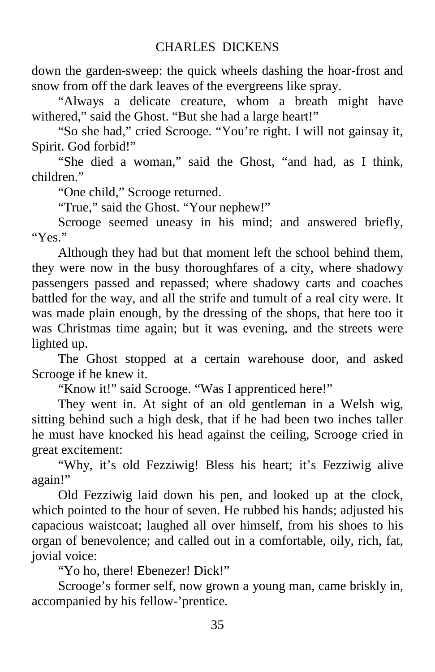down the garden-sweep: the quick wheels dashing the hoar-frost and snow from off the dark leaves of the evergreens like spray.

"Always a delicate creature, whom a breath might have withered," said the Ghost. "But she had a large heart!"

"So she had," cried Scrooge. "You're right. I will not gainsay it, Spirit. God forbid!"

"She died a woman," said the Ghost, "and had, as I think, children<sup>"</sup>

"One child," Scrooge returned.

"True," said the Ghost. "Your nephew!"

Scrooge seemed uneasy in his mind; and answered briefly, "Yes."

Although they had but that moment left the school behind them, they were now in the busy thoroughfares of a city, where shadowy passengers passed and repassed; where shadowy carts and coaches battled for the way, and all the strife and tumult of a real city were. It was made plain enough, by the dressing of the shops, that here too it was Christmas time again; but it was evening, and the streets were lighted up.

The Ghost stopped at a certain warehouse door, and asked Scrooge if he knew it.

"Know it!" said Scrooge. "Was I apprenticed here!"

They went in. At sight of an old gentleman in a Welsh wig, sitting behind such a high desk, that if he had been two inches taller he must have knocked his head against the ceiling, Scrooge cried in great excitement:

"Why, it's old Fezziwig! Bless his heart; it's Fezziwig alive again!"

Old Fezziwig laid down his pen, and looked up at the clock, which pointed to the hour of seven. He rubbed his hands; adjusted his capacious waistcoat; laughed all over himself, from his shoes to his organ of benevolence; and called out in a comfortable, oily, rich, fat, jovial voice:

"Yo ho, there! Ebenezer! Dick!"

Scrooge's former self, now grown a young man, came briskly in, accompanied by his fellow-'prentice.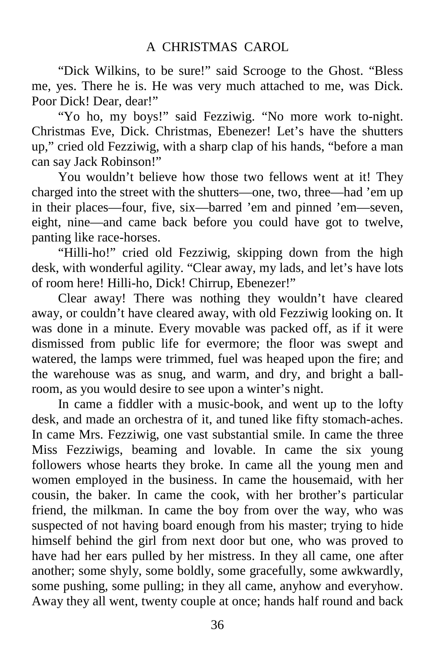"Dick Wilkins, to be sure!" said Scrooge to the Ghost. "Bless me, yes. There he is. He was very much attached to me, was Dick. Poor Dick! Dear, dear!"

"Yo ho, my boys!" said Fezziwig. "No more work to-night. Christmas Eve, Dick. Christmas, Ebenezer! Let's have the shutters up," cried old Fezziwig, with a sharp clap of his hands, "before a man can say Jack Robinson!"

You wouldn't believe how those two fellows went at it! They charged into the street with the shutters—one, two, three—had 'em up in their places—four, five, six—barred 'em and pinned 'em—seven, eight, nine—and came back before you could have got to twelve, panting like race-horses.

"Hilli-ho!" cried old Fezziwig, skipping down from the high desk, with wonderful agility. "Clear away, my lads, and let's have lots of room here! Hilli-ho, Dick! Chirrup, Ebenezer!"

Clear away! There was nothing they wouldn't have cleared away, or couldn't have cleared away, with old Fezziwig looking on. It was done in a minute. Every movable was packed off, as if it were dismissed from public life for evermore; the floor was swept and watered, the lamps were trimmed, fuel was heaped upon the fire; and the warehouse was as snug, and warm, and dry, and bright a ballroom, as you would desire to see upon a winter's night.

In came a fiddler with a music-book, and went up to the lofty desk, and made an orchestra of it, and tuned like fifty stomach-aches. In came Mrs. Fezziwig, one vast substantial smile. In came the three Miss Fezziwigs, beaming and lovable. In came the six young followers whose hearts they broke. In came all the young men and women employed in the business. In came the housemaid, with her cousin, the baker. In came the cook, with her brother's particular friend, the milkman. In came the boy from over the way, who was suspected of not having board enough from his master; trying to hide himself behind the girl from next door but one, who was proved to have had her ears pulled by her mistress. In they all came, one after another; some shyly, some boldly, some gracefully, some awkwardly, some pushing, some pulling; in they all came, anyhow and everyhow. Away they all went, twenty couple at once; hands half round and back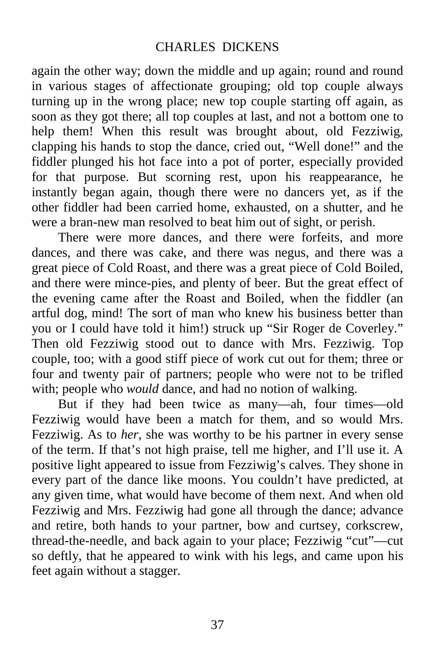again the other way; down the middle and up again; round and round in various stages of affectionate grouping; old top couple always turning up in the wrong place; new top couple starting off again, as soon as they got there; all top couples at last, and not a bottom one to help them! When this result was brought about, old Fezziwig, clapping his hands to stop the dance, cried out, "Well done!" and the fiddler plunged his hot face into a pot of porter, especially provided for that purpose. But scorning rest, upon his reappearance, he instantly began again, though there were no dancers yet, as if the other fiddler had been carried home, exhausted, on a shutter, and he were a bran-new man resolved to beat him out of sight, or perish.

There were more dances, and there were forfeits, and more dances, and there was cake, and there was negus, and there was a great piece of Cold Roast, and there was a great piece of Cold Boiled, and there were mince-pies, and plenty of beer. But the great effect of the evening came after the Roast and Boiled, when the fiddler (an artful dog, mind! The sort of man who knew his business better than you or I could have told it him!) struck up "Sir Roger de Coverley." Then old Fezziwig stood out to dance with Mrs. Fezziwig. Top couple, too; with a good stiff piece of work cut out for them; three or four and twenty pair of partners; people who were not to be trifled with; people who *would* dance, and had no notion of walking.

But if they had been twice as many—ah, four times—old Fezziwig would have been a match for them, and so would Mrs. Fezziwig. As to *her*, she was worthy to be his partner in every sense of the term. If that's not high praise, tell me higher, and I'll use it. A positive light appeared to issue from Fezziwig's calves. They shone in every part of the dance like moons. You couldn't have predicted, at any given time, what would have become of them next. And when old Fezziwig and Mrs. Fezziwig had gone all through the dance; advance and retire, both hands to your partner, bow and curtsey, corkscrew, thread-the-needle, and back again to your place; Fezziwig "cut"—cut so deftly, that he appeared to wink with his legs, and came upon his feet again without a stagger.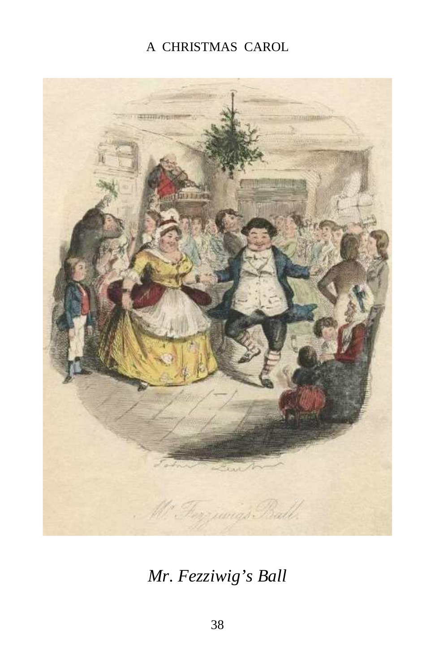### A CHRISTMAS CAROL



*Mr. Fezziwig's Ball*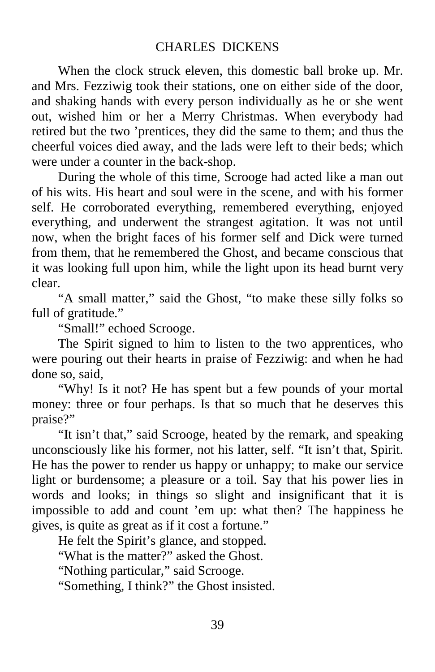#### CHARLES DICKENS

When the clock struck eleven, this domestic ball broke up. Mr. and Mrs. Fezziwig took their stations, one on either side of the door, and shaking hands with every person individually as he or she went out, wished him or her a Merry Christmas. When everybody had retired but the two 'prentices, they did the same to them; and thus the cheerful voices died away, and the lads were left to their beds; which were under a counter in the back-shop.

During the whole of this time, Scrooge had acted like a man out of his wits. His heart and soul were in the scene, and with his former self. He corroborated everything, remembered everything, enjoyed everything, and underwent the strangest agitation. It was not until now, when the bright faces of his former self and Dick were turned from them, that he remembered the Ghost, and became conscious that it was looking full upon him, while the light upon its head burnt very clear.

"A small matter," said the Ghost, "to make these silly folks so full of gratitude."

"Small!" echoed Scrooge.

The Spirit signed to him to listen to the two apprentices, who were pouring out their hearts in praise of Fezziwig: and when he had done so, said,

"Why! Is it not? He has spent but a few pounds of your mortal money: three or four perhaps. Is that so much that he deserves this praise?"

"It isn't that," said Scrooge, heated by the remark, and speaking unconsciously like his former, not his latter, self. "It isn't that, Spirit. He has the power to render us happy or unhappy; to make our service light or burdensome; a pleasure or a toil. Say that his power lies in words and looks; in things so slight and insignificant that it is impossible to add and count 'em up: what then? The happiness he gives, is quite as great as if it cost a fortune."

He felt the Spirit's glance, and stopped.

"What is the matter?" asked the Ghost.

"Nothing particular," said Scrooge.

"Something, I think?" the Ghost insisted.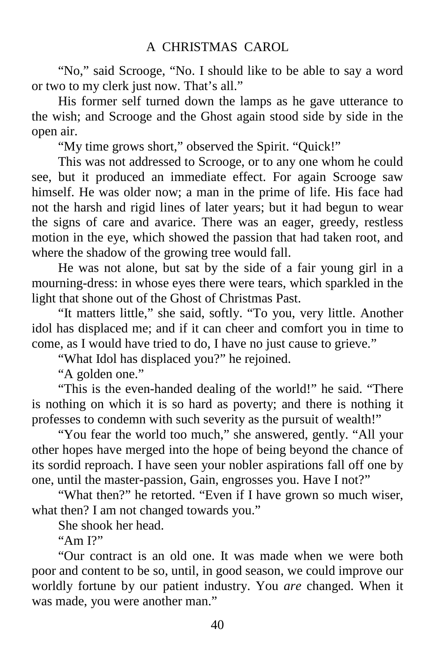"No," said Scrooge, "No. I should like to be able to say a word or two to my clerk just now. That's all."

His former self turned down the lamps as he gave utterance to the wish; and Scrooge and the Ghost again stood side by side in the open air.

"My time grows short," observed the Spirit. "Quick!"

This was not addressed to Scrooge, or to any one whom he could see, but it produced an immediate effect. For again Scrooge saw himself. He was older now; a man in the prime of life. His face had not the harsh and rigid lines of later years; but it had begun to wear the signs of care and avarice. There was an eager, greedy, restless motion in the eye, which showed the passion that had taken root, and where the shadow of the growing tree would fall.

He was not alone, but sat by the side of a fair young girl in a mourning-dress: in whose eyes there were tears, which sparkled in the light that shone out of the Ghost of Christmas Past.

"It matters little," she said, softly. "To you, very little. Another idol has displaced me; and if it can cheer and comfort you in time to come, as I would have tried to do, I have no just cause to grieve."

"What Idol has displaced you?" he rejoined.

"A golden one."

"This is the even-handed dealing of the world!" he said. "There is nothing on which it is so hard as poverty; and there is nothing it professes to condemn with such severity as the pursuit of wealth!"

"You fear the world too much," she answered, gently. "All your other hopes have merged into the hope of being beyond the chance of its sordid reproach. I have seen your nobler aspirations fall off one by one, until the master-passion, Gain, engrosses you. Have I not?"

"What then?" he retorted. "Even if I have grown so much wiser, what then? I am not changed towards you."

She shook her head.

"Am I?"

"Our contract is an old one. It was made when we were both poor and content to be so, until, in good season, we could improve our worldly fortune by our patient industry. You *are* changed. When it was made, you were another man."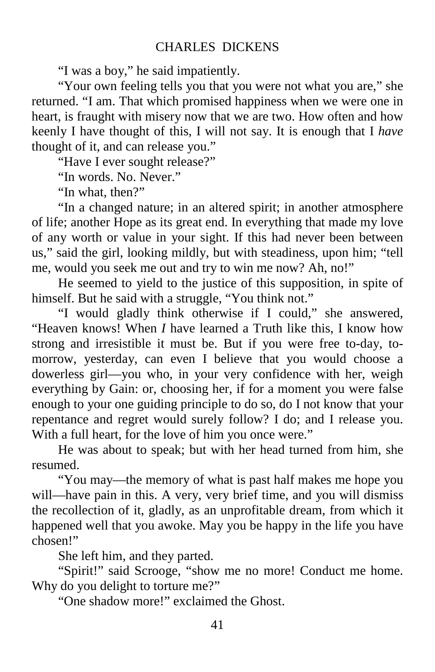"I was a boy," he said impatiently.

"Your own feeling tells you that you were not what you are," she returned. "I am. That which promised happiness when we were one in heart, is fraught with misery now that we are two. How often and how keenly I have thought of this, I will not say. It is enough that I *have* thought of it, and can release you."

"Have I ever sought release?"

"In words. No. Never."

"In what, then?"

"In a changed nature; in an altered spirit; in another atmosphere of life; another Hope as its great end. In everything that made my love of any worth or value in your sight. If this had never been between us," said the girl, looking mildly, but with steadiness, upon him; "tell me, would you seek me out and try to win me now? Ah, no!"

He seemed to yield to the justice of this supposition, in spite of himself. But he said with a struggle, "You think not."

"I would gladly think otherwise if I could," she answered, "Heaven knows! When *I* have learned a Truth like this, I know how strong and irresistible it must be. But if you were free to-day, tomorrow, yesterday, can even I believe that you would choose a dowerless girl—you who, in your very confidence with her, weigh everything by Gain: or, choosing her, if for a moment you were false enough to your one guiding principle to do so, do I not know that your repentance and regret would surely follow? I do; and I release you. With a full heart, for the love of him you once were."

He was about to speak; but with her head turned from him, she resumed.

"You may—the memory of what is past half makes me hope you will—have pain in this. A very, very brief time, and you will dismiss the recollection of it, gladly, as an unprofitable dream, from which it happened well that you awoke. May you be happy in the life you have chosen!"

She left him, and they parted.

"Spirit!" said Scrooge, "show me no more! Conduct me home. Why do you delight to torture me?"

"One shadow more!" exclaimed the Ghost.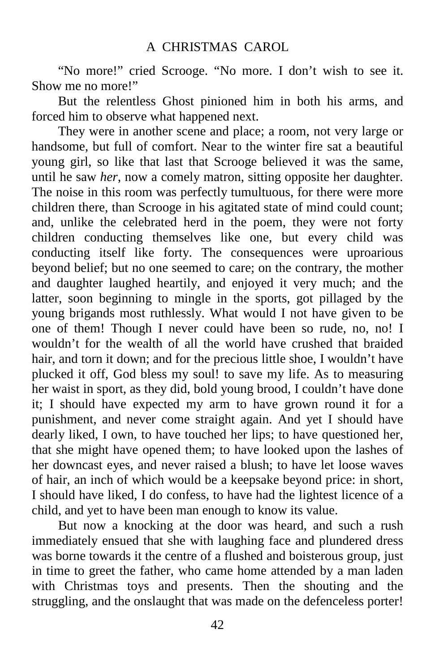"No more!" cried Scrooge. "No more. I don't wish to see it. Show me no more!"

But the relentless Ghost pinioned him in both his arms, and forced him to observe what happened next.

They were in another scene and place; a room, not very large or handsome, but full of comfort. Near to the winter fire sat a beautiful young girl, so like that last that Scrooge believed it was the same, until he saw *her*, now a comely matron, sitting opposite her daughter. The noise in this room was perfectly tumultuous, for there were more children there, than Scrooge in his agitated state of mind could count; and, unlike the celebrated herd in the poem, they were not forty children conducting themselves like one, but every child was conducting itself like forty. The consequences were uproarious beyond belief; but no one seemed to care; on the contrary, the mother and daughter laughed heartily, and enjoyed it very much; and the latter, soon beginning to mingle in the sports, got pillaged by the young brigands most ruthlessly. What would I not have given to be one of them! Though I never could have been so rude, no, no! I wouldn't for the wealth of all the world have crushed that braided hair, and torn it down; and for the precious little shoe, I wouldn't have plucked it off, God bless my soul! to save my life. As to measuring her waist in sport, as they did, bold young brood, I couldn't have done it; I should have expected my arm to have grown round it for a punishment, and never come straight again. And yet I should have dearly liked, I own, to have touched her lips; to have questioned her, that she might have opened them; to have looked upon the lashes of her downcast eyes, and never raised a blush; to have let loose waves of hair, an inch of which would be a keepsake beyond price: in short, I should have liked, I do confess, to have had the lightest licence of a child, and yet to have been man enough to know its value.

But now a knocking at the door was heard, and such a rush immediately ensued that she with laughing face and plundered dress was borne towards it the centre of a flushed and boisterous group, just in time to greet the father, who came home attended by a man laden with Christmas toys and presents. Then the shouting and the struggling, and the onslaught that was made on the defenceless porter!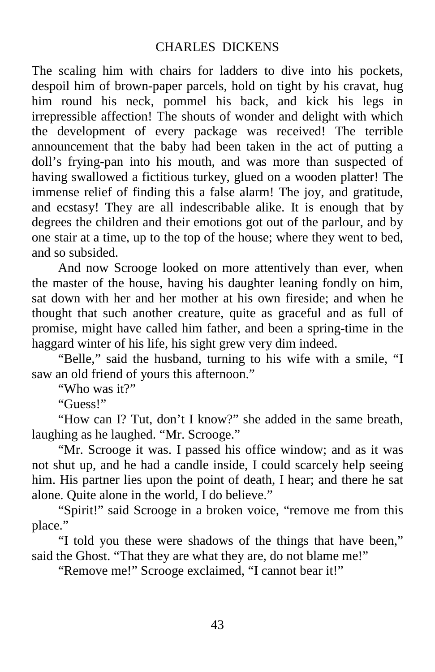#### CHARLES DICKENS

The scaling him with chairs for ladders to dive into his pockets, despoil him of brown-paper parcels, hold on tight by his cravat, hug him round his neck, pommel his back, and kick his legs in irrepressible affection! The shouts of wonder and delight with which the development of every package was received! The terrible announcement that the baby had been taken in the act of putting a doll's frying-pan into his mouth, and was more than suspected of having swallowed a fictitious turkey, glued on a wooden platter! The immense relief of finding this a false alarm! The joy, and gratitude, and ecstasy! They are all indescribable alike. It is enough that by degrees the children and their emotions got out of the parlour, and by one stair at a time, up to the top of the house; where they went to bed, and so subsided.

And now Scrooge looked on more attentively than ever, when the master of the house, having his daughter leaning fondly on him, sat down with her and her mother at his own fireside; and when he thought that such another creature, quite as graceful and as full of promise, might have called him father, and been a spring-time in the haggard winter of his life, his sight grew very dim indeed.

"Belle," said the husband, turning to his wife with a smile, "I saw an old friend of yours this afternoon."

"Who was it?"

"Guess!"

"How can I? Tut, don't I know?" she added in the same breath, laughing as he laughed. "Mr. Scrooge."

"Mr. Scrooge it was. I passed his office window; and as it was not shut up, and he had a candle inside, I could scarcely help seeing him. His partner lies upon the point of death, I hear; and there he sat alone. Quite alone in the world, I do believe."

"Spirit!" said Scrooge in a broken voice, "remove me from this place."

"I told you these were shadows of the things that have been," said the Ghost. "That they are what they are, do not blame me!"

"Remove me!" Scrooge exclaimed, "I cannot bear it!"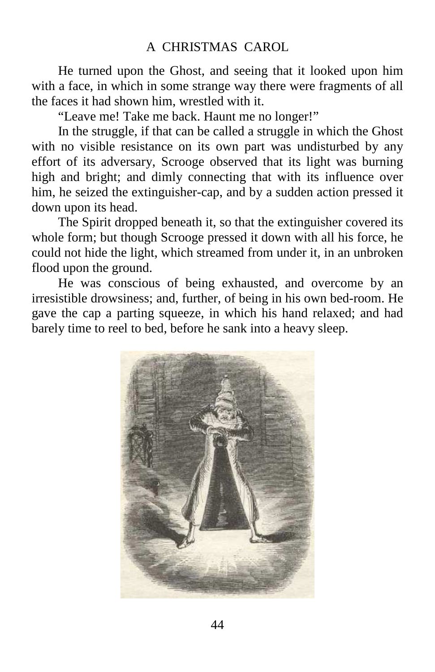#### A CHRISTMAS CAROL

He turned upon the Ghost, and seeing that it looked upon him with a face, in which in some strange way there were fragments of all the faces it had shown him, wrestled with it.

"Leave me! Take me back. Haunt me no longer!"

In the struggle, if that can be called a struggle in which the Ghost with no visible resistance on its own part was undisturbed by any effort of its adversary, Scrooge observed that its light was burning high and bright; and dimly connecting that with its influence over him, he seized the extinguisher-cap, and by a sudden action pressed it down upon its head.

The Spirit dropped beneath it, so that the extinguisher covered its whole form; but though Scrooge pressed it down with all his force, he could not hide the light, which streamed from under it, in an unbroken flood upon the ground.

He was conscious of being exhausted, and overcome by an irresistible drowsiness; and, further, of being in his own bed-room. He gave the cap a parting squeeze, in which his hand relaxed; and had barely time to reel to bed, before he sank into a heavy sleep.

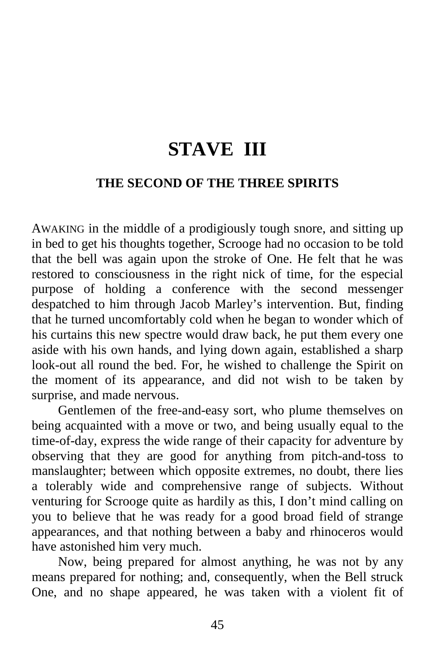## **STAVE III**

#### **THE SECOND OF THE THREE SPIRITS**

AWAKING in the middle of a prodigiously tough snore, and sitting up in bed to get his thoughts together, Scrooge had no occasion to be told that the bell was again upon the stroke of One. He felt that he was restored to consciousness in the right nick of time, for the especial purpose of holding a conference with the second messenger despatched to him through Jacob Marley's intervention. But, finding that he turned uncomfortably cold when he began to wonder which of his curtains this new spectre would draw back, he put them every one aside with his own hands, and lying down again, established a sharp look-out all round the bed. For, he wished to challenge the Spirit on the moment of its appearance, and did not wish to be taken by surprise, and made nervous.

Gentlemen of the free-and-easy sort, who plume themselves on being acquainted with a move or two, and being usually equal to the time-of-day, express the wide range of their capacity for adventure by observing that they are good for anything from pitch-and-toss to manslaughter; between which opposite extremes, no doubt, there lies a tolerably wide and comprehensive range of subjects. Without venturing for Scrooge quite as hardily as this, I don't mind calling on you to believe that he was ready for a good broad field of strange appearances, and that nothing between a baby and rhinoceros would have astonished him very much.

Now, being prepared for almost anything, he was not by any means prepared for nothing; and, consequently, when the Bell struck One, and no shape appeared, he was taken with a violent fit of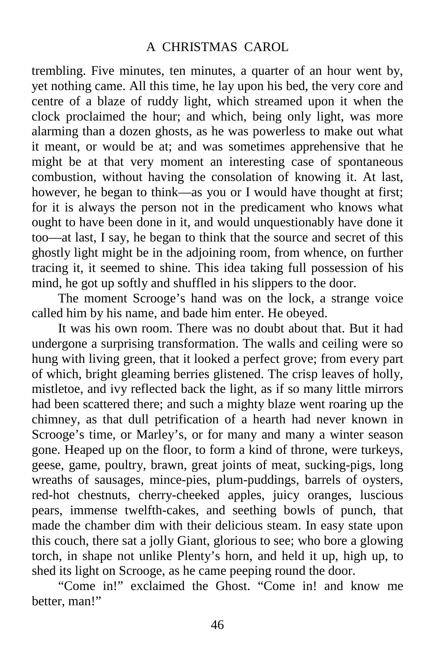#### A CHRISTMAS CAROL

trembling. Five minutes, ten minutes, a quarter of an hour went by, yet nothing came. All this time, he lay upon his bed, the very core and centre of a blaze of ruddy light, which streamed upon it when the clock proclaimed the hour; and which, being only light, was more alarming than a dozen ghosts, as he was powerless to make out what it meant, or would be at; and was sometimes apprehensive that he might be at that very moment an interesting case of spontaneous combustion, without having the consolation of knowing it. At last, however, he began to think—as you or I would have thought at first; for it is always the person not in the predicament who knows what ought to have been done in it, and would unquestionably have done it too—at last, I say, he began to think that the source and secret of this ghostly light might be in the adjoining room, from whence, on further tracing it, it seemed to shine. This idea taking full possession of his mind, he got up softly and shuffled in his slippers to the door.

The moment Scrooge's hand was on the lock, a strange voice called him by his name, and bade him enter. He obeyed.

It was his own room. There was no doubt about that. But it had undergone a surprising transformation. The walls and ceiling were so hung with living green, that it looked a perfect grove; from every part of which, bright gleaming berries glistened. The crisp leaves of holly, mistletoe, and ivy reflected back the light, as if so many little mirrors had been scattered there; and such a mighty blaze went roaring up the chimney, as that dull petrification of a hearth had never known in Scrooge's time, or Marley's, or for many and many a winter season gone. Heaped up on the floor, to form a kind of throne, were turkeys, geese, game, poultry, brawn, great joints of meat, sucking-pigs, long wreaths of sausages, mince-pies, plum-puddings, barrels of oysters, red-hot chestnuts, cherry-cheeked apples, juicy oranges, luscious pears, immense twelfth-cakes, and seething bowls of punch, that made the chamber dim with their delicious steam. In easy state upon this couch, there sat a jolly Giant, glorious to see; who bore a glowing torch, in shape not unlike Plenty's horn, and held it up, high up, to shed its light on Scrooge, as he came peeping round the door.

"Come in!" exclaimed the Ghost. "Come in! and know me better, man!"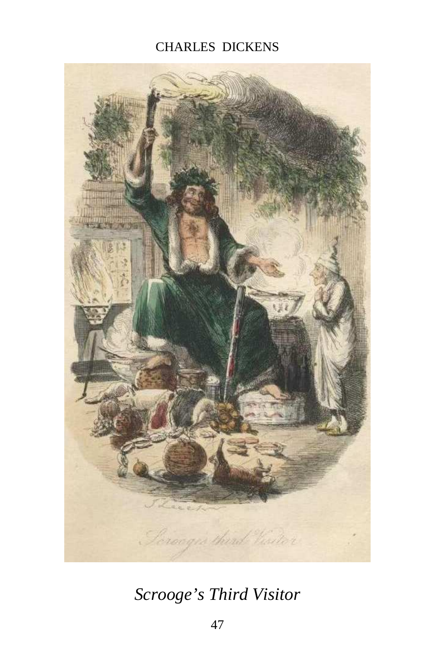### CHARLES DICKENS



*Scrooge's Third Visitor*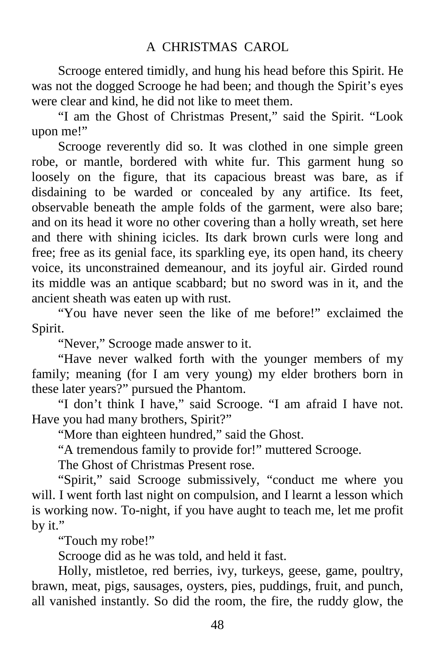Scrooge entered timidly, and hung his head before this Spirit. He was not the dogged Scrooge he had been; and though the Spirit's eyes were clear and kind, he did not like to meet them.

"I am the Ghost of Christmas Present," said the Spirit. "Look upon me!"

Scrooge reverently did so. It was clothed in one simple green robe, or mantle, bordered with white fur. This garment hung so loosely on the figure, that its capacious breast was bare, as if disdaining to be warded or concealed by any artifice. Its feet, observable beneath the ample folds of the garment, were also bare; and on its head it wore no other covering than a holly wreath, set here and there with shining icicles. Its dark brown curls were long and free; free as its genial face, its sparkling eye, its open hand, its cheery voice, its unconstrained demeanour, and its joyful air. Girded round its middle was an antique scabbard; but no sword was in it, and the ancient sheath was eaten up with rust.

"You have never seen the like of me before!" exclaimed the Spirit.

"Never," Scrooge made answer to it.

"Have never walked forth with the younger members of my family; meaning (for I am very young) my elder brothers born in these later years?" pursued the Phantom.

"I don't think I have," said Scrooge. "I am afraid I have not. Have you had many brothers, Spirit?"

"More than eighteen hundred," said the Ghost.

"A tremendous family to provide for!" muttered Scrooge.

The Ghost of Christmas Present rose.

"Spirit," said Scrooge submissively, "conduct me where you will. I went forth last night on compulsion, and I learnt a lesson which is working now. To-night, if you have aught to teach me, let me profit by it."

"Touch my robe!"

Scrooge did as he was told, and held it fast.

Holly, mistletoe, red berries, ivy, turkeys, geese, game, poultry, brawn, meat, pigs, sausages, oysters, pies, puddings, fruit, and punch, all vanished instantly. So did the room, the fire, the ruddy glow, the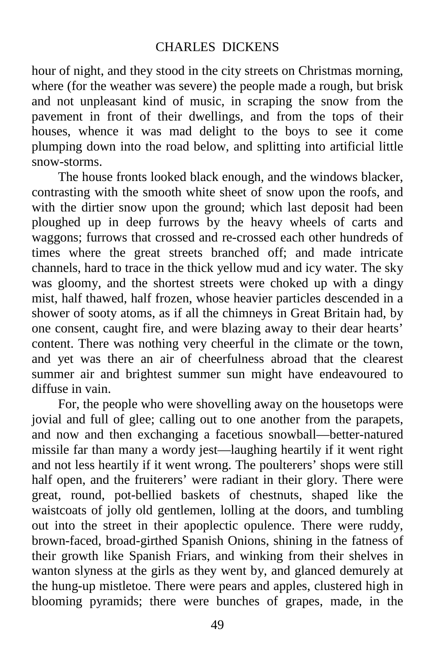hour of night, and they stood in the city streets on Christmas morning, where (for the weather was severe) the people made a rough, but brisk and not unpleasant kind of music, in scraping the snow from the pavement in front of their dwellings, and from the tops of their houses, whence it was mad delight to the boys to see it come plumping down into the road below, and splitting into artificial little snow-storms.

The house fronts looked black enough, and the windows blacker, contrasting with the smooth white sheet of snow upon the roofs, and with the dirtier snow upon the ground; which last deposit had been ploughed up in deep furrows by the heavy wheels of carts and waggons; furrows that crossed and re-crossed each other hundreds of times where the great streets branched off; and made intricate channels, hard to trace in the thick yellow mud and icy water. The sky was gloomy, and the shortest streets were choked up with a dingy mist, half thawed, half frozen, whose heavier particles descended in a shower of sooty atoms, as if all the chimneys in Great Britain had, by one consent, caught fire, and were blazing away to their dear hearts' content. There was nothing very cheerful in the climate or the town, and yet was there an air of cheerfulness abroad that the clearest summer air and brightest summer sun might have endeavoured to diffuse in vain.

For, the people who were shovelling away on the housetops were jovial and full of glee; calling out to one another from the parapets, and now and then exchanging a facetious snowball—better-natured missile far than many a wordy jest—laughing heartily if it went right and not less heartily if it went wrong. The poulterers' shops were still half open, and the fruiterers' were radiant in their glory. There were great, round, pot-bellied baskets of chestnuts, shaped like the waistcoats of jolly old gentlemen, lolling at the doors, and tumbling out into the street in their apoplectic opulence. There were ruddy, brown-faced, broad-girthed Spanish Onions, shining in the fatness of their growth like Spanish Friars, and winking from their shelves in wanton slyness at the girls as they went by, and glanced demurely at the hung-up mistletoe. There were pears and apples, clustered high in blooming pyramids; there were bunches of grapes, made, in the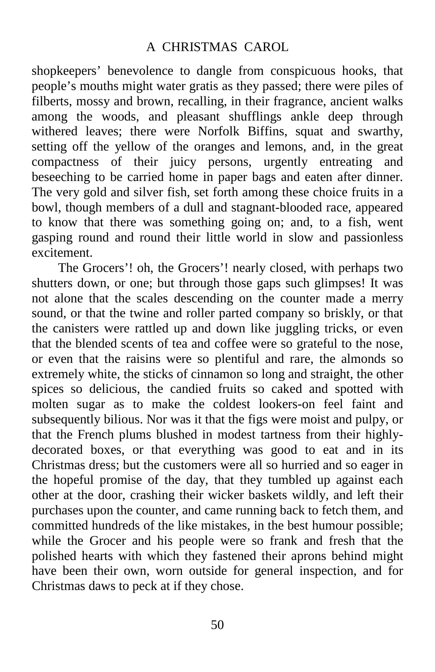#### A CHRISTMAS CAROL

shopkeepers' benevolence to dangle from conspicuous hooks, that people's mouths might water gratis as they passed; there were piles of filberts, mossy and brown, recalling, in their fragrance, ancient walks among the woods, and pleasant shufflings ankle deep through withered leaves; there were Norfolk Biffins, squat and swarthy, setting off the yellow of the oranges and lemons, and, in the great compactness of their juicy persons, urgently entreating and beseeching to be carried home in paper bags and eaten after dinner. The very gold and silver fish, set forth among these choice fruits in a bowl, though members of a dull and stagnant-blooded race, appeared to know that there was something going on; and, to a fish, went gasping round and round their little world in slow and passionless excitement.

The Grocers'! oh, the Grocers'! nearly closed, with perhaps two shutters down, or one; but through those gaps such glimpses! It was not alone that the scales descending on the counter made a merry sound, or that the twine and roller parted company so briskly, or that the canisters were rattled up and down like juggling tricks, or even that the blended scents of tea and coffee were so grateful to the nose, or even that the raisins were so plentiful and rare, the almonds so extremely white, the sticks of cinnamon so long and straight, the other spices so delicious, the candied fruits so caked and spotted with molten sugar as to make the coldest lookers-on feel faint and subsequently bilious. Nor was it that the figs were moist and pulpy, or that the French plums blushed in modest tartness from their highlydecorated boxes, or that everything was good to eat and in its Christmas dress; but the customers were all so hurried and so eager in the hopeful promise of the day, that they tumbled up against each other at the door, crashing their wicker baskets wildly, and left their purchases upon the counter, and came running back to fetch them, and committed hundreds of the like mistakes, in the best humour possible; while the Grocer and his people were so frank and fresh that the polished hearts with which they fastened their aprons behind might have been their own, worn outside for general inspection, and for Christmas daws to peck at if they chose.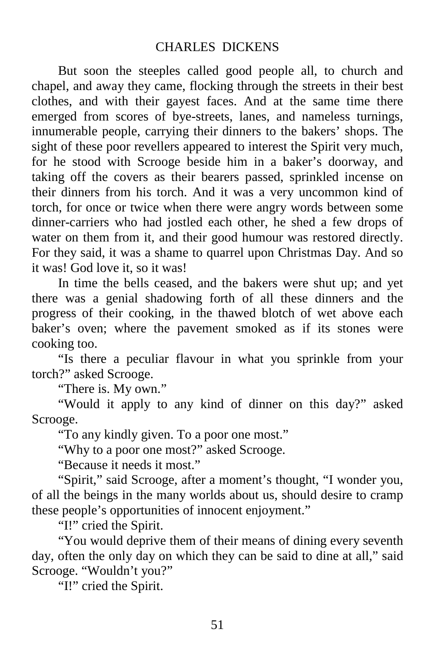But soon the steeples called good people all, to church and chapel, and away they came, flocking through the streets in their best clothes, and with their gayest faces. And at the same time there emerged from scores of bye-streets, lanes, and nameless turnings, innumerable people, carrying their dinners to the bakers' shops. The sight of these poor revellers appeared to interest the Spirit very much, for he stood with Scrooge beside him in a baker's doorway, and taking off the covers as their bearers passed, sprinkled incense on their dinners from his torch. And it was a very uncommon kind of torch, for once or twice when there were angry words between some dinner-carriers who had jostled each other, he shed a few drops of water on them from it, and their good humour was restored directly. For they said, it was a shame to quarrel upon Christmas Day. And so it was! God love it, so it was!

In time the bells ceased, and the bakers were shut up; and yet there was a genial shadowing forth of all these dinners and the progress of their cooking, in the thawed blotch of wet above each baker's oven; where the pavement smoked as if its stones were cooking too.

"Is there a peculiar flavour in what you sprinkle from your torch?" asked Scrooge.

"There is. My own."

"Would it apply to any kind of dinner on this day?" asked Scrooge.

"To any kindly given. To a poor one most."

"Why to a poor one most?" asked Scrooge.

"Because it needs it most."

"Spirit," said Scrooge, after a moment's thought, "I wonder you, of all the beings in the many worlds about us, should desire to cramp these people's opportunities of innocent enjoyment."

"I!" cried the Spirit.

"You would deprive them of their means of dining every seventh day, often the only day on which they can be said to dine at all," said Scrooge. "Wouldn't you?"

"I!" cried the Spirit.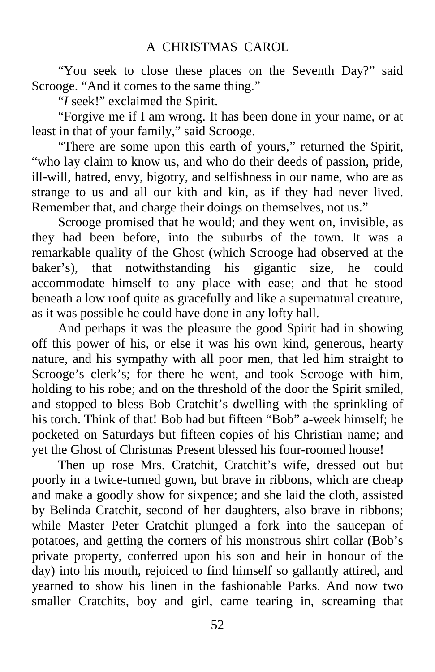#### A CHRISTMAS CAROL

"You seek to close these places on the Seventh Day?" said Scrooge. "And it comes to the same thing."

"*I* seek!" exclaimed the Spirit.

"Forgive me if I am wrong. It has been done in your name, or at least in that of your family," said Scrooge.

"There are some upon this earth of yours," returned the Spirit, "who lay claim to know us, and who do their deeds of passion, pride, ill-will, hatred, envy, bigotry, and selfishness in our name, who are as strange to us and all our kith and kin, as if they had never lived. Remember that, and charge their doings on themselves, not us."

Scrooge promised that he would; and they went on, invisible, as they had been before, into the suburbs of the town. It was a remarkable quality of the Ghost (which Scrooge had observed at the baker's), that notwithstanding his gigantic size, he could accommodate himself to any place with ease; and that he stood beneath a low roof quite as gracefully and like a supernatural creature, as it was possible he could have done in any lofty hall.

And perhaps it was the pleasure the good Spirit had in showing off this power of his, or else it was his own kind, generous, hearty nature, and his sympathy with all poor men, that led him straight to Scrooge's clerk's; for there he went, and took Scrooge with him, holding to his robe; and on the threshold of the door the Spirit smiled, and stopped to bless Bob Cratchit's dwelling with the sprinkling of his torch. Think of that! Bob had but fifteen "Bob" a-week himself; he pocketed on Saturdays but fifteen copies of his Christian name; and yet the Ghost of Christmas Present blessed his four-roomed house!

Then up rose Mrs. Cratchit, Cratchit's wife, dressed out but poorly in a twice-turned gown, but brave in ribbons, which are cheap and make a goodly show for sixpence; and she laid the cloth, assisted by Belinda Cratchit, second of her daughters, also brave in ribbons; while Master Peter Cratchit plunged a fork into the saucepan of potatoes, and getting the corners of his monstrous shirt collar (Bob's private property, conferred upon his son and heir in honour of the day) into his mouth, rejoiced to find himself so gallantly attired, and yearned to show his linen in the fashionable Parks. And now two smaller Cratchits, boy and girl, came tearing in, screaming that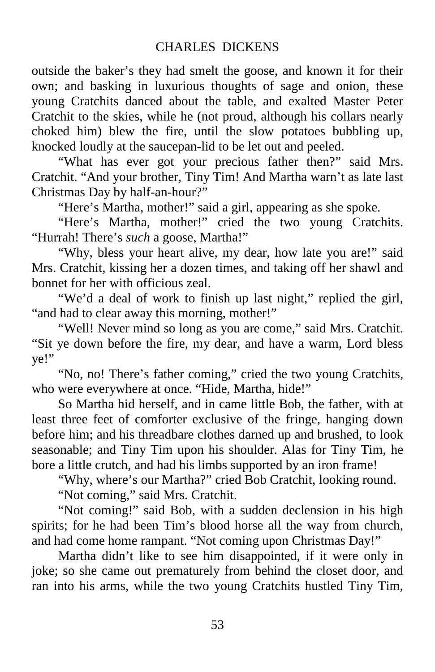outside the baker's they had smelt the goose, and known it for their own; and basking in luxurious thoughts of sage and onion, these young Cratchits danced about the table, and exalted Master Peter Cratchit to the skies, while he (not proud, although his collars nearly choked him) blew the fire, until the slow potatoes bubbling up, knocked loudly at the saucepan-lid to be let out and peeled.

"What has ever got your precious father then?" said Mrs. Cratchit. "And your brother, Tiny Tim! And Martha warn't as late last Christmas Day by half-an-hour?"

"Here's Martha, mother!" said a girl, appearing as she spoke.

"Here's Martha, mother!" cried the two young Cratchits. "Hurrah! There's *such* a goose, Martha!"

"Why, bless your heart alive, my dear, how late you are!" said Mrs. Cratchit, kissing her a dozen times, and taking off her shawl and bonnet for her with officious zeal.

"We'd a deal of work to finish up last night," replied the girl, "and had to clear away this morning, mother!"

"Well! Never mind so long as you are come," said Mrs. Cratchit. "Sit ye down before the fire, my dear, and have a warm, Lord bless ye!"

"No, no! There's father coming," cried the two young Cratchits, who were everywhere at once. "Hide, Martha, hide!"

So Martha hid herself, and in came little Bob, the father, with at least three feet of comforter exclusive of the fringe, hanging down before him; and his threadbare clothes darned up and brushed, to look seasonable; and Tiny Tim upon his shoulder. Alas for Tiny Tim, he bore a little crutch, and had his limbs supported by an iron frame!

"Why, where's our Martha?" cried Bob Cratchit, looking round.

"Not coming," said Mrs. Cratchit.

"Not coming!" said Bob, with a sudden declension in his high spirits; for he had been Tim's blood horse all the way from church, and had come home rampant. "Not coming upon Christmas Day!"

Martha didn't like to see him disappointed, if it were only in joke; so she came out prematurely from behind the closet door, and ran into his arms, while the two young Cratchits hustled Tiny Tim,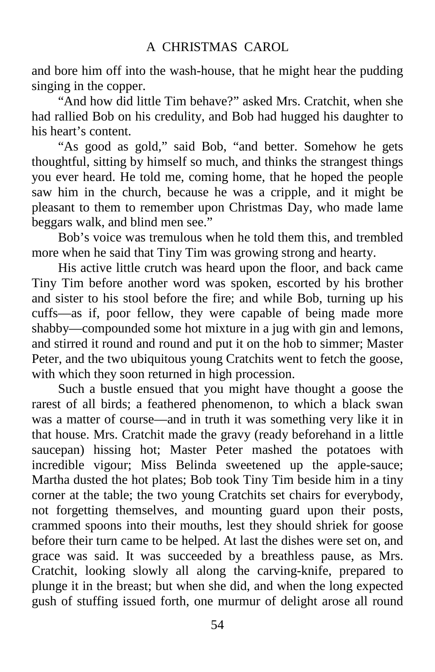and bore him off into the wash-house, that he might hear the pudding singing in the copper.

"And how did little Tim behave?" asked Mrs. Cratchit, when she had rallied Bob on his credulity, and Bob had hugged his daughter to his heart's content.

"As good as gold," said Bob, "and better. Somehow he gets thoughtful, sitting by himself so much, and thinks the strangest things you ever heard. He told me, coming home, that he hoped the people saw him in the church, because he was a cripple, and it might be pleasant to them to remember upon Christmas Day, who made lame beggars walk, and blind men see."

Bob's voice was tremulous when he told them this, and trembled more when he said that Tiny Tim was growing strong and hearty.

His active little crutch was heard upon the floor, and back came Tiny Tim before another word was spoken, escorted by his brother and sister to his stool before the fire; and while Bob, turning up his cuffs—as if, poor fellow, they were capable of being made more shabby—compounded some hot mixture in a jug with gin and lemons, and stirred it round and round and put it on the hob to simmer; Master Peter, and the two ubiquitous young Cratchits went to fetch the goose, with which they soon returned in high procession.

Such a bustle ensued that you might have thought a goose the rarest of all birds; a feathered phenomenon, to which a black swan was a matter of course—and in truth it was something very like it in that house. Mrs. Cratchit made the gravy (ready beforehand in a little saucepan) hissing hot; Master Peter mashed the potatoes with incredible vigour; Miss Belinda sweetened up the apple-sauce; Martha dusted the hot plates; Bob took Tiny Tim beside him in a tiny corner at the table; the two young Cratchits set chairs for everybody, not forgetting themselves, and mounting guard upon their posts, crammed spoons into their mouths, lest they should shriek for goose before their turn came to be helped. At last the dishes were set on, and grace was said. It was succeeded by a breathless pause, as Mrs. Cratchit, looking slowly all along the carving-knife, prepared to plunge it in the breast; but when she did, and when the long expected gush of stuffing issued forth, one murmur of delight arose all round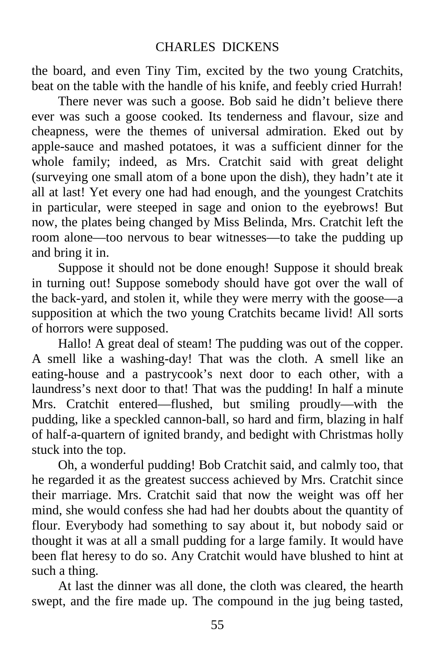the board, and even Tiny Tim, excited by the two young Cratchits, beat on the table with the handle of his knife, and feebly cried Hurrah!

There never was such a goose. Bob said he didn't believe there ever was such a goose cooked. Its tenderness and flavour, size and cheapness, were the themes of universal admiration. Eked out by apple-sauce and mashed potatoes, it was a sufficient dinner for the whole family; indeed, as Mrs. Cratchit said with great delight (surveying one small atom of a bone upon the dish), they hadn't ate it all at last! Yet every one had had enough, and the youngest Cratchits in particular, were steeped in sage and onion to the eyebrows! But now, the plates being changed by Miss Belinda, Mrs. Cratchit left the room alone—too nervous to bear witnesses—to take the pudding up and bring it in.

Suppose it should not be done enough! Suppose it should break in turning out! Suppose somebody should have got over the wall of the back-yard, and stolen it, while they were merry with the goose—a supposition at which the two young Cratchits became livid! All sorts of horrors were supposed.

Hallo! A great deal of steam! The pudding was out of the copper. A smell like a washing-day! That was the cloth. A smell like an eating-house and a pastrycook's next door to each other, with a laundress's next door to that! That was the pudding! In half a minute Mrs. Cratchit entered—flushed, but smiling proudly—with the pudding, like a speckled cannon-ball, so hard and firm, blazing in half of half-a-quartern of ignited brandy, and bedight with Christmas holly stuck into the top.

Oh, a wonderful pudding! Bob Cratchit said, and calmly too, that he regarded it as the greatest success achieved by Mrs. Cratchit since their marriage. Mrs. Cratchit said that now the weight was off her mind, she would confess she had had her doubts about the quantity of flour. Everybody had something to say about it, but nobody said or thought it was at all a small pudding for a large family. It would have been flat heresy to do so. Any Cratchit would have blushed to hint at such a thing.

At last the dinner was all done, the cloth was cleared, the hearth swept, and the fire made up. The compound in the jug being tasted,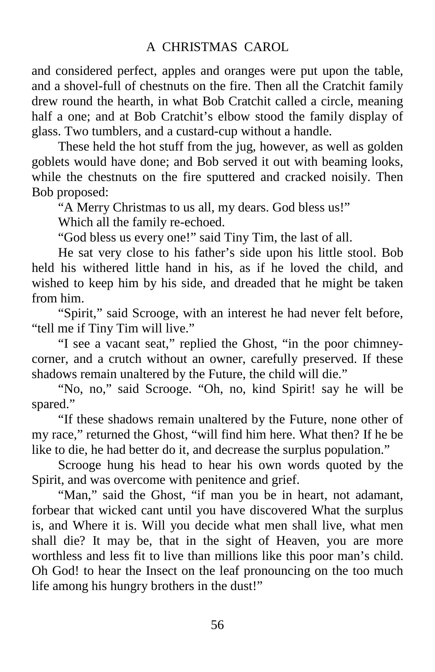and considered perfect, apples and oranges were put upon the table, and a shovel-full of chestnuts on the fire. Then all the Cratchit family drew round the hearth, in what Bob Cratchit called a circle, meaning half a one; and at Bob Cratchit's elbow stood the family display of glass. Two tumblers, and a custard-cup without a handle.

These held the hot stuff from the jug, however, as well as golden goblets would have done; and Bob served it out with beaming looks, while the chestnuts on the fire sputtered and cracked noisily. Then Bob proposed:

"A Merry Christmas to us all, my dears. God bless us!"

Which all the family re-echoed.

"God bless us every one!" said Tiny Tim, the last of all.

He sat very close to his father's side upon his little stool. Bob held his withered little hand in his, as if he loved the child, and wished to keep him by his side, and dreaded that he might be taken from him.

"Spirit," said Scrooge, with an interest he had never felt before, "tell me if Tiny Tim will live."

"I see a vacant seat," replied the Ghost, "in the poor chimneycorner, and a crutch without an owner, carefully preserved. If these shadows remain unaltered by the Future, the child will die."

"No, no," said Scrooge. "Oh, no, kind Spirit! say he will be spared."

"If these shadows remain unaltered by the Future, none other of my race," returned the Ghost, "will find him here. What then? If he be like to die, he had better do it, and decrease the surplus population."

Scrooge hung his head to hear his own words quoted by the Spirit, and was overcome with penitence and grief.

"Man," said the Ghost, "if man you be in heart, not adamant, forbear that wicked cant until you have discovered What the surplus is, and Where it is. Will you decide what men shall live, what men shall die? It may be, that in the sight of Heaven, you are more worthless and less fit to live than millions like this poor man's child. Oh God! to hear the Insect on the leaf pronouncing on the too much life among his hungry brothers in the dust!"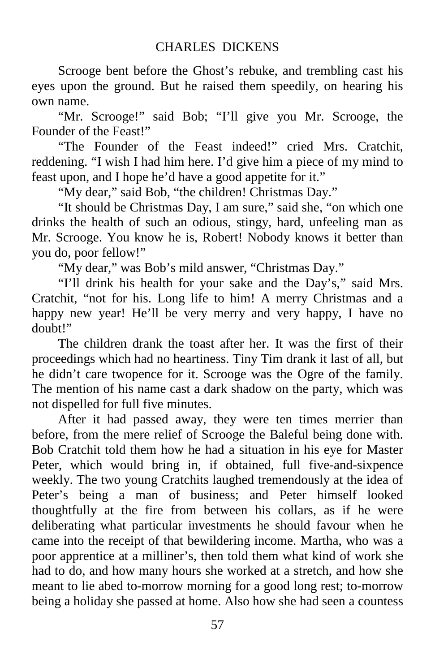Scrooge bent before the Ghost's rebuke, and trembling cast his eyes upon the ground. But he raised them speedily, on hearing his own name.

"Mr. Scrooge!" said Bob; "I'll give you Mr. Scrooge, the Founder of the Feast!"

"The Founder of the Feast indeed!" cried Mrs. Cratchit, reddening. "I wish I had him here. I'd give him a piece of my mind to feast upon, and I hope he'd have a good appetite for it."

"My dear," said Bob, "the children! Christmas Day."

"It should be Christmas Day, I am sure," said she, "on which one drinks the health of such an odious, stingy, hard, unfeeling man as Mr. Scrooge. You know he is, Robert! Nobody knows it better than you do, poor fellow!"

"My dear," was Bob's mild answer, "Christmas Day."

"I'll drink his health for your sake and the Day's," said Mrs. Cratchit, "not for his. Long life to him! A merry Christmas and a happy new year! He'll be very merry and very happy, I have no doubt!"

The children drank the toast after her. It was the first of their proceedings which had no heartiness. Tiny Tim drank it last of all, but he didn't care twopence for it. Scrooge was the Ogre of the family. The mention of his name cast a dark shadow on the party, which was not dispelled for full five minutes.

After it had passed away, they were ten times merrier than before, from the mere relief of Scrooge the Baleful being done with. Bob Cratchit told them how he had a situation in his eye for Master Peter, which would bring in, if obtained, full five-and-sixpence weekly. The two young Cratchits laughed tremendously at the idea of Peter's being a man of business; and Peter himself looked thoughtfully at the fire from between his collars, as if he were deliberating what particular investments he should favour when he came into the receipt of that bewildering income. Martha, who was a poor apprentice at a milliner's, then told them what kind of work she had to do, and how many hours she worked at a stretch, and how she meant to lie abed to-morrow morning for a good long rest; to-morrow being a holiday she passed at home. Also how she had seen a countess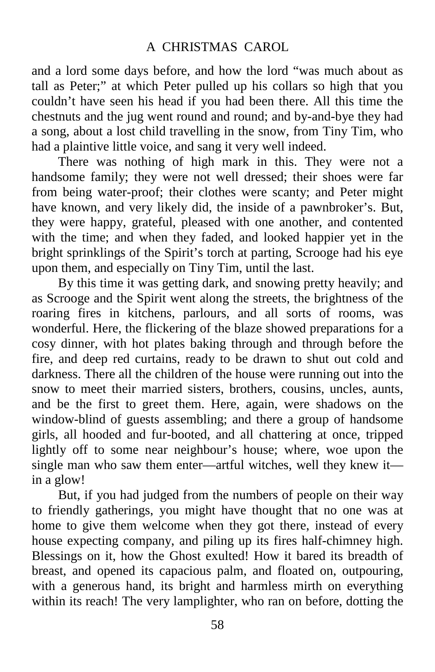and a lord some days before, and how the lord "was much about as tall as Peter;" at which Peter pulled up his collars so high that you couldn't have seen his head if you had been there. All this time the chestnuts and the jug went round and round; and by-and-bye they had a song, about a lost child travelling in the snow, from Tiny Tim, who had a plaintive little voice, and sang it very well indeed.

There was nothing of high mark in this. They were not a handsome family; they were not well dressed; their shoes were far from being water-proof; their clothes were scanty; and Peter might have known, and very likely did, the inside of a pawnbroker's. But, they were happy, grateful, pleased with one another, and contented with the time; and when they faded, and looked happier yet in the bright sprinklings of the Spirit's torch at parting, Scrooge had his eye upon them, and especially on Tiny Tim, until the last.

By this time it was getting dark, and snowing pretty heavily; and as Scrooge and the Spirit went along the streets, the brightness of the roaring fires in kitchens, parlours, and all sorts of rooms, was wonderful. Here, the flickering of the blaze showed preparations for a cosy dinner, with hot plates baking through and through before the fire, and deep red curtains, ready to be drawn to shut out cold and darkness. There all the children of the house were running out into the snow to meet their married sisters, brothers, cousins, uncles, aunts, and be the first to greet them. Here, again, were shadows on the window-blind of guests assembling; and there a group of handsome girls, all hooded and fur-booted, and all chattering at once, tripped lightly off to some near neighbour's house; where, woe upon the single man who saw them enter—artful witches, well they knew it in a glow!

But, if you had judged from the numbers of people on their way to friendly gatherings, you might have thought that no one was at home to give them welcome when they got there, instead of every house expecting company, and piling up its fires half-chimney high. Blessings on it, how the Ghost exulted! How it bared its breadth of breast, and opened its capacious palm, and floated on, outpouring, with a generous hand, its bright and harmless mirth on everything within its reach! The very lamplighter, who ran on before, dotting the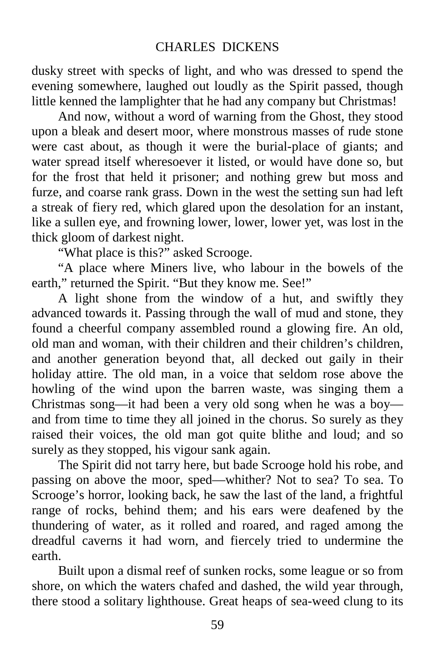dusky street with specks of light, and who was dressed to spend the evening somewhere, laughed out loudly as the Spirit passed, though little kenned the lamplighter that he had any company but Christmas!

And now, without a word of warning from the Ghost, they stood upon a bleak and desert moor, where monstrous masses of rude stone were cast about, as though it were the burial-place of giants; and water spread itself wheresoever it listed, or would have done so, but for the frost that held it prisoner; and nothing grew but moss and furze, and coarse rank grass. Down in the west the setting sun had left a streak of fiery red, which glared upon the desolation for an instant, like a sullen eye, and frowning lower, lower, lower yet, was lost in the thick gloom of darkest night.

"What place is this?" asked Scrooge.

"A place where Miners live, who labour in the bowels of the earth," returned the Spirit. "But they know me. See!"

A light shone from the window of a hut, and swiftly they advanced towards it. Passing through the wall of mud and stone, they found a cheerful company assembled round a glowing fire. An old, old man and woman, with their children and their children's children, and another generation beyond that, all decked out gaily in their holiday attire. The old man, in a voice that seldom rose above the howling of the wind upon the barren waste, was singing them a Christmas song—it had been a very old song when he was a boy and from time to time they all joined in the chorus. So surely as they raised their voices, the old man got quite blithe and loud; and so surely as they stopped, his vigour sank again.

The Spirit did not tarry here, but bade Scrooge hold his robe, and passing on above the moor, sped—whither? Not to sea? To sea. To Scrooge's horror, looking back, he saw the last of the land, a frightful range of rocks, behind them; and his ears were deafened by the thundering of water, as it rolled and roared, and raged among the dreadful caverns it had worn, and fiercely tried to undermine the earth.

Built upon a dismal reef of sunken rocks, some league or so from shore, on which the waters chafed and dashed, the wild year through, there stood a solitary lighthouse. Great heaps of sea-weed clung to its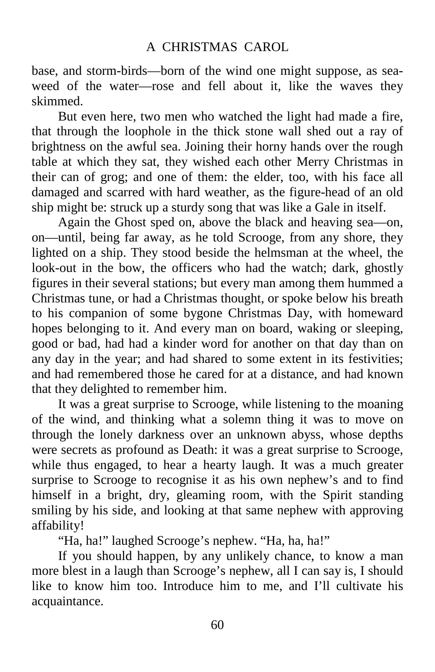base, and storm-birds—born of the wind one might suppose, as seaweed of the water—rose and fell about it, like the waves they skimmed.

But even here, two men who watched the light had made a fire, that through the loophole in the thick stone wall shed out a ray of brightness on the awful sea. Joining their horny hands over the rough table at which they sat, they wished each other Merry Christmas in their can of grog; and one of them: the elder, too, with his face all damaged and scarred with hard weather, as the figure-head of an old ship might be: struck up a sturdy song that was like a Gale in itself.

Again the Ghost sped on, above the black and heaving sea—on, on—until, being far away, as he told Scrooge, from any shore, they lighted on a ship. They stood beside the helmsman at the wheel, the look-out in the bow, the officers who had the watch; dark, ghostly figures in their several stations; but every man among them hummed a Christmas tune, or had a Christmas thought, or spoke below his breath to his companion of some bygone Christmas Day, with homeward hopes belonging to it. And every man on board, waking or sleeping, good or bad, had had a kinder word for another on that day than on any day in the year; and had shared to some extent in its festivities; and had remembered those he cared for at a distance, and had known that they delighted to remember him.

It was a great surprise to Scrooge, while listening to the moaning of the wind, and thinking what a solemn thing it was to move on through the lonely darkness over an unknown abyss, whose depths were secrets as profound as Death: it was a great surprise to Scrooge, while thus engaged, to hear a hearty laugh. It was a much greater surprise to Scrooge to recognise it as his own nephew's and to find himself in a bright, dry, gleaming room, with the Spirit standing smiling by his side, and looking at that same nephew with approving affability!

"Ha, ha!" laughed Scrooge's nephew. "Ha, ha, ha!"

If you should happen, by any unlikely chance, to know a man more blest in a laugh than Scrooge's nephew, all I can say is, I should like to know him too. Introduce him to me, and I'll cultivate his acquaintance.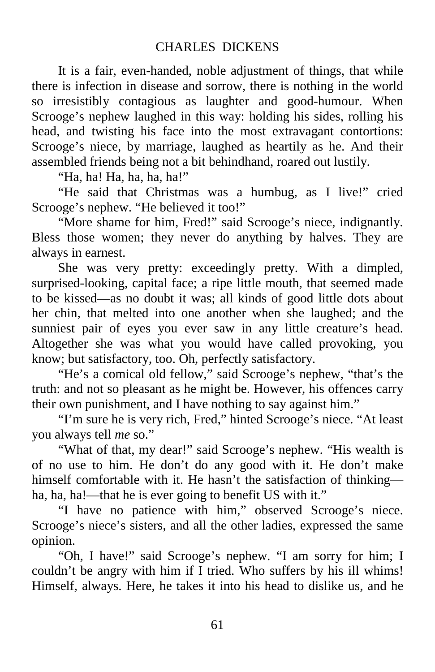#### CHARLES DICKENS

It is a fair, even-handed, noble adjustment of things, that while there is infection in disease and sorrow, there is nothing in the world so irresistibly contagious as laughter and good-humour. When Scrooge's nephew laughed in this way: holding his sides, rolling his head, and twisting his face into the most extravagant contortions: Scrooge's niece, by marriage, laughed as heartily as he. And their assembled friends being not a bit behindhand, roared out lustily.

"Ha, ha! Ha, ha, ha, ha!"

"He said that Christmas was a humbug, as I live!" cried Scrooge's nephew. "He believed it too!"

"More shame for him, Fred!" said Scrooge's niece, indignantly. Bless those women; they never do anything by halves. They are always in earnest.

She was very pretty: exceedingly pretty. With a dimpled, surprised-looking, capital face; a ripe little mouth, that seemed made to be kissed—as no doubt it was; all kinds of good little dots about her chin, that melted into one another when she laughed; and the sunniest pair of eyes you ever saw in any little creature's head. Altogether she was what you would have called provoking, you know; but satisfactory, too. Oh, perfectly satisfactory.

"He's a comical old fellow," said Scrooge's nephew, "that's the truth: and not so pleasant as he might be. However, his offences carry their own punishment, and I have nothing to say against him."

"I'm sure he is very rich, Fred," hinted Scrooge's niece. "At least you always tell *me* so."

"What of that, my dear!" said Scrooge's nephew. "His wealth is of no use to him. He don't do any good with it. He don't make himself comfortable with it. He hasn't the satisfaction of thinking ha, ha, ha!—that he is ever going to benefit US with it."

"I have no patience with him," observed Scrooge's niece. Scrooge's niece's sisters, and all the other ladies, expressed the same opinion.

"Oh, I have!" said Scrooge's nephew. "I am sorry for him; I couldn't be angry with him if I tried. Who suffers by his ill whims! Himself, always. Here, he takes it into his head to dislike us, and he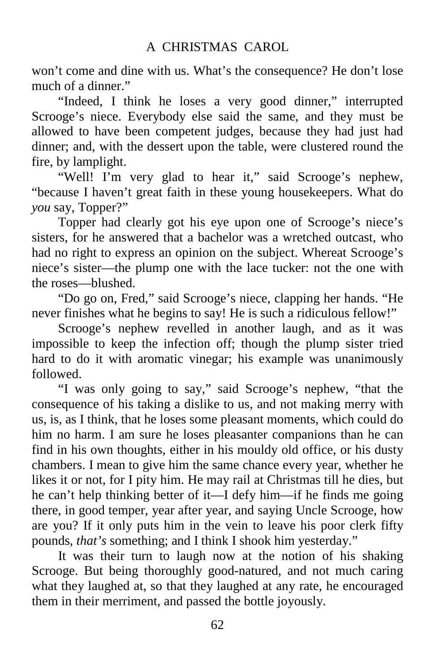won't come and dine with us. What's the consequence? He don't lose much of a dinner."

"Indeed, I think he loses a very good dinner," interrupted Scrooge's niece. Everybody else said the same, and they must be allowed to have been competent judges, because they had just had dinner; and, with the dessert upon the table, were clustered round the fire, by lamplight.

"Well! I'm very glad to hear it," said Scrooge's nephew, "because I haven't great faith in these young housekeepers. What do *you* say, Topper?"

Topper had clearly got his eye upon one of Scrooge's niece's sisters, for he answered that a bachelor was a wretched outcast, who had no right to express an opinion on the subject. Whereat Scrooge's niece's sister—the plump one with the lace tucker: not the one with the roses—blushed.

"Do go on, Fred," said Scrooge's niece, clapping her hands. "He never finishes what he begins to say! He is such a ridiculous fellow!"

Scrooge's nephew revelled in another laugh, and as it was impossible to keep the infection off; though the plump sister tried hard to do it with aromatic vinegar; his example was unanimously followed.

"I was only going to say," said Scrooge's nephew, "that the consequence of his taking a dislike to us, and not making merry with us, is, as I think, that he loses some pleasant moments, which could do him no harm. I am sure he loses pleasanter companions than he can find in his own thoughts, either in his mouldy old office, or his dusty chambers. I mean to give him the same chance every year, whether he likes it or not, for I pity him. He may rail at Christmas till he dies, but he can't help thinking better of it—I defy him—if he finds me going there, in good temper, year after year, and saying Uncle Scrooge, how are you? If it only puts him in the vein to leave his poor clerk fifty pounds, *that's* something; and I think I shook him yesterday."

It was their turn to laugh now at the notion of his shaking Scrooge. But being thoroughly good-natured, and not much caring what they laughed at, so that they laughed at any rate, he encouraged them in their merriment, and passed the bottle joyously.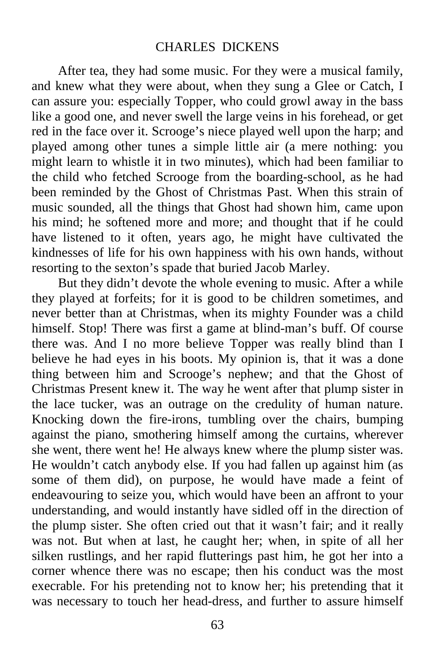After tea, they had some music. For they were a musical family, and knew what they were about, when they sung a Glee or Catch, I can assure you: especially Topper, who could growl away in the bass like a good one, and never swell the large veins in his forehead, or get red in the face over it. Scrooge's niece played well upon the harp; and played among other tunes a simple little air (a mere nothing: you might learn to whistle it in two minutes), which had been familiar to the child who fetched Scrooge from the boarding-school, as he had been reminded by the Ghost of Christmas Past. When this strain of music sounded, all the things that Ghost had shown him, came upon his mind; he softened more and more; and thought that if he could have listened to it often, years ago, he might have cultivated the kindnesses of life for his own happiness with his own hands, without resorting to the sexton's spade that buried Jacob Marley.

But they didn't devote the whole evening to music. After a while they played at forfeits; for it is good to be children sometimes, and never better than at Christmas, when its mighty Founder was a child himself. Stop! There was first a game at blind-man's buff. Of course there was. And I no more believe Topper was really blind than I believe he had eyes in his boots. My opinion is, that it was a done thing between him and Scrooge's nephew; and that the Ghost of Christmas Present knew it. The way he went after that plump sister in the lace tucker, was an outrage on the credulity of human nature. Knocking down the fire-irons, tumbling over the chairs, bumping against the piano, smothering himself among the curtains, wherever she went, there went he! He always knew where the plump sister was. He wouldn't catch anybody else. If you had fallen up against him (as some of them did), on purpose, he would have made a feint of endeavouring to seize you, which would have been an affront to your understanding, and would instantly have sidled off in the direction of the plump sister. She often cried out that it wasn't fair; and it really was not. But when at last, he caught her; when, in spite of all her silken rustlings, and her rapid flutterings past him, he got her into a corner whence there was no escape; then his conduct was the most execrable. For his pretending not to know her; his pretending that it was necessary to touch her head-dress, and further to assure himself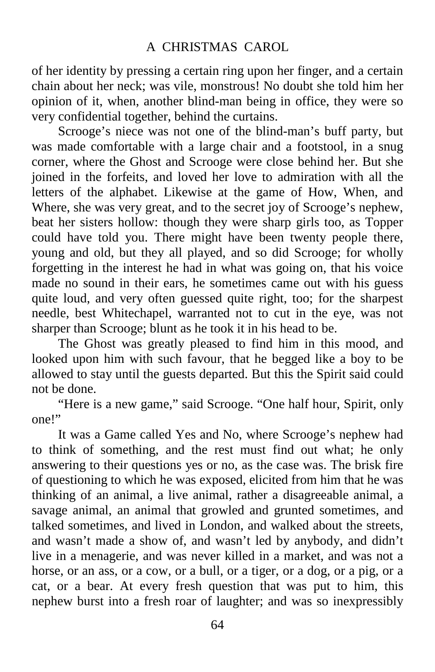of her identity by pressing a certain ring upon her finger, and a certain chain about her neck; was vile, monstrous! No doubt she told him her opinion of it, when, another blind-man being in office, they were so very confidential together, behind the curtains.

Scrooge's niece was not one of the blind-man's buff party, but was made comfortable with a large chair and a footstool, in a snug corner, where the Ghost and Scrooge were close behind her. But she joined in the forfeits, and loved her love to admiration with all the letters of the alphabet. Likewise at the game of How, When, and Where, she was very great, and to the secret joy of Scrooge's nephew, beat her sisters hollow: though they were sharp girls too, as Topper could have told you. There might have been twenty people there, young and old, but they all played, and so did Scrooge; for wholly forgetting in the interest he had in what was going on, that his voice made no sound in their ears, he sometimes came out with his guess quite loud, and very often guessed quite right, too; for the sharpest needle, best Whitechapel, warranted not to cut in the eye, was not sharper than Scrooge; blunt as he took it in his head to be.

The Ghost was greatly pleased to find him in this mood, and looked upon him with such favour, that he begged like a boy to be allowed to stay until the guests departed. But this the Spirit said could not be done.

"Here is a new game," said Scrooge. "One half hour, Spirit, only one!"

It was a Game called Yes and No, where Scrooge's nephew had to think of something, and the rest must find out what; he only answering to their questions yes or no, as the case was. The brisk fire of questioning to which he was exposed, elicited from him that he was thinking of an animal, a live animal, rather a disagreeable animal, a savage animal, an animal that growled and grunted sometimes, and talked sometimes, and lived in London, and walked about the streets, and wasn't made a show of, and wasn't led by anybody, and didn't live in a menagerie, and was never killed in a market, and was not a horse, or an ass, or a cow, or a bull, or a tiger, or a dog, or a pig, or a cat, or a bear. At every fresh question that was put to him, this nephew burst into a fresh roar of laughter; and was so inexpressibly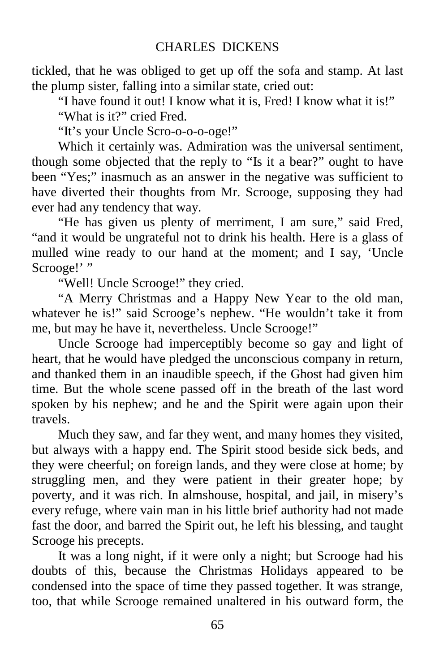tickled, that he was obliged to get up off the sofa and stamp. At last the plump sister, falling into a similar state, cried out:

"I have found it out! I know what it is, Fred! I know what it is!" "What is it?" cried Fred.

"It's your Uncle Scro-o-o-o-oge!"

Which it certainly was. Admiration was the universal sentiment, though some objected that the reply to "Is it a bear?" ought to have been "Yes;" inasmuch as an answer in the negative was sufficient to have diverted their thoughts from Mr. Scrooge, supposing they had ever had any tendency that way.

"He has given us plenty of merriment, I am sure," said Fred, "and it would be ungrateful not to drink his health. Here is a glass of mulled wine ready to our hand at the moment; and I say, 'Uncle Scrooge!'"

"Well! Uncle Scrooge!" they cried.

"A Merry Christmas and a Happy New Year to the old man, whatever he is!" said Scrooge's nephew. "He wouldn't take it from me, but may he have it, nevertheless. Uncle Scrooge!"

Uncle Scrooge had imperceptibly become so gay and light of heart, that he would have pledged the unconscious company in return, and thanked them in an inaudible speech, if the Ghost had given him time. But the whole scene passed off in the breath of the last word spoken by his nephew; and he and the Spirit were again upon their travels.

Much they saw, and far they went, and many homes they visited, but always with a happy end. The Spirit stood beside sick beds, and they were cheerful; on foreign lands, and they were close at home; by struggling men, and they were patient in their greater hope; by poverty, and it was rich. In almshouse, hospital, and jail, in misery's every refuge, where vain man in his little brief authority had not made fast the door, and barred the Spirit out, he left his blessing, and taught Scrooge his precepts.

It was a long night, if it were only a night; but Scrooge had his doubts of this, because the Christmas Holidays appeared to be condensed into the space of time they passed together. It was strange, too, that while Scrooge remained unaltered in his outward form, the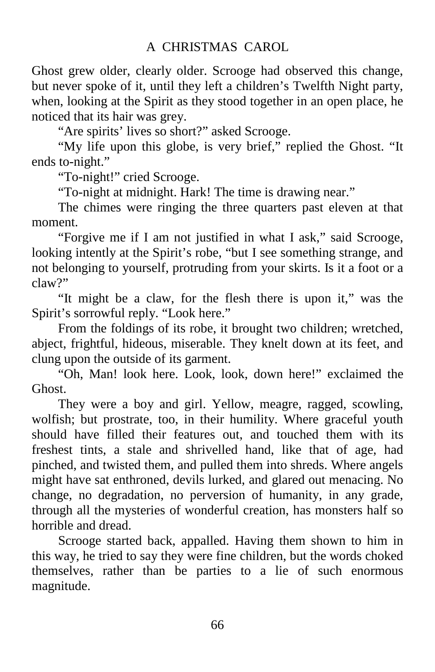Ghost grew older, clearly older. Scrooge had observed this change, but never spoke of it, until they left a children's Twelfth Night party, when, looking at the Spirit as they stood together in an open place, he noticed that its hair was grey.

"Are spirits' lives so short?" asked Scrooge.

"My life upon this globe, is very brief," replied the Ghost. "It ends to-night."

"To-night!" cried Scrooge.

"To-night at midnight. Hark! The time is drawing near."

The chimes were ringing the three quarters past eleven at that moment.

"Forgive me if I am not justified in what I ask," said Scrooge, looking intently at the Spirit's robe, "but I see something strange, and not belonging to yourself, protruding from your skirts. Is it a foot or a claw?"

"It might be a claw, for the flesh there is upon it," was the Spirit's sorrowful reply. "Look here."

From the foldings of its robe, it brought two children; wretched, abject, frightful, hideous, miserable. They knelt down at its feet, and clung upon the outside of its garment.

"Oh, Man! look here. Look, look, down here!" exclaimed the Ghost.

They were a boy and girl. Yellow, meagre, ragged, scowling, wolfish; but prostrate, too, in their humility. Where graceful youth should have filled their features out, and touched them with its freshest tints, a stale and shrivelled hand, like that of age, had pinched, and twisted them, and pulled them into shreds. Where angels might have sat enthroned, devils lurked, and glared out menacing. No change, no degradation, no perversion of humanity, in any grade, through all the mysteries of wonderful creation, has monsters half so horrible and dread.

Scrooge started back, appalled. Having them shown to him in this way, he tried to say they were fine children, but the words choked themselves, rather than be parties to a lie of such enormous magnitude.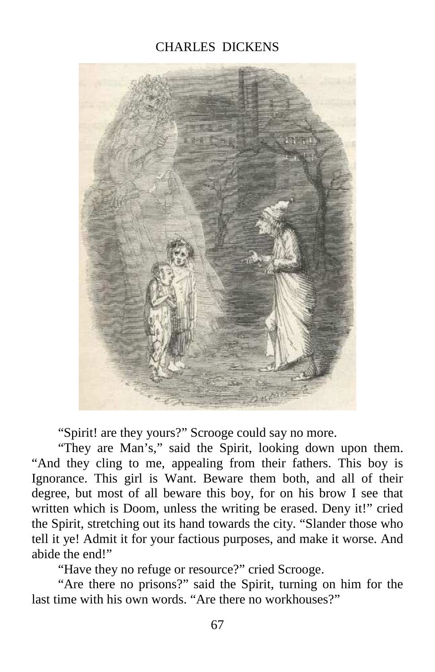#### CHARLES DICKENS



"Spirit! are they yours?" Scrooge could say no more.

"They are Man's," said the Spirit, looking down upon them. "And they cling to me, appealing from their fathers. This boy is Ignorance. This girl is Want. Beware them both, and all of their degree, but most of all beware this boy, for on his brow I see that written which is Doom, unless the writing be erased. Deny it!" cried the Spirit, stretching out its hand towards the city. "Slander those who tell it ye! Admit it for your factious purposes, and make it worse. And abide the end!"

"Have they no refuge or resource?" cried Scrooge.

"Are there no prisons?" said the Spirit, turning on him for the last time with his own words. "Are there no workhouses?"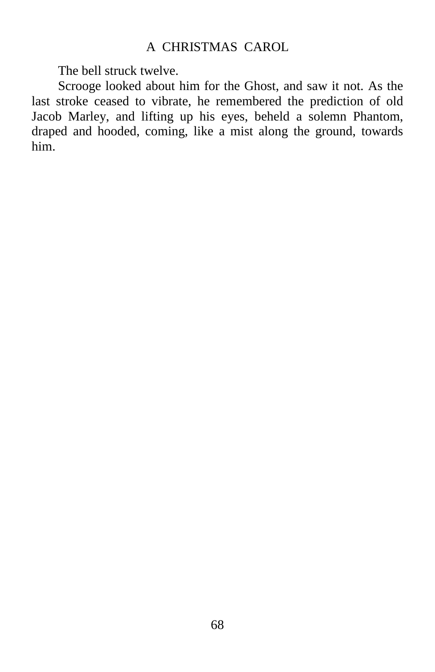#### A CHRISTMAS CAROL

The bell struck twelve.

Scrooge looked about him for the Ghost, and saw it not. As the last stroke ceased to vibrate, he remembered the prediction of old Jacob Marley, and lifting up his eyes, beheld a solemn Phantom, draped and hooded, coming, like a mist along the ground, towards him.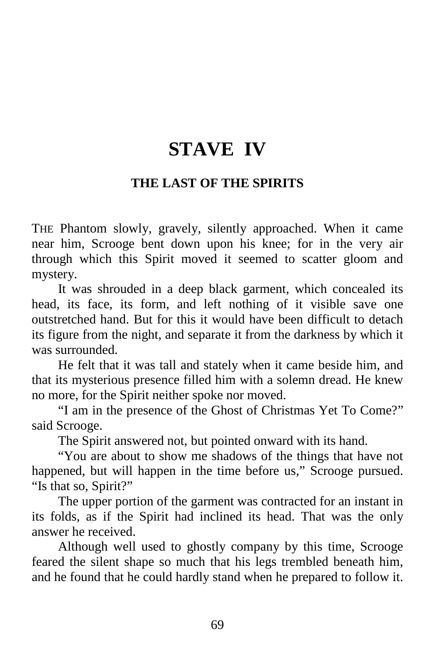# **STAVE IV**

#### **THE LAST OF THE SPIRITS**

THE Phantom slowly, gravely, silently approached. When it came near him, Scrooge bent down upon his knee; for in the very air through which this Spirit moved it seemed to scatter gloom and mystery.

It was shrouded in a deep black garment, which concealed its head, its face, its form, and left nothing of it visible save one outstretched hand. But for this it would have been difficult to detach its figure from the night, and separate it from the darkness by which it was surrounded.

He felt that it was tall and stately when it came beside him, and that its mysterious presence filled him with a solemn dread. He knew no more, for the Spirit neither spoke nor moved.

"I am in the presence of the Ghost of Christmas Yet To Come?" said Scrooge.

The Spirit answered not, but pointed onward with its hand.

"You are about to show me shadows of the things that have not happened, but will happen in the time before us," Scrooge pursued. "Is that so, Spirit?"

The upper portion of the garment was contracted for an instant in its folds, as if the Spirit had inclined its head. That was the only answer he received.

Although well used to ghostly company by this time, Scrooge feared the silent shape so much that his legs trembled beneath him, and he found that he could hardly stand when he prepared to follow it.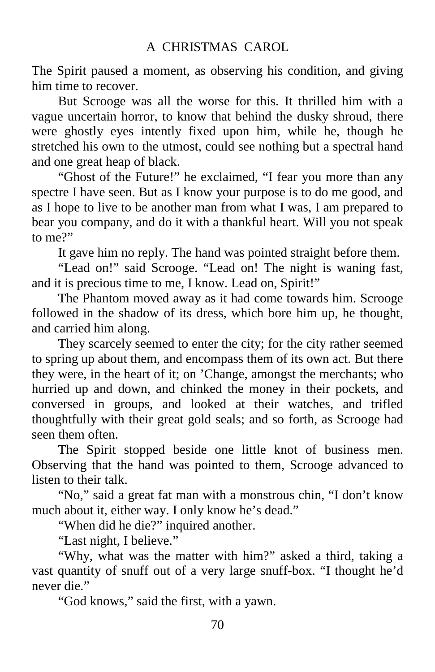The Spirit paused a moment, as observing his condition, and giving him time to recover.

But Scrooge was all the worse for this. It thrilled him with a vague uncertain horror, to know that behind the dusky shroud, there were ghostly eyes intently fixed upon him, while he, though he stretched his own to the utmost, could see nothing but a spectral hand and one great heap of black.

"Ghost of the Future!" he exclaimed, "I fear you more than any spectre I have seen. But as I know your purpose is to do me good, and as I hope to live to be another man from what I was, I am prepared to bear you company, and do it with a thankful heart. Will you not speak to me?"

It gave him no reply. The hand was pointed straight before them.

"Lead on!" said Scrooge. "Lead on! The night is waning fast, and it is precious time to me, I know. Lead on, Spirit!"

The Phantom moved away as it had come towards him. Scrooge followed in the shadow of its dress, which bore him up, he thought, and carried him along.

They scarcely seemed to enter the city; for the city rather seemed to spring up about them, and encompass them of its own act. But there they were, in the heart of it; on 'Change, amongst the merchants; who hurried up and down, and chinked the money in their pockets, and conversed in groups, and looked at their watches, and trifled thoughtfully with their great gold seals; and so forth, as Scrooge had seen them often.

The Spirit stopped beside one little knot of business men. Observing that the hand was pointed to them, Scrooge advanced to listen to their talk.

"No," said a great fat man with a monstrous chin, "I don't know much about it, either way. I only know he's dead."

"When did he die?" inquired another.

"Last night, I believe."

"Why, what was the matter with him?" asked a third, taking a vast quantity of snuff out of a very large snuff-box. "I thought he'd never die."

"God knows," said the first, with a yawn.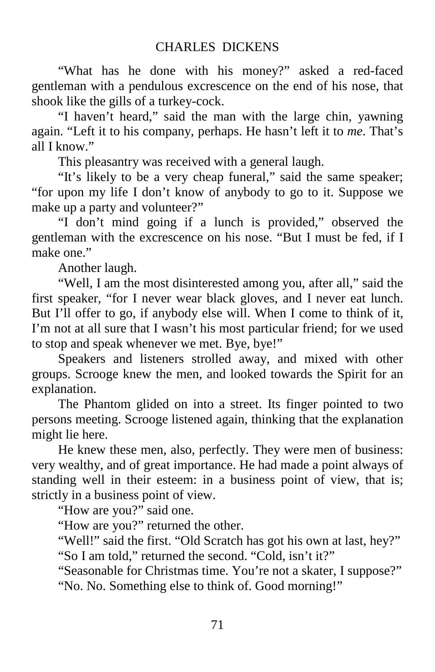"What has he done with his money?" asked a red-faced gentleman with a pendulous excrescence on the end of his nose, that shook like the gills of a turkey-cock.

"I haven't heard," said the man with the large chin, yawning again. "Left it to his company, perhaps. He hasn't left it to *me*. That's all I know."

This pleasantry was received with a general laugh.

"It's likely to be a very cheap funeral," said the same speaker; "for upon my life I don't know of anybody to go to it. Suppose we make up a party and volunteer?"

"I don't mind going if a lunch is provided," observed the gentleman with the excrescence on his nose. "But I must be fed, if I make one."

Another laugh.

"Well, I am the most disinterested among you, after all," said the first speaker, "for I never wear black gloves, and I never eat lunch. But I'll offer to go, if anybody else will. When I come to think of it, I'm not at all sure that I wasn't his most particular friend; for we used to stop and speak whenever we met. Bye, bye!"

Speakers and listeners strolled away, and mixed with other groups. Scrooge knew the men, and looked towards the Spirit for an explanation.

The Phantom glided on into a street. Its finger pointed to two persons meeting. Scrooge listened again, thinking that the explanation might lie here.

He knew these men, also, perfectly. They were men of business: very wealthy, and of great importance. He had made a point always of standing well in their esteem: in a business point of view, that is; strictly in a business point of view.

"How are you?" said one.

"How are you?" returned the other.

"Well!" said the first. "Old Scratch has got his own at last, hey?" "So I am told," returned the second. "Cold, isn't it?"

"Seasonable for Christmas time. You're not a skater, I suppose?"

"No. No. Something else to think of. Good morning!"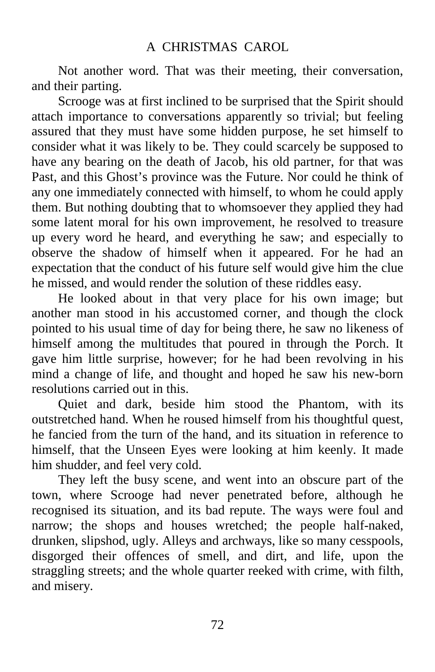Not another word. That was their meeting, their conversation, and their parting.

Scrooge was at first inclined to be surprised that the Spirit should attach importance to conversations apparently so trivial; but feeling assured that they must have some hidden purpose, he set himself to consider what it was likely to be. They could scarcely be supposed to have any bearing on the death of Jacob, his old partner, for that was Past, and this Ghost's province was the Future. Nor could he think of any one immediately connected with himself, to whom he could apply them. But nothing doubting that to whomsoever they applied they had some latent moral for his own improvement, he resolved to treasure up every word he heard, and everything he saw; and especially to observe the shadow of himself when it appeared. For he had an expectation that the conduct of his future self would give him the clue he missed, and would render the solution of these riddles easy.

He looked about in that very place for his own image; but another man stood in his accustomed corner, and though the clock pointed to his usual time of day for being there, he saw no likeness of himself among the multitudes that poured in through the Porch. It gave him little surprise, however; for he had been revolving in his mind a change of life, and thought and hoped he saw his new-born resolutions carried out in this.

Quiet and dark, beside him stood the Phantom, with its outstretched hand. When he roused himself from his thoughtful quest, he fancied from the turn of the hand, and its situation in reference to himself, that the Unseen Eyes were looking at him keenly. It made him shudder, and feel very cold.

They left the busy scene, and went into an obscure part of the town, where Scrooge had never penetrated before, although he recognised its situation, and its bad repute. The ways were foul and narrow; the shops and houses wretched; the people half-naked, drunken, slipshod, ugly. Alleys and archways, like so many cesspools, disgorged their offences of smell, and dirt, and life, upon the straggling streets; and the whole quarter reeked with crime, with filth, and misery.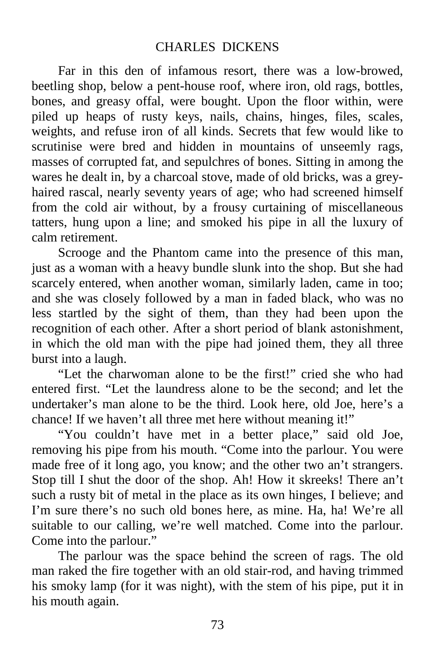Far in this den of infamous resort, there was a low-browed, beetling shop, below a pent-house roof, where iron, old rags, bottles, bones, and greasy offal, were bought. Upon the floor within, were piled up heaps of rusty keys, nails, chains, hinges, files, scales, weights, and refuse iron of all kinds. Secrets that few would like to scrutinise were bred and hidden in mountains of unseemly rags, masses of corrupted fat, and sepulchres of bones. Sitting in among the wares he dealt in, by a charcoal stove, made of old bricks, was a greyhaired rascal, nearly seventy years of age; who had screened himself from the cold air without, by a frousy curtaining of miscellaneous tatters, hung upon a line; and smoked his pipe in all the luxury of calm retirement.

Scrooge and the Phantom came into the presence of this man, just as a woman with a heavy bundle slunk into the shop. But she had scarcely entered, when another woman, similarly laden, came in too; and she was closely followed by a man in faded black, who was no less startled by the sight of them, than they had been upon the recognition of each other. After a short period of blank astonishment, in which the old man with the pipe had joined them, they all three burst into a laugh.

"Let the charwoman alone to be the first!" cried she who had entered first. "Let the laundress alone to be the second; and let the undertaker's man alone to be the third. Look here, old Joe, here's a chance! If we haven't all three met here without meaning it!"

"You couldn't have met in a better place," said old Joe, removing his pipe from his mouth. "Come into the parlour. You were made free of it long ago, you know; and the other two an't strangers. Stop till I shut the door of the shop. Ah! How it skreeks! There an't such a rusty bit of metal in the place as its own hinges, I believe; and I'm sure there's no such old bones here, as mine. Ha, ha! We're all suitable to our calling, we're well matched. Come into the parlour. Come into the parlour."

The parlour was the space behind the screen of rags. The old man raked the fire together with an old stair-rod, and having trimmed his smoky lamp (for it was night), with the stem of his pipe, put it in his mouth again.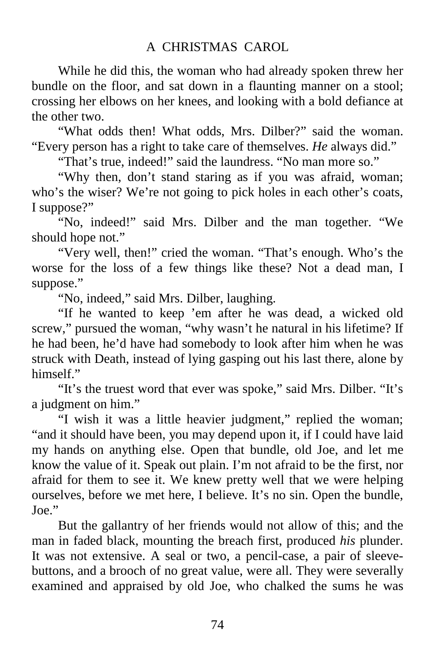While he did this, the woman who had already spoken threw her bundle on the floor, and sat down in a flaunting manner on a stool; crossing her elbows on her knees, and looking with a bold defiance at the other two.

"What odds then! What odds, Mrs. Dilber?" said the woman. "Every person has a right to take care of themselves. *He* always did."

"That's true, indeed!" said the laundress. "No man more so."

"Why then, don't stand staring as if you was afraid, woman; who's the wiser? We're not going to pick holes in each other's coats, I suppose?"

"No, indeed!" said Mrs. Dilber and the man together. "We should hope not."

"Very well, then!" cried the woman. "That's enough. Who's the worse for the loss of a few things like these? Not a dead man, I suppose."

"No, indeed," said Mrs. Dilber, laughing.

"If he wanted to keep 'em after he was dead, a wicked old screw," pursued the woman, "why wasn't he natural in his lifetime? If he had been, he'd have had somebody to look after him when he was struck with Death, instead of lying gasping out his last there, alone by himself."

"It's the truest word that ever was spoke," said Mrs. Dilber. "It's a judgment on him."

"I wish it was a little heavier judgment," replied the woman; "and it should have been, you may depend upon it, if I could have laid my hands on anything else. Open that bundle, old Joe, and let me know the value of it. Speak out plain. I'm not afraid to be the first, nor afraid for them to see it. We knew pretty well that we were helping ourselves, before we met here, I believe. It's no sin. Open the bundle, Joe."

But the gallantry of her friends would not allow of this; and the man in faded black, mounting the breach first, produced *his* plunder. It was not extensive. A seal or two, a pencil-case, a pair of sleevebuttons, and a brooch of no great value, were all. They were severally examined and appraised by old Joe, who chalked the sums he was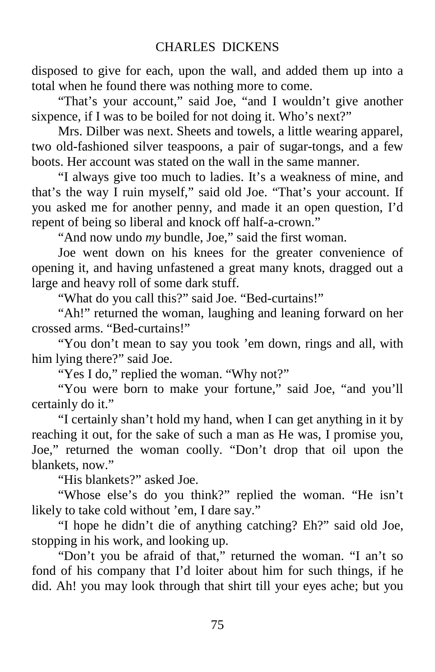disposed to give for each, upon the wall, and added them up into a total when he found there was nothing more to come.

"That's your account," said Joe, "and I wouldn't give another sixpence, if I was to be boiled for not doing it. Who's next?"

Mrs. Dilber was next. Sheets and towels, a little wearing apparel, two old-fashioned silver teaspoons, a pair of sugar-tongs, and a few boots. Her account was stated on the wall in the same manner.

"I always give too much to ladies. It's a weakness of mine, and that's the way I ruin myself," said old Joe. "That's your account. If you asked me for another penny, and made it an open question, I'd repent of being so liberal and knock off half-a-crown."

"And now undo *my* bundle, Joe," said the first woman.

Joe went down on his knees for the greater convenience of opening it, and having unfastened a great many knots, dragged out a large and heavy roll of some dark stuff.

"What do you call this?" said Joe. "Bed-curtains!"

"Ah!" returned the woman, laughing and leaning forward on her crossed arms. "Bed-curtains!"

"You don't mean to say you took 'em down, rings and all, with him lying there?" said Joe.

"Yes I do," replied the woman. "Why not?"

"You were born to make your fortune," said Joe, "and you'll certainly do it."

"I certainly shan't hold my hand, when I can get anything in it by reaching it out, for the sake of such a man as He was, I promise you, Joe," returned the woman coolly. "Don't drop that oil upon the blankets, now."

"His blankets?" asked Joe.

"Whose else's do you think?" replied the woman. "He isn't likely to take cold without 'em, I dare say."

"I hope he didn't die of anything catching? Eh?" said old Joe, stopping in his work, and looking up.

"Don't you be afraid of that," returned the woman. "I an't so fond of his company that I'd loiter about him for such things, if he did. Ah! you may look through that shirt till your eyes ache; but you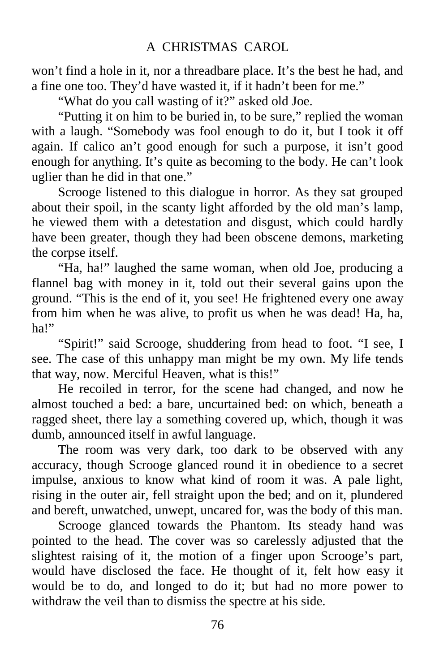won't find a hole in it, nor a threadbare place. It's the best he had, and a fine one too. They'd have wasted it, if it hadn't been for me."

"What do you call wasting of it?" asked old Joe.

"Putting it on him to be buried in, to be sure," replied the woman with a laugh. "Somebody was fool enough to do it, but I took it off again. If calico an't good enough for such a purpose, it isn't good enough for anything. It's quite as becoming to the body. He can't look uglier than he did in that one."

Scrooge listened to this dialogue in horror. As they sat grouped about their spoil, in the scanty light afforded by the old man's lamp, he viewed them with a detestation and disgust, which could hardly have been greater, though they had been obscene demons, marketing the corpse itself.

"Ha, ha!" laughed the same woman, when old Joe, producing a flannel bag with money in it, told out their several gains upon the ground. "This is the end of it, you see! He frightened every one away from him when he was alive, to profit us when he was dead! Ha, ha, ha!"

"Spirit!" said Scrooge, shuddering from head to foot. "I see, I see. The case of this unhappy man might be my own. My life tends that way, now. Merciful Heaven, what is this!"

He recoiled in terror, for the scene had changed, and now he almost touched a bed: a bare, uncurtained bed: on which, beneath a ragged sheet, there lay a something covered up, which, though it was dumb, announced itself in awful language.

The room was very dark, too dark to be observed with any accuracy, though Scrooge glanced round it in obedience to a secret impulse, anxious to know what kind of room it was. A pale light, rising in the outer air, fell straight upon the bed; and on it, plundered and bereft, unwatched, unwept, uncared for, was the body of this man.

Scrooge glanced towards the Phantom. Its steady hand was pointed to the head. The cover was so carelessly adjusted that the slightest raising of it, the motion of a finger upon Scrooge's part, would have disclosed the face. He thought of it, felt how easy it would be to do, and longed to do it; but had no more power to withdraw the veil than to dismiss the spectre at his side.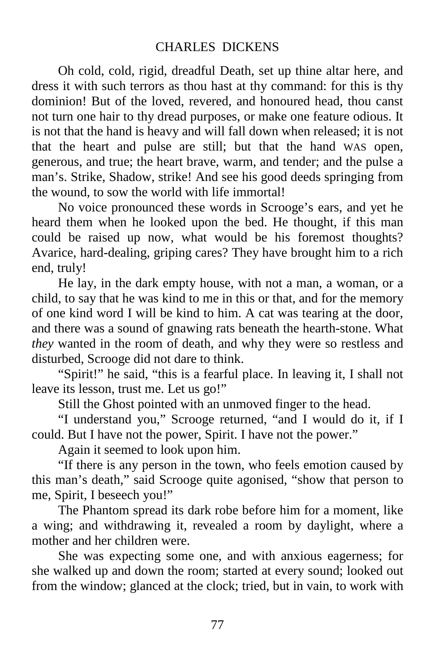Oh cold, cold, rigid, dreadful Death, set up thine altar here, and dress it with such terrors as thou hast at thy command: for this is thy dominion! But of the loved, revered, and honoured head, thou canst not turn one hair to thy dread purposes, or make one feature odious. It is not that the hand is heavy and will fall down when released; it is not that the heart and pulse are still; but that the hand WAS open, generous, and true; the heart brave, warm, and tender; and the pulse a man's. Strike, Shadow, strike! And see his good deeds springing from the wound, to sow the world with life immortal!

No voice pronounced these words in Scrooge's ears, and yet he heard them when he looked upon the bed. He thought, if this man could be raised up now, what would be his foremost thoughts? Avarice, hard-dealing, griping cares? They have brought him to a rich end, truly!

He lay, in the dark empty house, with not a man, a woman, or a child, to say that he was kind to me in this or that, and for the memory of one kind word I will be kind to him. A cat was tearing at the door, and there was a sound of gnawing rats beneath the hearth-stone. What *they* wanted in the room of death, and why they were so restless and disturbed, Scrooge did not dare to think.

"Spirit!" he said, "this is a fearful place. In leaving it, I shall not leave its lesson, trust me. Let us go!"

Still the Ghost pointed with an unmoved finger to the head.

"I understand you," Scrooge returned, "and I would do it, if I could. But I have not the power, Spirit. I have not the power."

Again it seemed to look upon him.

"If there is any person in the town, who feels emotion caused by this man's death," said Scrooge quite agonised, "show that person to me, Spirit, I beseech you!"

The Phantom spread its dark robe before him for a moment, like a wing; and withdrawing it, revealed a room by daylight, where a mother and her children were.

She was expecting some one, and with anxious eagerness; for she walked up and down the room; started at every sound; looked out from the window; glanced at the clock; tried, but in vain, to work with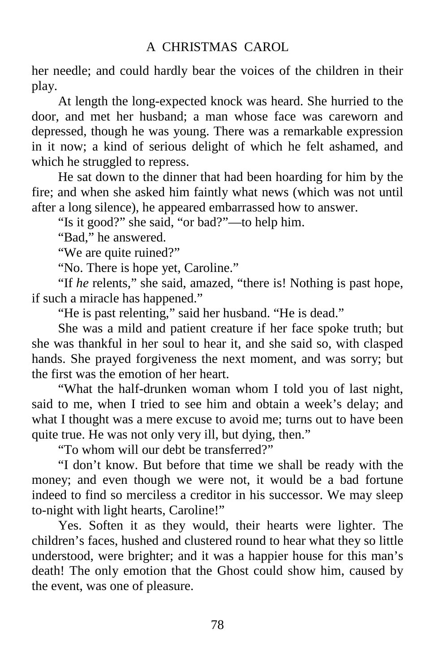## A CHRISTMAS CAROL

her needle; and could hardly bear the voices of the children in their play.

At length the long-expected knock was heard. She hurried to the door, and met her husband; a man whose face was careworn and depressed, though he was young. There was a remarkable expression in it now; a kind of serious delight of which he felt ashamed, and which he struggled to repress.

He sat down to the dinner that had been hoarding for him by the fire; and when she asked him faintly what news (which was not until after a long silence), he appeared embarrassed how to answer.

"Is it good?" she said, "or bad?"—to help him.

"Bad," he answered.

"We are quite ruined?"

"No. There is hope yet, Caroline."

"If *he* relents," she said, amazed, "there is! Nothing is past hope, if such a miracle has happened."

"He is past relenting," said her husband. "He is dead."

She was a mild and patient creature if her face spoke truth; but she was thankful in her soul to hear it, and she said so, with clasped hands. She prayed forgiveness the next moment, and was sorry; but the first was the emotion of her heart.

"What the half-drunken woman whom I told you of last night, said to me, when I tried to see him and obtain a week's delay; and what I thought was a mere excuse to avoid me; turns out to have been quite true. He was not only very ill, but dying, then."

"To whom will our debt be transferred?"

"I don't know. But before that time we shall be ready with the money; and even though we were not, it would be a bad fortune indeed to find so merciless a creditor in his successor. We may sleep to-night with light hearts, Caroline!"

Yes. Soften it as they would, their hearts were lighter. The children's faces, hushed and clustered round to hear what they so little understood, were brighter; and it was a happier house for this man's death! The only emotion that the Ghost could show him, caused by the event, was one of pleasure.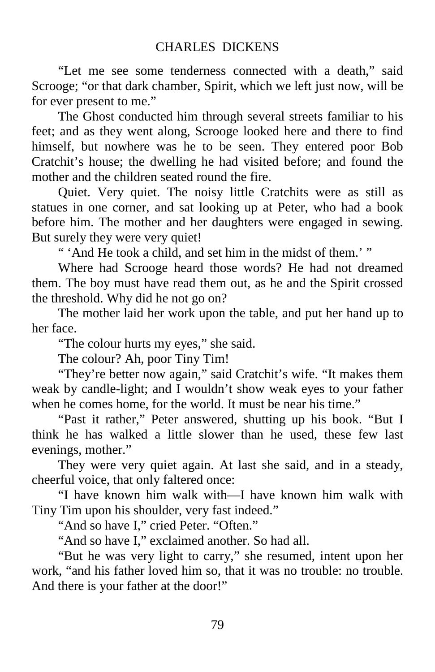## CHARLES DICKENS

"Let me see some tenderness connected with a death," said Scrooge; "or that dark chamber, Spirit, which we left just now, will be for ever present to me."

The Ghost conducted him through several streets familiar to his feet; and as they went along, Scrooge looked here and there to find himself, but nowhere was he to be seen. They entered poor Bob Cratchit's house; the dwelling he had visited before; and found the mother and the children seated round the fire.

Quiet. Very quiet. The noisy little Cratchits were as still as statues in one corner, and sat looking up at Peter, who had a book before him. The mother and her daughters were engaged in sewing. But surely they were very quiet!

" 'And He took a child, and set him in the midst of them.' "

Where had Scrooge heard those words? He had not dreamed them. The boy must have read them out, as he and the Spirit crossed the threshold. Why did he not go on?

The mother laid her work upon the table, and put her hand up to her face.

"The colour hurts my eyes," she said.

The colour? Ah, poor Tiny Tim!

"They're better now again," said Cratchit's wife. "It makes them weak by candle-light; and I wouldn't show weak eyes to your father when he comes home, for the world. It must be near his time."

"Past it rather," Peter answered, shutting up his book. "But I think he has walked a little slower than he used, these few last evenings, mother."

They were very quiet again. At last she said, and in a steady, cheerful voice, that only faltered once:

"I have known him walk with—I have known him walk with Tiny Tim upon his shoulder, very fast indeed."

"And so have I," cried Peter. "Often."

"And so have I," exclaimed another. So had all.

"But he was very light to carry," she resumed, intent upon her work, "and his father loved him so, that it was no trouble: no trouble. And there is your father at the door!"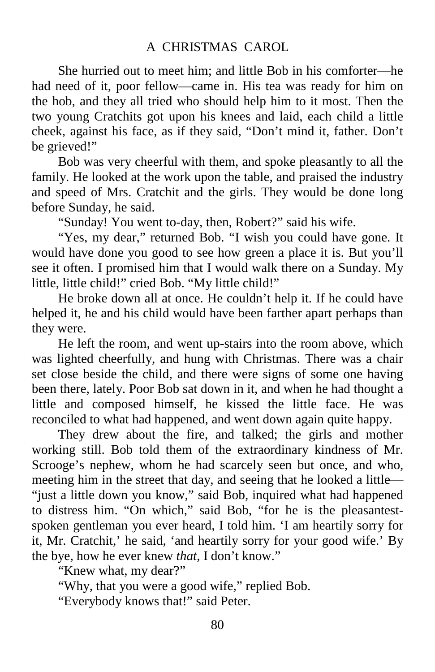She hurried out to meet him; and little Bob in his comforter—he had need of it, poor fellow—came in. His tea was ready for him on the hob, and they all tried who should help him to it most. Then the two young Cratchits got upon his knees and laid, each child a little cheek, against his face, as if they said, "Don't mind it, father. Don't be grieved!"

Bob was very cheerful with them, and spoke pleasantly to all the family. He looked at the work upon the table, and praised the industry and speed of Mrs. Cratchit and the girls. They would be done long before Sunday, he said.

"Sunday! You went to-day, then, Robert?" said his wife.

"Yes, my dear," returned Bob. "I wish you could have gone. It would have done you good to see how green a place it is. But you'll see it often. I promised him that I would walk there on a Sunday. My little, little child!" cried Bob. "My little child!"

He broke down all at once. He couldn't help it. If he could have helped it, he and his child would have been farther apart perhaps than they were.

He left the room, and went up-stairs into the room above, which was lighted cheerfully, and hung with Christmas. There was a chair set close beside the child, and there were signs of some one having been there, lately. Poor Bob sat down in it, and when he had thought a little and composed himself, he kissed the little face. He was reconciled to what had happened, and went down again quite happy.

They drew about the fire, and talked; the girls and mother working still. Bob told them of the extraordinary kindness of Mr. Scrooge's nephew, whom he had scarcely seen but once, and who, meeting him in the street that day, and seeing that he looked a little— "just a little down you know," said Bob, inquired what had happened to distress him. "On which," said Bob, "for he is the pleasantestspoken gentleman you ever heard, I told him. 'I am heartily sorry for it, Mr. Cratchit,' he said, 'and heartily sorry for your good wife.' By the bye, how he ever knew *that*, I don't know."

"Knew what, my dear?"

"Why, that you were a good wife," replied Bob.

"Everybody knows that!" said Peter.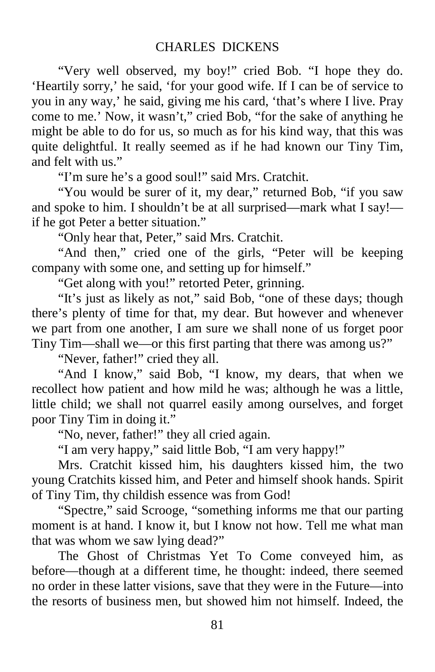"Very well observed, my boy!" cried Bob. "I hope they do. 'Heartily sorry,' he said, 'for your good wife. If I can be of service to you in any way,' he said, giving me his card, 'that's where I live. Pray come to me.' Now, it wasn't," cried Bob, "for the sake of anything he might be able to do for us, so much as for his kind way, that this was quite delightful. It really seemed as if he had known our Tiny Tim, and felt with us."

"I'm sure he's a good soul!" said Mrs. Cratchit.

"You would be surer of it, my dear," returned Bob, "if you saw and spoke to him. I shouldn't be at all surprised—mark what I say! if he got Peter a better situation."

"Only hear that, Peter," said Mrs. Cratchit.

"And then," cried one of the girls, "Peter will be keeping company with some one, and setting up for himself."

"Get along with you!" retorted Peter, grinning.

"It's just as likely as not," said Bob, "one of these days; though there's plenty of time for that, my dear. But however and whenever we part from one another, I am sure we shall none of us forget poor Tiny Tim—shall we—or this first parting that there was among us?"

"Never, father!" cried they all.

"And I know," said Bob, "I know, my dears, that when we recollect how patient and how mild he was; although he was a little, little child; we shall not quarrel easily among ourselves, and forget poor Tiny Tim in doing it."

"No, never, father!" they all cried again.

"I am very happy," said little Bob, "I am very happy!"

Mrs. Cratchit kissed him, his daughters kissed him, the two young Cratchits kissed him, and Peter and himself shook hands. Spirit of Tiny Tim, thy childish essence was from God!

"Spectre," said Scrooge, "something informs me that our parting moment is at hand. I know it, but I know not how. Tell me what man that was whom we saw lying dead?"

The Ghost of Christmas Yet To Come conveyed him, as before—though at a different time, he thought: indeed, there seemed no order in these latter visions, save that they were in the Future—into the resorts of business men, but showed him not himself. Indeed, the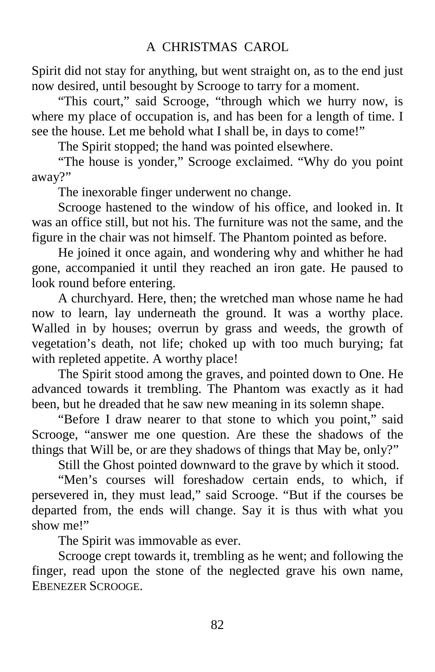Spirit did not stay for anything, but went straight on, as to the end just now desired, until besought by Scrooge to tarry for a moment.

"This court," said Scrooge, "through which we hurry now, is where my place of occupation is, and has been for a length of time. I see the house. Let me behold what I shall be, in days to come!"

The Spirit stopped; the hand was pointed elsewhere.

"The house is yonder," Scrooge exclaimed. "Why do you point away?"

The inexorable finger underwent no change.

Scrooge hastened to the window of his office, and looked in. It was an office still, but not his. The furniture was not the same, and the figure in the chair was not himself. The Phantom pointed as before.

He joined it once again, and wondering why and whither he had gone, accompanied it until they reached an iron gate. He paused to look round before entering.

A churchyard. Here, then; the wretched man whose name he had now to learn, lay underneath the ground. It was a worthy place. Walled in by houses; overrun by grass and weeds, the growth of vegetation's death, not life; choked up with too much burying; fat with repleted appetite. A worthy place!

The Spirit stood among the graves, and pointed down to One. He advanced towards it trembling. The Phantom was exactly as it had been, but he dreaded that he saw new meaning in its solemn shape.

"Before I draw nearer to that stone to which you point," said Scrooge, "answer me one question. Are these the shadows of the things that Will be, or are they shadows of things that May be, only?"

Still the Ghost pointed downward to the grave by which it stood.

"Men's courses will foreshadow certain ends, to which, if persevered in, they must lead," said Scrooge. "But if the courses be departed from, the ends will change. Say it is thus with what you show me!"

The Spirit was immovable as ever.

Scrooge crept towards it, trembling as he went; and following the finger, read upon the stone of the neglected grave his own name, EBENEZER SCROOGE.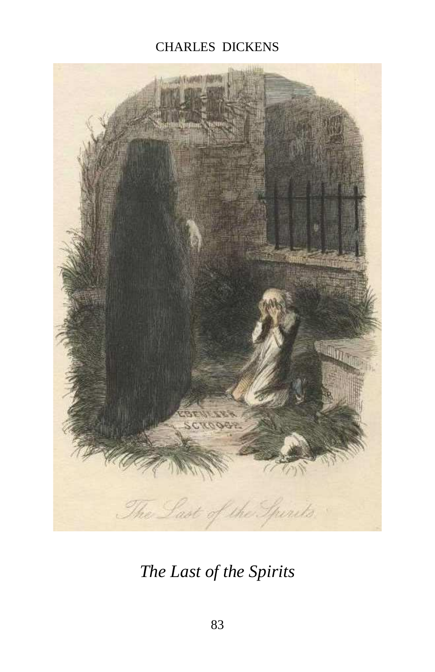# CHARLES DICKENS



*The Last of the Spirits*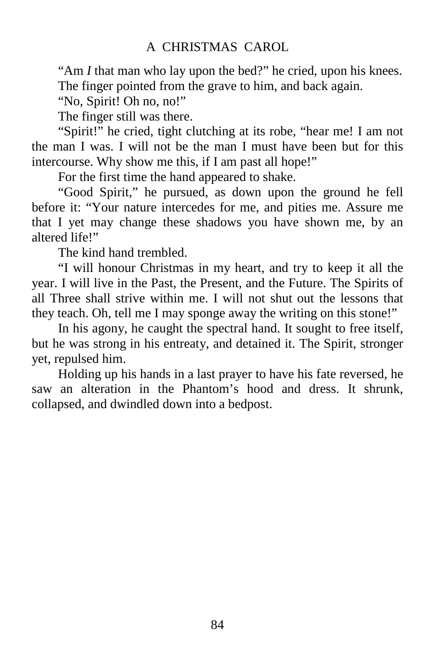"Am *I* that man who lay upon the bed?" he cried, upon his knees. The finger pointed from the grave to him, and back again.

"No, Spirit! Oh no, no!"

The finger still was there.

"Spirit!" he cried, tight clutching at its robe, "hear me! I am not the man I was. I will not be the man I must have been but for this intercourse. Why show me this, if I am past all hope!"

For the first time the hand appeared to shake.

"Good Spirit," he pursued, as down upon the ground he fell before it: "Your nature intercedes for me, and pities me. Assure me that I yet may change these shadows you have shown me, by an altered life!"

The kind hand trembled.

"I will honour Christmas in my heart, and try to keep it all the year. I will live in the Past, the Present, and the Future. The Spirits of all Three shall strive within me. I will not shut out the lessons that they teach. Oh, tell me I may sponge away the writing on this stone!"

In his agony, he caught the spectral hand. It sought to free itself, but he was strong in his entreaty, and detained it. The Spirit, stronger yet, repulsed him.

Holding up his hands in a last prayer to have his fate reversed, he saw an alteration in the Phantom's hood and dress. It shrunk, collapsed, and dwindled down into a bedpost.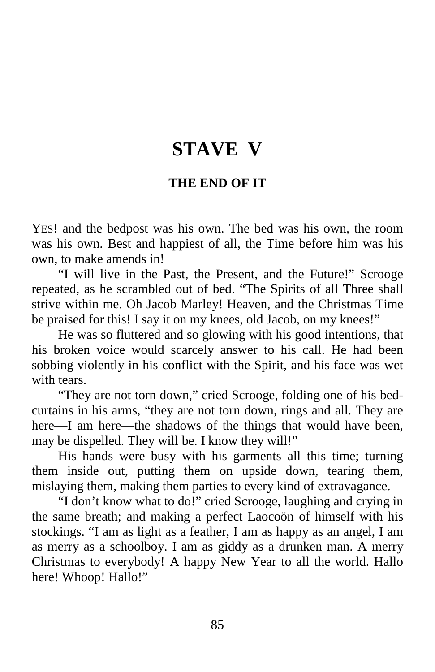# **STAVE V**

#### **THE END OF IT**

YES! and the bedpost was his own. The bed was his own, the room was his own. Best and happiest of all, the Time before him was his own, to make amends in!

"I will live in the Past, the Present, and the Future!" Scrooge repeated, as he scrambled out of bed. "The Spirits of all Three shall strive within me. Oh Jacob Marley! Heaven, and the Christmas Time be praised for this! I say it on my knees, old Jacob, on my knees!"

He was so fluttered and so glowing with his good intentions, that his broken voice would scarcely answer to his call. He had been sobbing violently in his conflict with the Spirit, and his face was wet with tears.

"They are not torn down," cried Scrooge, folding one of his bedcurtains in his arms, "they are not torn down, rings and all. They are here—I am here—the shadows of the things that would have been, may be dispelled. They will be. I know they will!"

His hands were busy with his garments all this time; turning them inside out, putting them on upside down, tearing them, mislaying them, making them parties to every kind of extravagance.

"I don't know what to do!" cried Scrooge, laughing and crying in the same breath; and making a perfect Laocoön of himself with his stockings. "I am as light as a feather, I am as happy as an angel, I am as merry as a schoolboy. I am as giddy as a drunken man. A merry Christmas to everybody! A happy New Year to all the world. Hallo here! Whoop! Hallo!"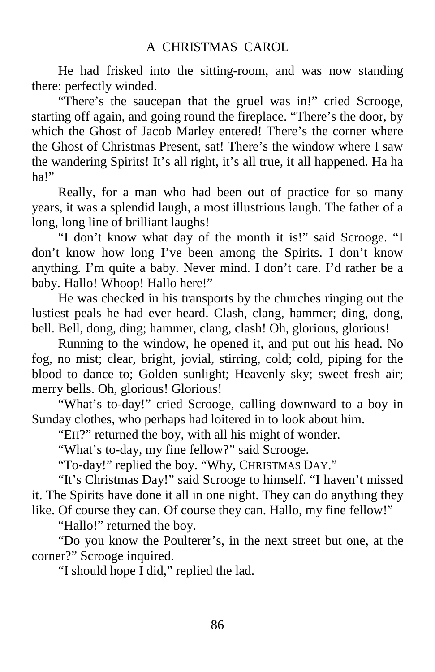He had frisked into the sitting-room, and was now standing there: perfectly winded.

"There's the saucepan that the gruel was in!" cried Scrooge, starting off again, and going round the fireplace. "There's the door, by which the Ghost of Jacob Marley entered! There's the corner where the Ghost of Christmas Present, sat! There's the window where I saw the wandering Spirits! It's all right, it's all true, it all happened. Ha ha ha!"

Really, for a man who had been out of practice for so many years, it was a splendid laugh, a most illustrious laugh. The father of a long, long line of brilliant laughs!

"I don't know what day of the month it is!" said Scrooge. "I don't know how long I've been among the Spirits. I don't know anything. I'm quite a baby. Never mind. I don't care. I'd rather be a baby. Hallo! Whoop! Hallo here!"

He was checked in his transports by the churches ringing out the lustiest peals he had ever heard. Clash, clang, hammer; ding, dong, bell. Bell, dong, ding; hammer, clang, clash! Oh, glorious, glorious!

Running to the window, he opened it, and put out his head. No fog, no mist; clear, bright, jovial, stirring, cold; cold, piping for the blood to dance to; Golden sunlight; Heavenly sky; sweet fresh air; merry bells. Oh, glorious! Glorious!

"What's to-day!" cried Scrooge, calling downward to a boy in Sunday clothes, who perhaps had loitered in to look about him.

"EH?" returned the boy, with all his might of wonder.

"What's to-day, my fine fellow?" said Scrooge.

"To-day!" replied the boy. "Why, CHRISTMAS DAY."

"It's Christmas Day!" said Scrooge to himself. "I haven't missed it. The Spirits have done it all in one night. They can do anything they

like. Of course they can. Of course they can. Hallo, my fine fellow!"

"Hallo!" returned the boy.

"Do you know the Poulterer's, in the next street but one, at the corner?" Scrooge inquired.

"I should hope I did," replied the lad.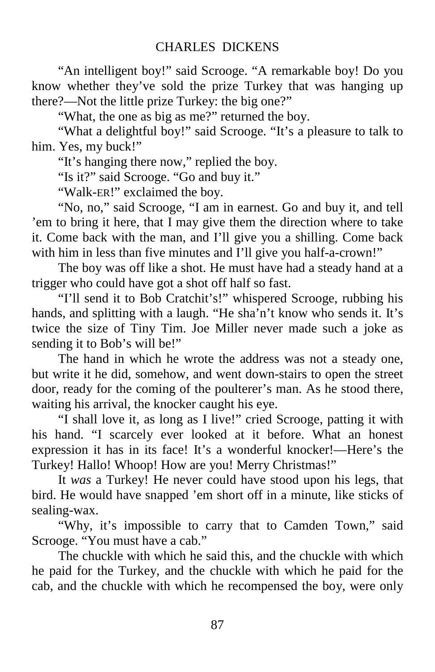"An intelligent boy!" said Scrooge. "A remarkable boy! Do you know whether they've sold the prize Turkey that was hanging up there?—Not the little prize Turkey: the big one?"

"What, the one as big as me?" returned the boy.

"What a delightful boy!" said Scrooge. "It's a pleasure to talk to him. Yes, my buck!"

"It's hanging there now," replied the boy.

"Is it?" said Scrooge. "Go and buy it."

"Walk-ER!" exclaimed the boy.

"No, no," said Scrooge, "I am in earnest. Go and buy it, and tell 'em to bring it here, that I may give them the direction where to take it. Come back with the man, and I'll give you a shilling. Come back with him in less than five minutes and I'll give you half-a-crown!"

The boy was off like a shot. He must have had a steady hand at a trigger who could have got a shot off half so fast.

"I'll send it to Bob Cratchit's!" whispered Scrooge, rubbing his hands, and splitting with a laugh. "He sha'n't know who sends it. It's twice the size of Tiny Tim. Joe Miller never made such a joke as sending it to Bob's will be!"

The hand in which he wrote the address was not a steady one, but write it he did, somehow, and went down-stairs to open the street door, ready for the coming of the poulterer's man. As he stood there, waiting his arrival, the knocker caught his eye.

"I shall love it, as long as I live!" cried Scrooge, patting it with his hand. "I scarcely ever looked at it before. What an honest expression it has in its face! It's a wonderful knocker!—Here's the Turkey! Hallo! Whoop! How are you! Merry Christmas!"

It *was* a Turkey! He never could have stood upon his legs, that bird. He would have snapped 'em short off in a minute, like sticks of sealing-wax.

"Why, it's impossible to carry that to Camden Town," said Scrooge. "You must have a cab."

The chuckle with which he said this, and the chuckle with which he paid for the Turkey, and the chuckle with which he paid for the cab, and the chuckle with which he recompensed the boy, were only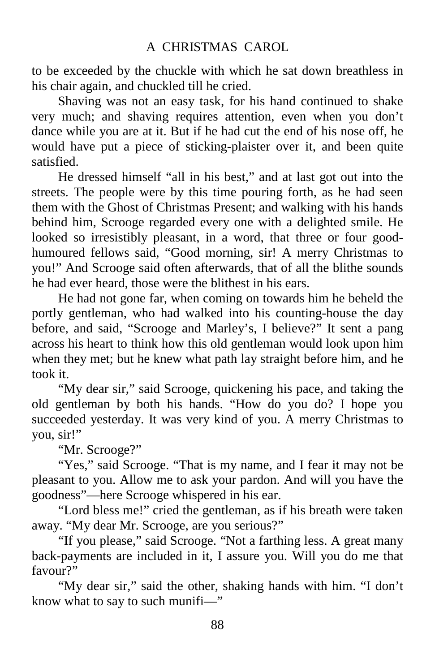to be exceeded by the chuckle with which he sat down breathless in his chair again, and chuckled till he cried.

Shaving was not an easy task, for his hand continued to shake very much; and shaving requires attention, even when you don't dance while you are at it. But if he had cut the end of his nose off, he would have put a piece of sticking-plaister over it, and been quite satisfied.

He dressed himself "all in his best," and at last got out into the streets. The people were by this time pouring forth, as he had seen them with the Ghost of Christmas Present; and walking with his hands behind him, Scrooge regarded every one with a delighted smile. He looked so irresistibly pleasant, in a word, that three or four goodhumoured fellows said, "Good morning, sir! A merry Christmas to you!" And Scrooge said often afterwards, that of all the blithe sounds he had ever heard, those were the blithest in his ears.

He had not gone far, when coming on towards him he beheld the portly gentleman, who had walked into his counting-house the day before, and said, "Scrooge and Marley's, I believe?" It sent a pang across his heart to think how this old gentleman would look upon him when they met; but he knew what path lay straight before him, and he took it.

"My dear sir," said Scrooge, quickening his pace, and taking the old gentleman by both his hands. "How do you do? I hope you succeeded yesterday. It was very kind of you. A merry Christmas to you, sir!"

"Mr. Scrooge?"

"Yes," said Scrooge. "That is my name, and I fear it may not be pleasant to you. Allow me to ask your pardon. And will you have the goodness"—here Scrooge whispered in his ear.

"Lord bless me!" cried the gentleman, as if his breath were taken away. "My dear Mr. Scrooge, are you serious?"

"If you please," said Scrooge. "Not a farthing less. A great many back-payments are included in it, I assure you. Will you do me that favour?"

"My dear sir," said the other, shaking hands with him. "I don't know what to say to such munifi—"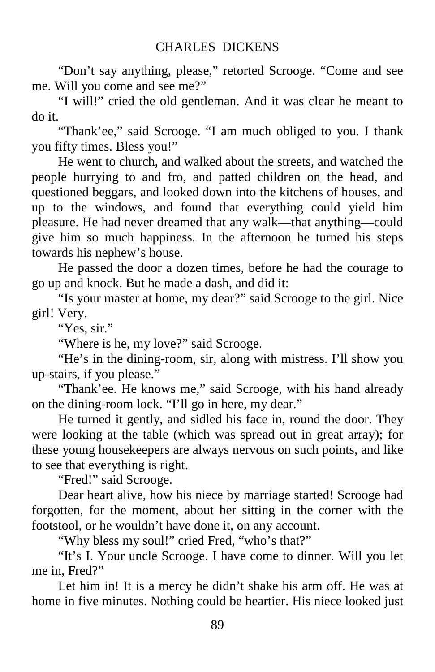"Don't say anything, please," retorted Scrooge. "Come and see me. Will you come and see me?"

"I will!" cried the old gentleman. And it was clear he meant to do it.

"Thank'ee," said Scrooge. "I am much obliged to you. I thank you fifty times. Bless you!"

He went to church, and walked about the streets, and watched the people hurrying to and fro, and patted children on the head, and questioned beggars, and looked down into the kitchens of houses, and up to the windows, and found that everything could yield him pleasure. He had never dreamed that any walk—that anything—could give him so much happiness. In the afternoon he turned his steps towards his nephew's house.

He passed the door a dozen times, before he had the courage to go up and knock. But he made a dash, and did it:

"Is your master at home, my dear?" said Scrooge to the girl. Nice girl! Very.

"Yes, sir."

"Where is he, my love?" said Scrooge.

"He's in the dining-room, sir, along with mistress. I'll show you up-stairs, if you please."

"Thank'ee. He knows me," said Scrooge, with his hand already on the dining-room lock. "I'll go in here, my dear."

He turned it gently, and sidled his face in, round the door. They were looking at the table (which was spread out in great array); for these young housekeepers are always nervous on such points, and like to see that everything is right.

"Fred!" said Scrooge.

Dear heart alive, how his niece by marriage started! Scrooge had forgotten, for the moment, about her sitting in the corner with the footstool, or he wouldn't have done it, on any account.

"Why bless my soul!" cried Fred, "who's that?"

"It's I. Your uncle Scrooge. I have come to dinner. Will you let me in, Fred?"

Let him in! It is a mercy he didn't shake his arm off. He was at home in five minutes. Nothing could be heartier. His niece looked just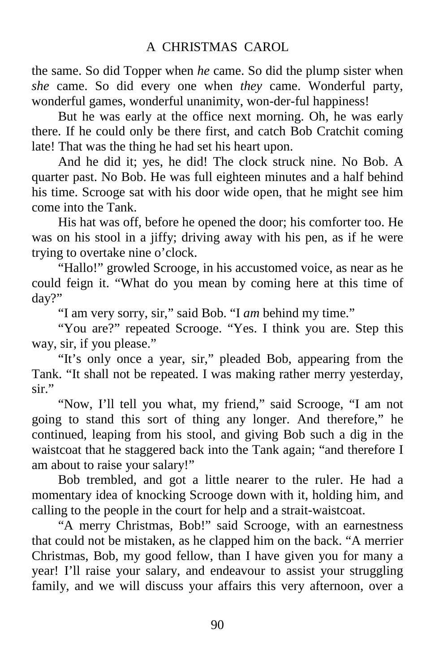the same. So did Topper when *he* came. So did the plump sister when *she* came. So did every one when *they* came. Wonderful party, wonderful games, wonderful unanimity, won-der-ful happiness!

But he was early at the office next morning. Oh, he was early there. If he could only be there first, and catch Bob Cratchit coming late! That was the thing he had set his heart upon.

And he did it; yes, he did! The clock struck nine. No Bob. A quarter past. No Bob. He was full eighteen minutes and a half behind his time. Scrooge sat with his door wide open, that he might see him come into the Tank.

His hat was off, before he opened the door; his comforter too. He was on his stool in a jiffy; driving away with his pen, as if he were trying to overtake nine o'clock.

"Hallo!" growled Scrooge, in his accustomed voice, as near as he could feign it. "What do you mean by coming here at this time of day?"

"I am very sorry, sir," said Bob. "I *am* behind my time."

"You are?" repeated Scrooge. "Yes. I think you are. Step this way, sir, if you please."

"It's only once a year, sir," pleaded Bob, appearing from the Tank. "It shall not be repeated. I was making rather merry yesterday, sir."

"Now, I'll tell you what, my friend," said Scrooge, "I am not going to stand this sort of thing any longer. And therefore," he continued, leaping from his stool, and giving Bob such a dig in the waistcoat that he staggered back into the Tank again; "and therefore I am about to raise your salary!"

Bob trembled, and got a little nearer to the ruler. He had a momentary idea of knocking Scrooge down with it, holding him, and calling to the people in the court for help and a strait-waistcoat.

"A merry Christmas, Bob!" said Scrooge, with an earnestness that could not be mistaken, as he clapped him on the back. "A merrier Christmas, Bob, my good fellow, than I have given you for many a year! I'll raise your salary, and endeavour to assist your struggling family, and we will discuss your affairs this very afternoon, over a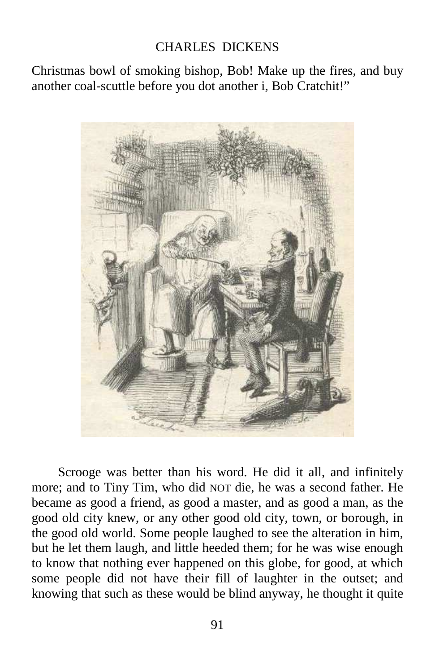## CHARLES DICKENS

Christmas bowl of smoking bishop, Bob! Make up the fires, and buy another coal-scuttle before you dot another i, Bob Cratchit!"



Scrooge was better than his word. He did it all, and infinitely more; and to Tiny Tim, who did NOT die, he was a second father. He became as good a friend, as good a master, and as good a man, as the good old city knew, or any other good old city, town, or borough, in the good old world. Some people laughed to see the alteration in him, but he let them laugh, and little heeded them; for he was wise enough to know that nothing ever happened on this globe, for good, at which some people did not have their fill of laughter in the outset; and knowing that such as these would be blind anyway, he thought it quite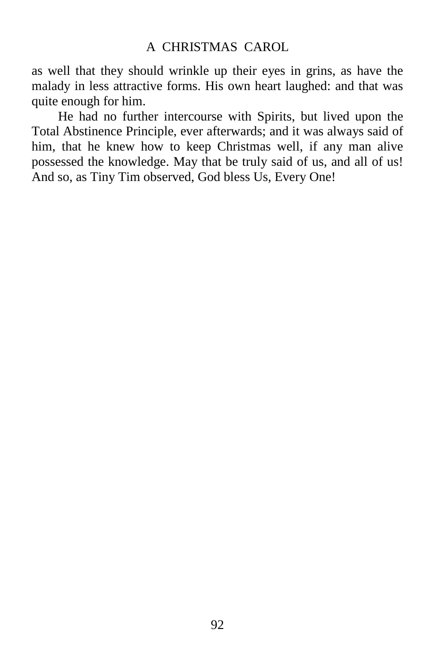#### A CHRISTMAS CAROL

as well that they should wrinkle up their eyes in grins, as have the malady in less attractive forms. His own heart laughed: and that was quite enough for him.

He had no further intercourse with Spirits, but lived upon the Total Abstinence Principle, ever afterwards; and it was always said of him, that he knew how to keep Christmas well, if any man alive possessed the knowledge. May that be truly said of us, and all of us! And so, as Tiny Tim observed, God bless Us, Every One!